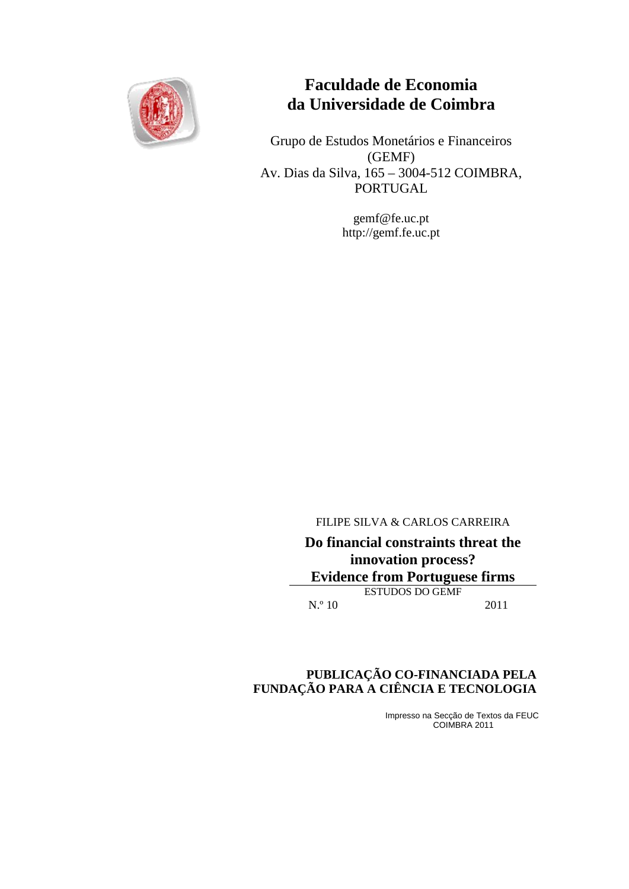

# **Faculdade de Economia da Universidade de Coimbra**

Grupo de Estudos Monetários e Financeiros (GEMF) Av. Dias da Silva, 165 – 3004-512 COIMBRA, PORTUGAL

> gemf@fe.uc.pt http://gemf.fe.uc.pt

FILIPE SILVA & CARLOS CARREIRA

**Do financial constraints threat the innovation process? Evidence from Portuguese firms** ESTUDOS DO GEMF N.º 10 2011

## **PUBLICAÇÃO CO-FINANCIADA PELA FUNDAÇÃO PARA A CIÊNCIA E TECNOLOGIA**

Impresso na Secção de Textos da FEUC COIMBRA 2011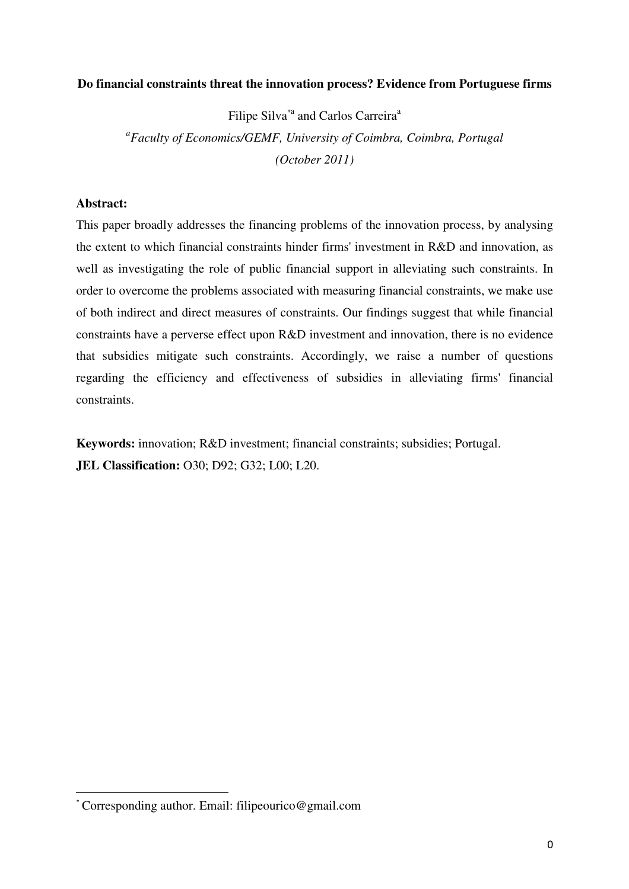## **Do financial constraints threat the innovation process? Evidence from Portuguese firms**

Filipe Silva<sup>\*a</sup> and Carlos Carreira<sup>a</sup> *a Faculty of Economics/GEMF, University of Coimbra, Coimbra, Portugal (October 2011)* 

## **Abstract:**

l

This paper broadly addresses the financing problems of the innovation process, by analysing the extent to which financial constraints hinder firms' investment in R&D and innovation, as well as investigating the role of public financial support in alleviating such constraints. In order to overcome the problems associated with measuring financial constraints, we make use of both indirect and direct measures of constraints. Our findings suggest that while financial constraints have a perverse effect upon R&D investment and innovation, there is no evidence that subsidies mitigate such constraints. Accordingly, we raise a number of questions regarding the efficiency and effectiveness of subsidies in alleviating firms' financial constraints.

**Keywords:** innovation; R&D investment; financial constraints; subsidies; Portugal. **JEL Classification:** O30; D92; G32; L00; L20.

<sup>\*</sup> Corresponding author. Email: filipeourico@gmail.com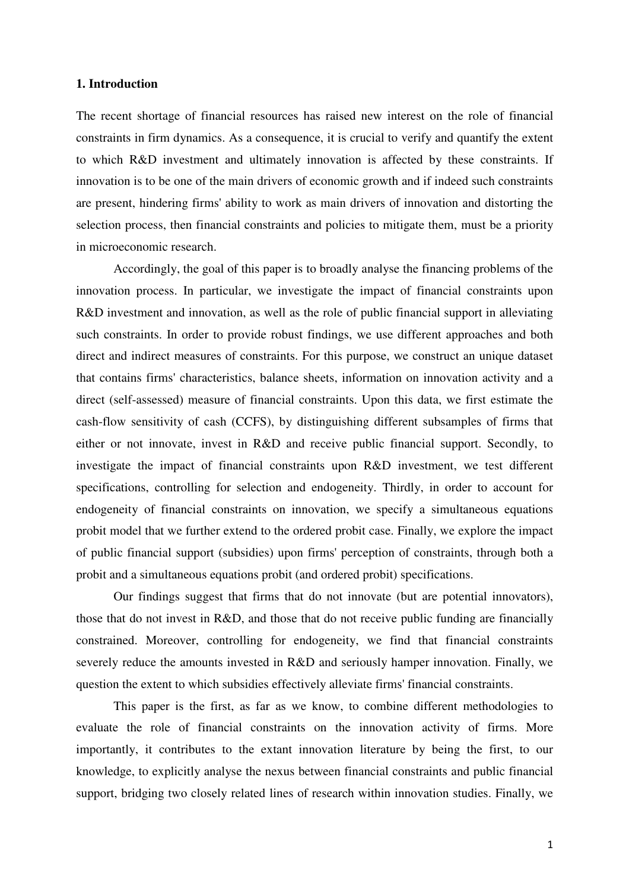### **1. Introduction**

The recent shortage of financial resources has raised new interest on the role of financial constraints in firm dynamics. As a consequence, it is crucial to verify and quantify the extent to which R&D investment and ultimately innovation is affected by these constraints. If innovation is to be one of the main drivers of economic growth and if indeed such constraints are present, hindering firms' ability to work as main drivers of innovation and distorting the selection process, then financial constraints and policies to mitigate them, must be a priority in microeconomic research.

 Accordingly, the goal of this paper is to broadly analyse the financing problems of the innovation process. In particular, we investigate the impact of financial constraints upon R&D investment and innovation, as well as the role of public financial support in alleviating such constraints. In order to provide robust findings, we use different approaches and both direct and indirect measures of constraints. For this purpose, we construct an unique dataset that contains firms' characteristics, balance sheets, information on innovation activity and a direct (self-assessed) measure of financial constraints. Upon this data, we first estimate the cash-flow sensitivity of cash (CCFS), by distinguishing different subsamples of firms that either or not innovate, invest in R&D and receive public financial support. Secondly, to investigate the impact of financial constraints upon R&D investment, we test different specifications, controlling for selection and endogeneity. Thirdly, in order to account for endogeneity of financial constraints on innovation, we specify a simultaneous equations probit model that we further extend to the ordered probit case. Finally, we explore the impact of public financial support (subsidies) upon firms' perception of constraints, through both a probit and a simultaneous equations probit (and ordered probit) specifications.

 Our findings suggest that firms that do not innovate (but are potential innovators), those that do not invest in R&D, and those that do not receive public funding are financially constrained. Moreover, controlling for endogeneity, we find that financial constraints severely reduce the amounts invested in R&D and seriously hamper innovation. Finally, we question the extent to which subsidies effectively alleviate firms' financial constraints.

 This paper is the first, as far as we know, to combine different methodologies to evaluate the role of financial constraints on the innovation activity of firms. More importantly, it contributes to the extant innovation literature by being the first, to our knowledge, to explicitly analyse the nexus between financial constraints and public financial support, bridging two closely related lines of research within innovation studies. Finally, we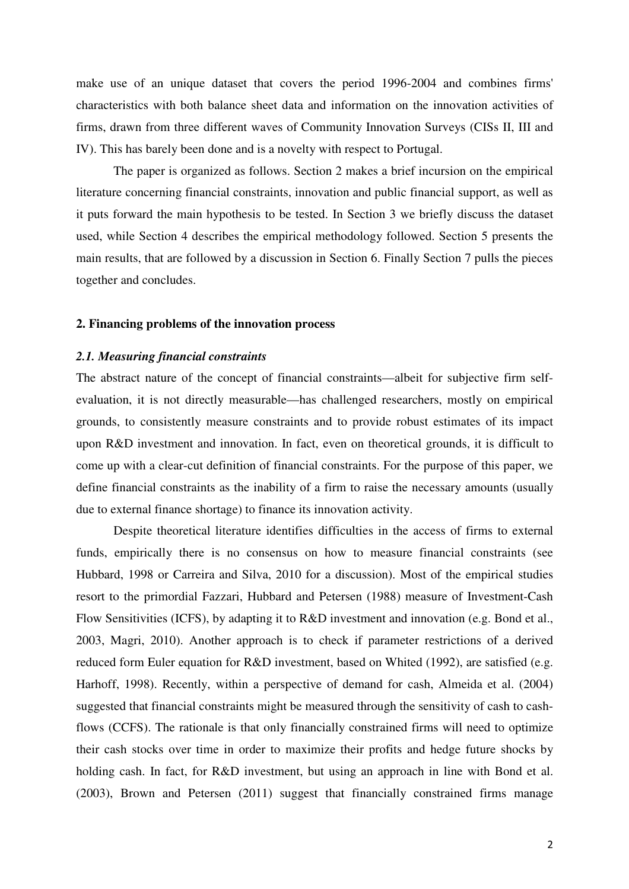make use of an unique dataset that covers the period 1996-2004 and combines firms' characteristics with both balance sheet data and information on the innovation activities of firms, drawn from three different waves of Community Innovation Surveys (CISs II, III and IV). This has barely been done and is a novelty with respect to Portugal.

 The paper is organized as follows. Section 2 makes a brief incursion on the empirical literature concerning financial constraints, innovation and public financial support, as well as it puts forward the main hypothesis to be tested. In Section 3 we briefly discuss the dataset used, while Section 4 describes the empirical methodology followed. Section 5 presents the main results, that are followed by a discussion in Section 6. Finally Section 7 pulls the pieces together and concludes.

### **2. Financing problems of the innovation process**

### *2.1. Measuring financial constraints*

The abstract nature of the concept of financial constraints—albeit for subjective firm selfevaluation, it is not directly measurable—has challenged researchers, mostly on empirical grounds, to consistently measure constraints and to provide robust estimates of its impact upon R&D investment and innovation. In fact, even on theoretical grounds, it is difficult to come up with a clear-cut definition of financial constraints. For the purpose of this paper, we define financial constraints as the inability of a firm to raise the necessary amounts (usually due to external finance shortage) to finance its innovation activity.

 Despite theoretical literature identifies difficulties in the access of firms to external funds, empirically there is no consensus on how to measure financial constraints (see Hubbard, 1998 or Carreira and Silva, 2010 for a discussion). Most of the empirical studies resort to the primordial Fazzari, Hubbard and Petersen (1988) measure of Investment-Cash Flow Sensitivities (ICFS), by adapting it to R&D investment and innovation (e.g. Bond et al., 2003, Magri, 2010). Another approach is to check if parameter restrictions of a derived reduced form Euler equation for R&D investment, based on Whited (1992), are satisfied (e.g. Harhoff, 1998). Recently, within a perspective of demand for cash, Almeida et al. (2004) suggested that financial constraints might be measured through the sensitivity of cash to cashflows (CCFS). The rationale is that only financially constrained firms will need to optimize their cash stocks over time in order to maximize their profits and hedge future shocks by holding cash. In fact, for R&D investment, but using an approach in line with Bond et al. (2003), Brown and Petersen (2011) suggest that financially constrained firms manage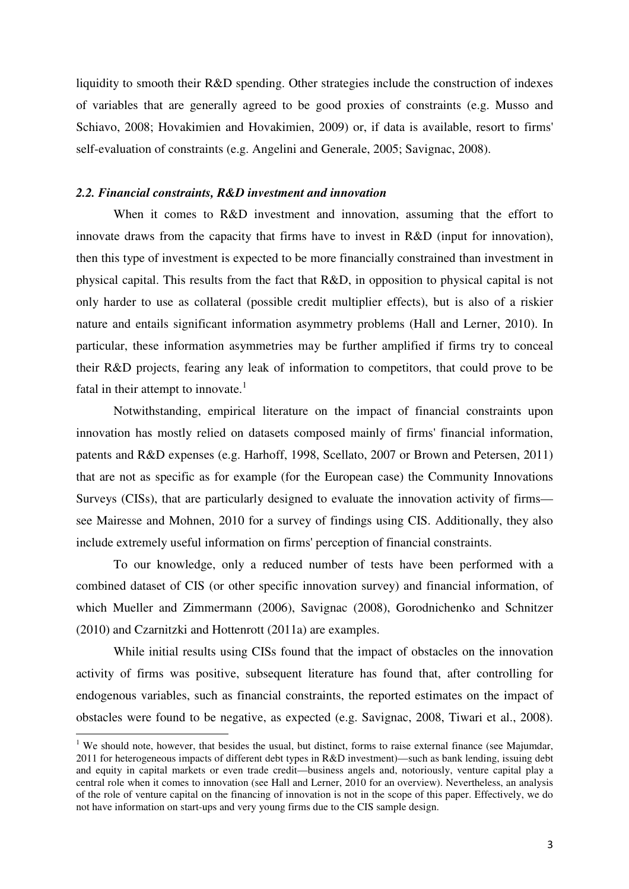liquidity to smooth their R&D spending. Other strategies include the construction of indexes of variables that are generally agreed to be good proxies of constraints (e.g. Musso and Schiavo, 2008; Hovakimien and Hovakimien, 2009) or, if data is available, resort to firms' self-evaluation of constraints (e.g. Angelini and Generale, 2005; Savignac, 2008).

### *2.2. Financial constraints, R&D investment and innovation*

When it comes to R&D investment and innovation, assuming that the effort to innovate draws from the capacity that firms have to invest in R&D (input for innovation), then this type of investment is expected to be more financially constrained than investment in physical capital. This results from the fact that R&D, in opposition to physical capital is not only harder to use as collateral (possible credit multiplier effects), but is also of a riskier nature and entails significant information asymmetry problems (Hall and Lerner, 2010). In particular, these information asymmetries may be further amplified if firms try to conceal their R&D projects, fearing any leak of information to competitors, that could prove to be fatal in their attempt to innovate. $\frac{1}{1}$ 

 Notwithstanding, empirical literature on the impact of financial constraints upon innovation has mostly relied on datasets composed mainly of firms' financial information, patents and R&D expenses (e.g. Harhoff, 1998, Scellato, 2007 or Brown and Petersen, 2011) that are not as specific as for example (for the European case) the Community Innovations Surveys (CISs), that are particularly designed to evaluate the innovation activity of firms see Mairesse and Mohnen, 2010 for a survey of findings using CIS. Additionally, they also include extremely useful information on firms' perception of financial constraints.

 To our knowledge, only a reduced number of tests have been performed with a combined dataset of CIS (or other specific innovation survey) and financial information, of which Mueller and Zimmermann (2006), Savignac (2008), Gorodnichenko and Schnitzer (2010) and Czarnitzki and Hottenrott (2011a) are examples.

 While initial results using CISs found that the impact of obstacles on the innovation activity of firms was positive, subsequent literature has found that, after controlling for endogenous variables, such as financial constraints, the reported estimates on the impact of obstacles were found to be negative, as expected (e.g. Savignac, 2008, Tiwari et al., 2008).

l

<sup>&</sup>lt;sup>1</sup> We should note, however, that besides the usual, but distinct, forms to raise external finance (see Majumdar, 2011 for heterogeneous impacts of different debt types in R&D investment)—such as bank lending, issuing debt and equity in capital markets or even trade credit—business angels and, notoriously, venture capital play a central role when it comes to innovation (see Hall and Lerner, 2010 for an overview). Nevertheless, an analysis of the role of venture capital on the financing of innovation is not in the scope of this paper. Effectively, we do not have information on start-ups and very young firms due to the CIS sample design.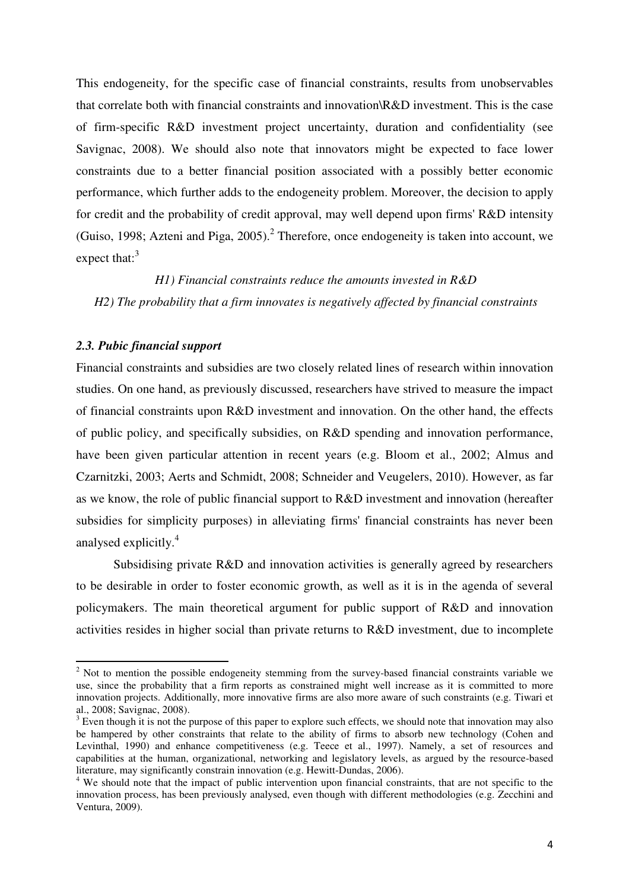This endogeneity, for the specific case of financial constraints, results from unobservables that correlate both with financial constraints and innovation\R&D investment. This is the case of firm-specific R&D investment project uncertainty, duration and confidentiality (see Savignac, 2008). We should also note that innovators might be expected to face lower constraints due to a better financial position associated with a possibly better economic performance, which further adds to the endogeneity problem. Moreover, the decision to apply for credit and the probability of credit approval, may well depend upon firms' R&D intensity (Guiso, 1998; Azteni and Piga, 2005).<sup>2</sup> Therefore, once endogeneity is taken into account, we expect that: $3$ 

*H1) Financial constraints reduce the amounts invested in R&D H2) The probability that a firm innovates is negatively affected by financial constraints* 

## *2.3. Pubic financial support*

l

Financial constraints and subsidies are two closely related lines of research within innovation studies. On one hand, as previously discussed, researchers have strived to measure the impact of financial constraints upon R&D investment and innovation. On the other hand, the effects of public policy, and specifically subsidies, on R&D spending and innovation performance, have been given particular attention in recent years (e.g. Bloom et al., 2002; Almus and Czarnitzki, 2003; Aerts and Schmidt, 2008; Schneider and Veugelers, 2010). However, as far as we know, the role of public financial support to R&D investment and innovation (hereafter subsidies for simplicity purposes) in alleviating firms' financial constraints has never been analysed explicitly.<sup>4</sup>

 Subsidising private R&D and innovation activities is generally agreed by researchers to be desirable in order to foster economic growth, as well as it is in the agenda of several policymakers. The main theoretical argument for public support of R&D and innovation activities resides in higher social than private returns to R&D investment, due to incomplete

 $2$  Not to mention the possible endogeneity stemming from the survey-based financial constraints variable we use, since the probability that a firm reports as constrained might well increase as it is committed to more innovation projects. Additionally, more innovative firms are also more aware of such constraints (e.g. Tiwari et al., 2008; Savignac, 2008).

 $3$  Even though it is not the purpose of this paper to explore such effects, we should note that innovation may also be hampered by other constraints that relate to the ability of firms to absorb new technology (Cohen and Levinthal, 1990) and enhance competitiveness (e.g. Teece et al., 1997). Namely, a set of resources and capabilities at the human, organizational, networking and legislatory levels, as argued by the resource-based literature, may significantly constrain innovation (e.g. Hewitt-Dundas, 2006).

<sup>&</sup>lt;sup>4</sup> We should note that the impact of public intervention upon financial constraints, that are not specific to the innovation process, has been previously analysed, even though with different methodologies (e.g. Zecchini and Ventura, 2009).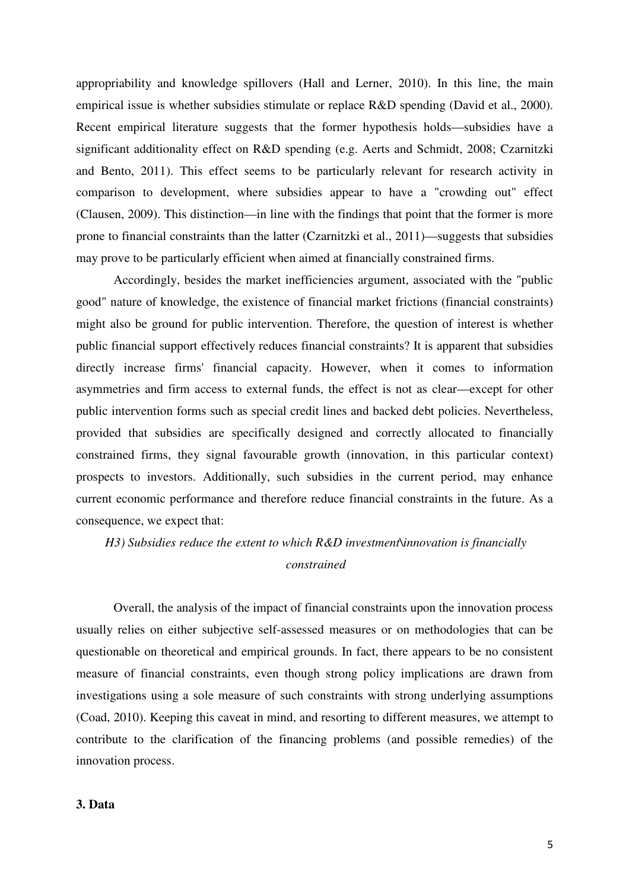appropriability and knowledge spillovers (Hall and Lerner, 2010). In this line, the main empirical issue is whether subsidies stimulate or replace R&D spending (David et al., 2000). Recent empirical literature suggests that the former hypothesis holds—subsidies have a significant additionality effect on R&D spending (e.g. Aerts and Schmidt, 2008; Czarnitzki and Bento, 2011). This effect seems to be particularly relevant for research activity in comparison to development, where subsidies appear to have a "crowding out" effect (Clausen, 2009). This distinction—in line with the findings that point that the former is more prone to financial constraints than the latter (Czarnitzki et al., 2011)—suggests that subsidies may prove to be particularly efficient when aimed at financially constrained firms.

 Accordingly, besides the market inefficiencies argument, associated with the "public good" nature of knowledge, the existence of financial market frictions (financial constraints) might also be ground for public intervention. Therefore, the question of interest is whether public financial support effectively reduces financial constraints? It is apparent that subsidies directly increase firms' financial capacity. However, when it comes to information asymmetries and firm access to external funds, the effect is not as clear—except for other public intervention forms such as special credit lines and backed debt policies. Nevertheless, provided that subsidies are specifically designed and correctly allocated to financially constrained firms, they signal favourable growth (innovation, in this particular context) prospects to investors. Additionally, such subsidies in the current period, may enhance current economic performance and therefore reduce financial constraints in the future. As a consequence, we expect that:

## *H3) Subsidies reduce the extent to which R&D investment\innovation is financially constrained*

 Overall, the analysis of the impact of financial constraints upon the innovation process usually relies on either subjective self-assessed measures or on methodologies that can be questionable on theoretical and empirical grounds. In fact, there appears to be no consistent measure of financial constraints, even though strong policy implications are drawn from investigations using a sole measure of such constraints with strong underlying assumptions (Coad, 2010). Keeping this caveat in mind, and resorting to different measures, we attempt to contribute to the clarification of the financing problems (and possible remedies) of the innovation process.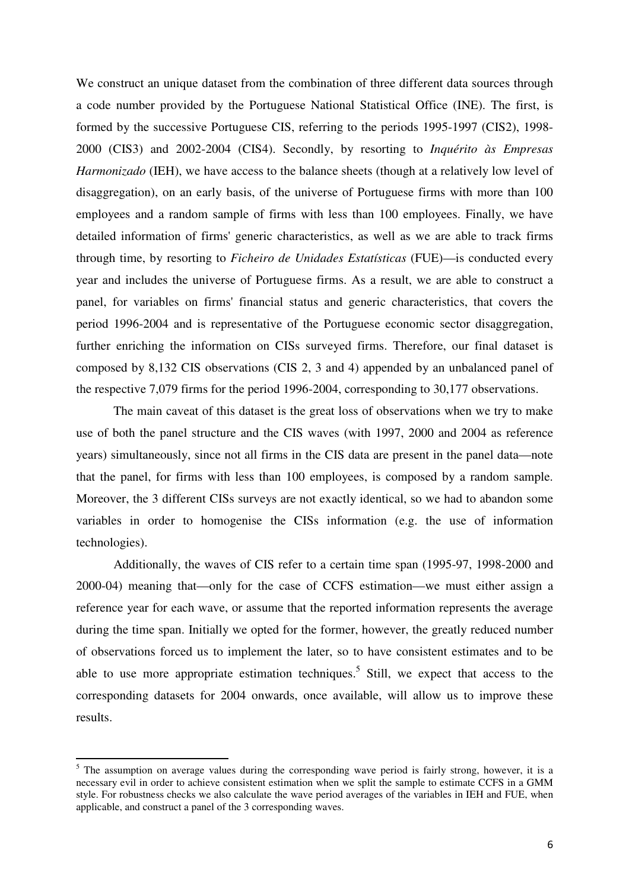We construct an unique dataset from the combination of three different data sources through a code number provided by the Portuguese National Statistical Office (INE). The first, is formed by the successive Portuguese CIS, referring to the periods 1995-1997 (CIS2), 1998- 2000 (CIS3) and 2002-2004 (CIS4). Secondly, by resorting to *Inquérito às Empresas Harmonizado* (IEH), we have access to the balance sheets (though at a relatively low level of disaggregation), on an early basis, of the universe of Portuguese firms with more than 100 employees and a random sample of firms with less than 100 employees. Finally, we have detailed information of firms' generic characteristics, as well as we are able to track firms through time, by resorting to *Ficheiro de Unidades Estatísticas* (FUE)—is conducted every year and includes the universe of Portuguese firms. As a result, we are able to construct a panel, for variables on firms' financial status and generic characteristics, that covers the period 1996-2004 and is representative of the Portuguese economic sector disaggregation, further enriching the information on CISs surveyed firms. Therefore, our final dataset is composed by 8,132 CIS observations (CIS 2, 3 and 4) appended by an unbalanced panel of the respective 7,079 firms for the period 1996-2004, corresponding to 30,177 observations.

 The main caveat of this dataset is the great loss of observations when we try to make use of both the panel structure and the CIS waves (with 1997, 2000 and 2004 as reference years) simultaneously, since not all firms in the CIS data are present in the panel data—note that the panel, for firms with less than 100 employees, is composed by a random sample. Moreover, the 3 different CISs surveys are not exactly identical, so we had to abandon some variables in order to homogenise the CISs information (e.g. the use of information technologies).

 Additionally, the waves of CIS refer to a certain time span (1995-97, 1998-2000 and 2000-04) meaning that—only for the case of CCFS estimation—we must either assign a reference year for each wave, or assume that the reported information represents the average during the time span. Initially we opted for the former, however, the greatly reduced number of observations forced us to implement the later, so to have consistent estimates and to be able to use more appropriate estimation techniques.<sup>5</sup> Still, we expect that access to the corresponding datasets for 2004 onwards, once available, will allow us to improve these results.

 $\overline{a}$ 

<sup>&</sup>lt;sup>5</sup> The assumption on average values during the corresponding wave period is fairly strong, however, it is a necessary evil in order to achieve consistent estimation when we split the sample to estimate CCFS in a GMM style. For robustness checks we also calculate the wave period averages of the variables in IEH and FUE, when applicable, and construct a panel of the 3 corresponding waves.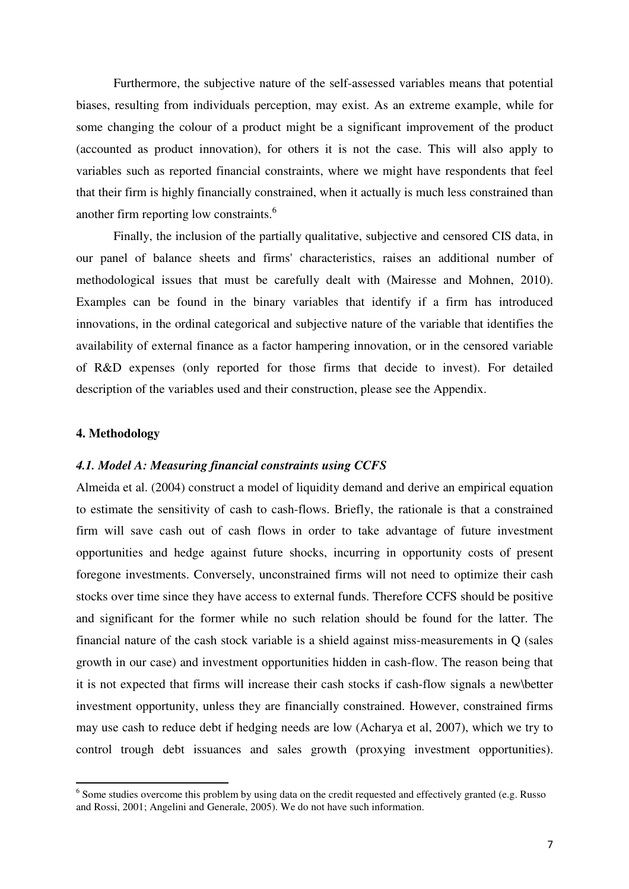Furthermore, the subjective nature of the self-assessed variables means that potential biases, resulting from individuals perception, may exist. As an extreme example, while for some changing the colour of a product might be a significant improvement of the product (accounted as product innovation), for others it is not the case. This will also apply to variables such as reported financial constraints, where we might have respondents that feel that their firm is highly financially constrained, when it actually is much less constrained than another firm reporting low constraints.<sup>6</sup>

 Finally, the inclusion of the partially qualitative, subjective and censored CIS data, in our panel of balance sheets and firms' characteristics, raises an additional number of methodological issues that must be carefully dealt with (Mairesse and Mohnen, 2010). Examples can be found in the binary variables that identify if a firm has introduced innovations, in the ordinal categorical and subjective nature of the variable that identifies the availability of external finance as a factor hampering innovation, or in the censored variable of R&D expenses (only reported for those firms that decide to invest). For detailed description of the variables used and their construction, please see the Appendix.

## **4. Methodology**

l

### *4.1. Model A: Measuring financial constraints using CCFS*

Almeida et al. (2004) construct a model of liquidity demand and derive an empirical equation to estimate the sensitivity of cash to cash-flows. Briefly, the rationale is that a constrained firm will save cash out of cash flows in order to take advantage of future investment opportunities and hedge against future shocks, incurring in opportunity costs of present foregone investments. Conversely, unconstrained firms will not need to optimize their cash stocks over time since they have access to external funds. Therefore CCFS should be positive and significant for the former while no such relation should be found for the latter. The financial nature of the cash stock variable is a shield against miss-measurements in Q (sales growth in our case) and investment opportunities hidden in cash-flow. The reason being that it is not expected that firms will increase their cash stocks if cash-flow signals a new\better investment opportunity, unless they are financially constrained. However, constrained firms may use cash to reduce debt if hedging needs are low (Acharya et al, 2007), which we try to control trough debt issuances and sales growth (proxying investment opportunities).

 $6$  Some studies overcome this problem by using data on the credit requested and effectively granted (e.g. Russo and Rossi, 2001; Angelini and Generale, 2005). We do not have such information.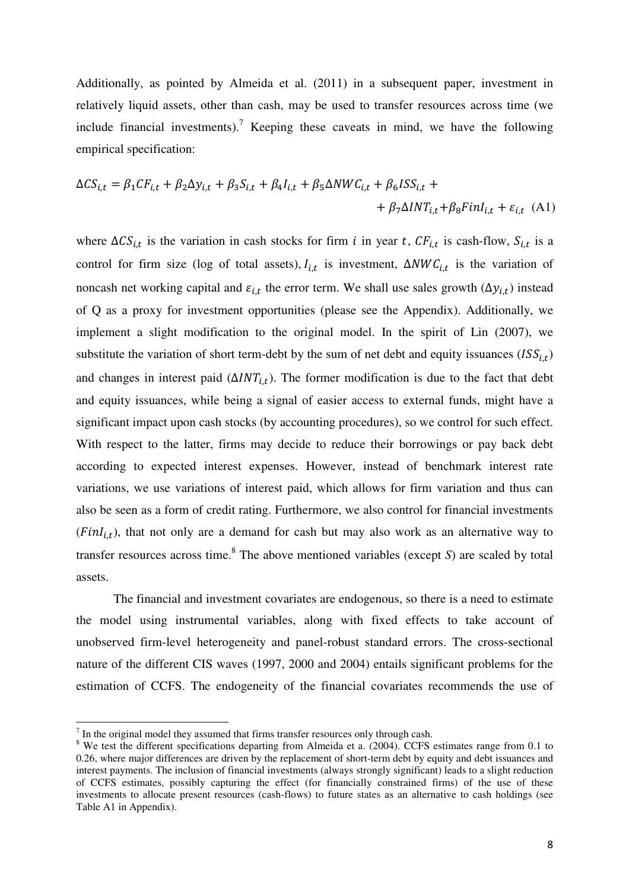Additionally, as pointed by Almeida et al. (2011) in a subsequent paper, investment in relatively liquid assets, other than cash, may be used to transfer resources across time (we include financial investments).<sup>7</sup> Keeping these caveats in mind, we have the following empirical specification:

$$
\Delta CS_{i,t} = \beta_1 CF_{i,t} + \beta_2 \Delta y_{i,t} + \beta_3 S_{i,t} + \beta_4 I_{i,t} + \beta_5 \Delta NWC_{i,t} + \beta_6 ISS_{i,t} + + \beta_7 \Delta INT_{i,t} + \beta_8 FinI_{i,t} + \varepsilon_{i,t}
$$
 (A1)

where  $\Delta CS_{i,t}$  is the variation in cash stocks for firm *i* in year *t*,  $CF_{i,t}$  is cash-flow,  $S_{i,t}$  is a control for firm size (log of total assets),  $I_{i,t}$  is investment,  $\Delta NWC_{i,t}$  is the variation of noncash net working capital and  $\varepsilon_{i,t}$  the error term. We shall use sales growth  $(\Delta y_{i,t})$  instead of Q as a proxy for investment opportunities (please see the Appendix). Additionally, we implement a slight modification to the original model. In the spirit of Lin (2007), we substitute the variation of short term-debt by the sum of net debt and equity issuances  $(ISS<sub>i,t</sub>)$ and changes in interest paid  $(\Delta INT_{it})$ . The former modification is due to the fact that debt and equity issuances, while being a signal of easier access to external funds, might have a significant impact upon cash stocks (by accounting procedures), so we control for such effect. With respect to the latter, firms may decide to reduce their borrowings or pay back debt according to expected interest expenses. However, instead of benchmark interest rate variations, we use variations of interest paid, which allows for firm variation and thus can also be seen as a form of credit rating. Furthermore, we also control for financial investments  $(FinI<sub>i,t</sub>)$ , that not only are a demand for cash but may also work as an alternative way to transfer resources across time.<sup>8</sup> The above mentioned variables (except *S*) are scaled by total assets.

 The financial and investment covariates are endogenous, so there is a need to estimate the model using instrumental variables, along with fixed effects to take account of unobserved firm-level heterogeneity and panel-robust standard errors. The cross-sectional nature of the different CIS waves (1997, 2000 and 2004) entails significant problems for the estimation of CCFS. The endogeneity of the financial covariates recommends the use of

 $\overline{a}$ 

 $<sup>7</sup>$  In the original model they assumed that firms transfer resources only through cash.</sup>

<sup>&</sup>lt;sup>8</sup> We test the different specifications departing from Almeida et a. (2004). CCFS estimates range from 0.1 to 0.26, where major differences are driven by the replacement of short-term debt by equity and debt issuances and interest payments. The inclusion of financial investments (always strongly significant) leads to a slight reduction of CCFS estimates, possibly capturing the effect (for financially constrained firms) of the use of these investments to allocate present resources (cash-flows) to future states as an alternative to cash holdings (see Table A1 in Appendix).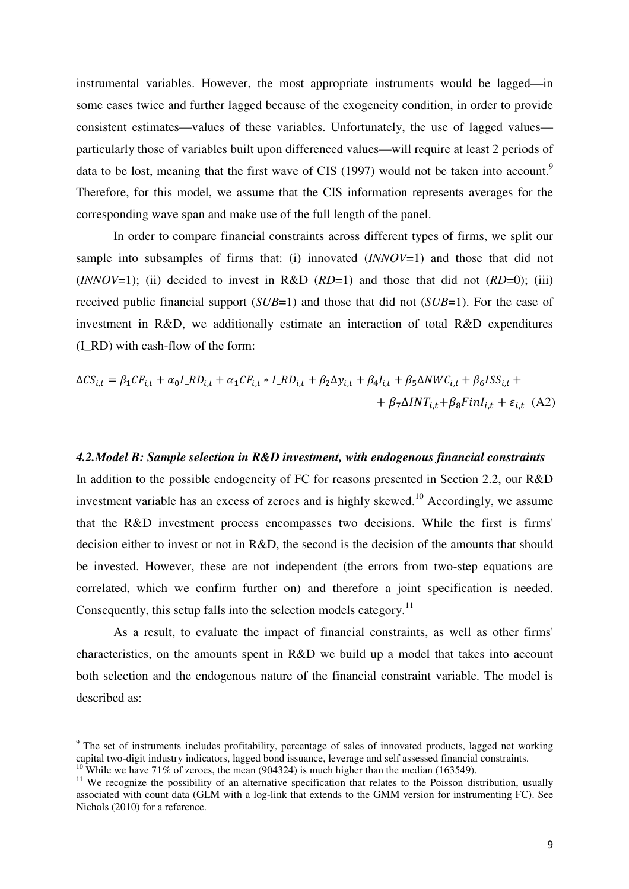instrumental variables. However, the most appropriate instruments would be lagged—in some cases twice and further lagged because of the exogeneity condition, in order to provide consistent estimates—values of these variables. Unfortunately, the use of lagged values particularly those of variables built upon differenced values—will require at least 2 periods of data to be lost, meaning that the first wave of CIS (1997) would not be taken into account.<sup>9</sup> Therefore, for this model, we assume that the CIS information represents averages for the corresponding wave span and make use of the full length of the panel.

 In order to compare financial constraints across different types of firms, we split our sample into subsamples of firms that: (i) innovated (*INNOV*=1) and those that did not (*INNOV*=1); (ii) decided to invest in R&D  $(RD=1)$  and those that did not  $(RD=0)$ ; (iii) received public financial support (*SUB*=1) and those that did not (*SUB*=1). For the case of investment in R&D, we additionally estimate an interaction of total R&D expenditures (I\_RD) with cash-flow of the form:

$$
\Delta CS_{i,t} = \beta_1 CF_{i,t} + \alpha_0 I\_RD_{i,t} + \alpha_1 CF_{i,t} * I\_RD_{i,t} + \beta_2 \Delta y_{i,t} + \beta_4 I_{i,t} + \beta_5 \Delta NWC_{i,t} + \beta_6 ISS_{i,t} + + \beta_7 \Delta INT_{i,t} + \beta_8 FinI_{i,t} + \varepsilon_{i,t}
$$
(A2)

## *4.2.Model B: Sample selection in R&D investment, with endogenous financial constraints*

In addition to the possible endogeneity of FC for reasons presented in Section 2.2, our R&D investment variable has an excess of zeroes and is highly skewed.<sup>10</sup> Accordingly, we assume that the R&D investment process encompasses two decisions. While the first is firms' decision either to invest or not in R&D, the second is the decision of the amounts that should be invested. However, these are not independent (the errors from two-step equations are correlated, which we confirm further on) and therefore a joint specification is needed. Consequently, this setup falls into the selection models category.<sup>11</sup>

 As a result, to evaluate the impact of financial constraints, as well as other firms' characteristics, on the amounts spent in R&D we build up a model that takes into account both selection and the endogenous nature of the financial constraint variable. The model is described as:

l

<sup>&</sup>lt;sup>9</sup> The set of instruments includes profitability, percentage of sales of innovated products, lagged net working capital two-digit industry indicators, lagged bond issuance, leverage and self assessed financial constraints. While we have  $71\%$  of zeroes, the mean (904324) is much higher than the median (163549).

<sup>&</sup>lt;sup>11</sup> We recognize the possibility of an alternative specification that relates to the Poisson distribution, usually associated with count data (GLM with a log-link that extends to the GMM version for instrumenting FC). See Nichols (2010) for a reference.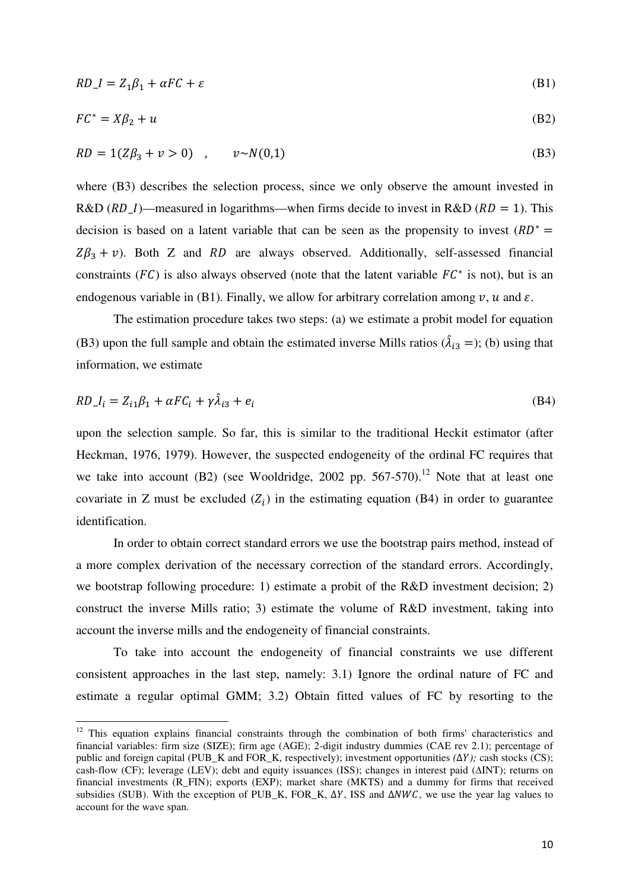$$
RD\_I = Z_1 \beta_1 + \alpha FC + \varepsilon \tag{B1}
$$

$$
FC^* = X\beta_2 + u \tag{B2}
$$

$$
RD = 1(Z\beta_3 + v > 0) \quad , \qquad v \sim N(0,1) \tag{B3}
$$

where (B3) describes the selection process, since we only observe the amount invested in R&D ( $RD_I$ )—measured in logarithms—when firms decide to invest in R&D ( $RD = 1$ ). This decision is based on a latent variable that can be seen as the propensity to invest  $(RD^* =$  $Z\beta_3 + v$ ). Both Z and RD are always observed. Additionally, self-assessed financial constraints ( $FC$ ) is also always observed (note that the latent variable  $FC^*$  is not), but is an endogenous variable in (B1). Finally, we allow for arbitrary correlation among  $v, u$  and  $\varepsilon$ .

 The estimation procedure takes two steps: (a) we estimate a probit model for equation (B3) upon the full sample and obtain the estimated inverse Mills ratios ( $\hat{\lambda}_{i3}$  =); (b) using that information, we estimate

$$
RD_{i} = Z_{i1}\beta_1 + \alpha FC_i + \gamma \hat{\lambda}_{i3} + e_i
$$
\n(B4)

upon the selection sample. So far, this is similar to the traditional Heckit estimator (after Heckman, 1976, 1979). However, the suspected endogeneity of the ordinal FC requires that we take into account  $(B2)$  (see Wooldridge, 2002 pp. 567-570).<sup>12</sup> Note that at least one covariate in Z must be excluded  $(Z_i)$  in the estimating equation (B4) in order to guarantee identification.

 In order to obtain correct standard errors we use the bootstrap pairs method, instead of a more complex derivation of the necessary correction of the standard errors. Accordingly, we bootstrap following procedure: 1) estimate a probit of the R&D investment decision; 2) construct the inverse Mills ratio; 3) estimate the volume of R&D investment, taking into account the inverse mills and the endogeneity of financial constraints.

 To take into account the endogeneity of financial constraints we use different consistent approaches in the last step, namely: 3.1) Ignore the ordinal nature of FC and estimate a regular optimal GMM; 3.2) Obtain fitted values of FC by resorting to the

 $\overline{a}$ 

<sup>&</sup>lt;sup>12</sup> This equation explains financial constraints through the combination of both firms' characteristics and financial variables: firm size (SIZE); firm age (AGE); 2-digit industry dummies (CAE rev 2.1); percentage of public and foreign capital (PUB K and FOR K, respectively); investment opportunities *(*Δ*Y*); cash stocks (CS); cash-flow (CF); leverage (LEV); debt and equity issuances (ISS); changes in interest paid (∆INT); returns on financial investments (R\_FIN); exports (EXP); market share (MKTS) and a dummy for firms that received subsidies (SUB). With the exception of PUB\_K, FOR\_K,  $\Delta Y$ , ISS and  $\Delta NWC$ , we use the year lag values to account for the wave span.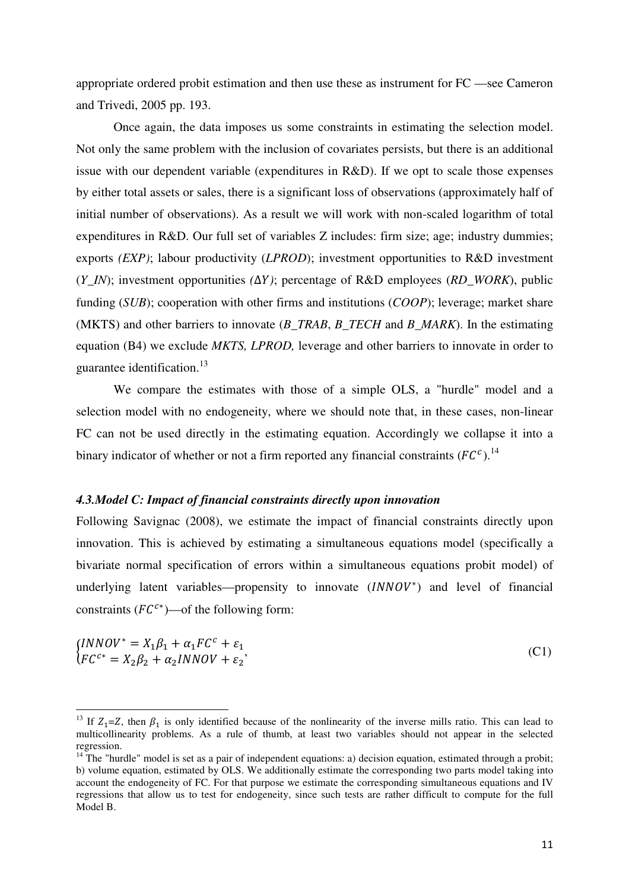appropriate ordered probit estimation and then use these as instrument for FC —see Cameron and Trivedi, 2005 pp. 193.

 Once again, the data imposes us some constraints in estimating the selection model. Not only the same problem with the inclusion of covariates persists, but there is an additional issue with our dependent variable (expenditures in R&D). If we opt to scale those expenses by either total assets or sales, there is a significant loss of observations (approximately half of initial number of observations). As a result we will work with non-scaled logarithm of total expenditures in R&D. Our full set of variables Z includes: firm size; age; industry dummies; exports *(EXP)*; labour productivity (*LPROD*); investment opportunities to R&D investment (*Y\_IN*); investment opportunities *(*∆1*)*; percentage of R&D employees (*RD\_WORK*), public funding (*SUB*); cooperation with other firms and institutions (*COOP*); leverage; market share (MKTS) and other barriers to innovate (*B\_TRAB*, *B\_TECH* and *B\_MARK*). In the estimating equation (B4) we exclude *MKTS, LPROD,* leverage and other barriers to innovate in order to guarantee identification.<sup>13</sup>

 We compare the estimates with those of a simple OLS, a "hurdle" model and a selection model with no endogeneity, where we should note that, in these cases, non-linear FC can not be used directly in the estimating equation. Accordingly we collapse it into a binary indicator of whether or not a firm reported any financial constraints  $(FC^c)^{14}$ 

## *4.3.Model C: Impact of financial constraints directly upon innovation*

l

Following Savignac (2008), we estimate the impact of financial constraints directly upon innovation. This is achieved by estimating a simultaneous equations model (specifically a bivariate normal specification of errors within a simultaneous equations probit model) of underlying latent variables—propensity to innovate (INNOV<sup>\*</sup>) and level of financial constraints  $(FC^{c*})$ —of the following form:

$$
\begin{aligned} \n\{INNOV^* &= X_1\beta_1 + \alpha_1 FC^c + \varepsilon_1\\ \n\{FC^{c*} &= X_2\beta_2 + \alpha_2 INNOV + \varepsilon_2 \n\end{aligned} \tag{C1}
$$

<sup>&</sup>lt;sup>13</sup> If  $Z_1 = Z$ , then  $\beta_1$  is only identified because of the nonlinearity of the inverse mills ratio. This can lead to multicollinearity problems. As a rule of thumb, at least two variables should not appear in the selected regression.

 $14$ <sup>14</sup> The "hurdle" model is set as a pair of independent equations: a) decision equation, estimated through a probit; b) volume equation, estimated by OLS. We additionally estimate the corresponding two parts model taking into account the endogeneity of FC. For that purpose we estimate the corresponding simultaneous equations and IV regressions that allow us to test for endogeneity, since such tests are rather difficult to compute for the full Model B.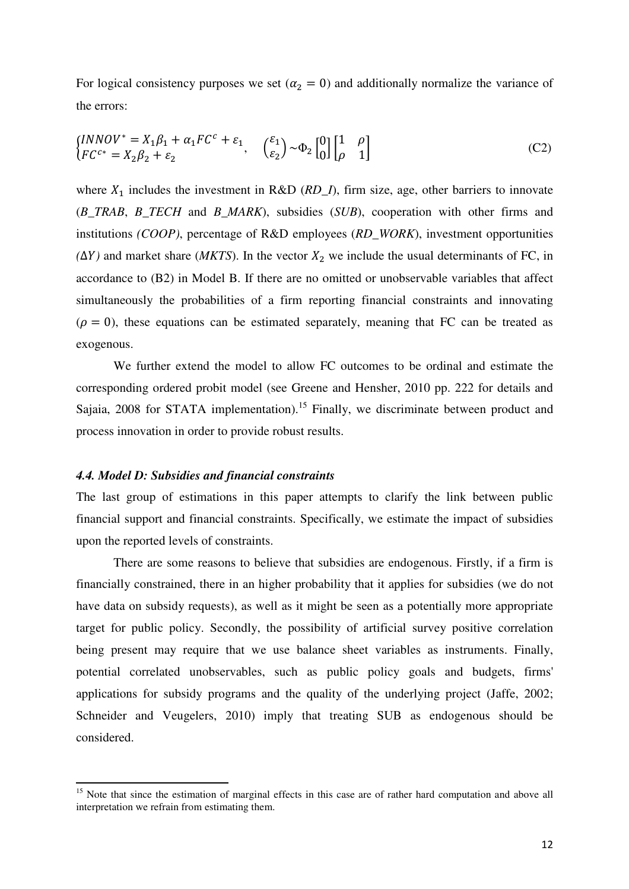For logical consistency purposes we set ( $\alpha_2 = 0$ ) and additionally normalize the variance of the errors:

$$
\begin{aligned}\n\left\{\n\begin{aligned}\n\left[ NNOV^* = X_1 \beta_1 + \alpha_1 FC^c + \varepsilon_1, & \begin{pmatrix} \varepsilon_1 \\ \varepsilon_2 \end{pmatrix} \sim \Phi_2 \begin{bmatrix} 0 \\ 0 \end{bmatrix} \begin{bmatrix} 1 & \rho \\ \rho & 1 \end{bmatrix} \right]\n\end{aligned}\n\right\}.\n\tag{C2}
$$

where  $X_1$  includes the investment in R&D ( $RD_1$ ), firm size, age, other barriers to innovate (*B\_TRAB*, *B\_TECH* and *B\_MARK*), subsidies (*SUB*), cooperation with other firms and institutions *(COOP)*, percentage of R&D employees (*RD\_WORK*), investment opportunities  $(\Delta Y)$  and market share (*MKTS*). In the vector  $X_2$  we include the usual determinants of FC, in accordance to (B2) in Model B. If there are no omitted or unobservable variables that affect simultaneously the probabilities of a firm reporting financial constraints and innovating  $(\rho = 0)$ , these equations can be estimated separately, meaning that FC can be treated as exogenous.

 We further extend the model to allow FC outcomes to be ordinal and estimate the corresponding ordered probit model (see Greene and Hensher, 2010 pp. 222 for details and Sajaia, 2008 for STATA implementation).<sup>15</sup> Finally, we discriminate between product and process innovation in order to provide robust results.

### *4.4. Model D: Subsidies and financial constraints*

l

The last group of estimations in this paper attempts to clarify the link between public financial support and financial constraints. Specifically, we estimate the impact of subsidies upon the reported levels of constraints.

 There are some reasons to believe that subsidies are endogenous. Firstly, if a firm is financially constrained, there in an higher probability that it applies for subsidies (we do not have data on subsidy requests), as well as it might be seen as a potentially more appropriate target for public policy. Secondly, the possibility of artificial survey positive correlation being present may require that we use balance sheet variables as instruments. Finally, potential correlated unobservables, such as public policy goals and budgets, firms' applications for subsidy programs and the quality of the underlying project (Jaffe, 2002; Schneider and Veugelers, 2010) imply that treating SUB as endogenous should be considered.

<sup>&</sup>lt;sup>15</sup> Note that since the estimation of marginal effects in this case are of rather hard computation and above all interpretation we refrain from estimating them.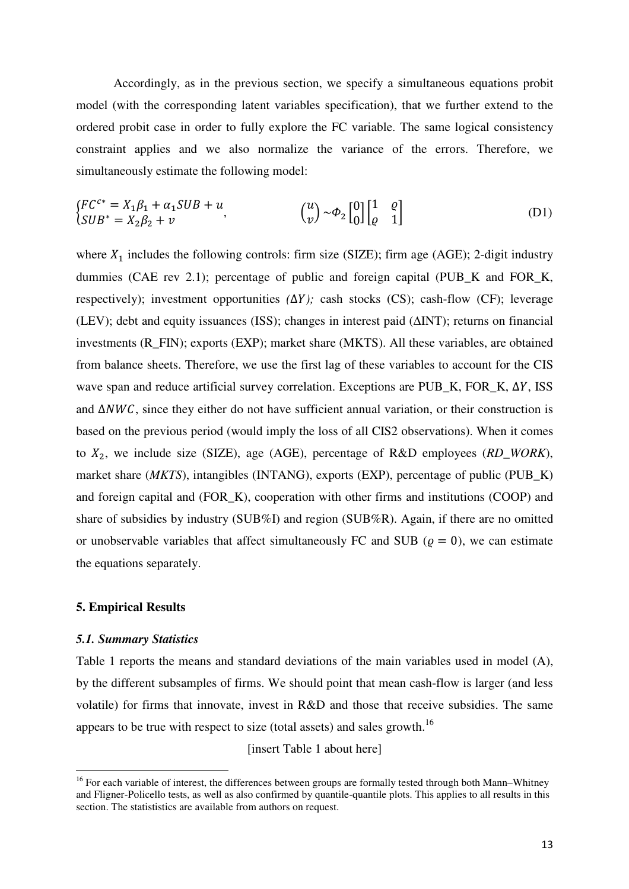Accordingly, as in the previous section, we specify a simultaneous equations probit model (with the corresponding latent variables specification), that we further extend to the ordered probit case in order to fully explore the FC variable. The same logical consistency constraint applies and we also normalize the variance of the errors. Therefore, we simultaneously estimate the following model:

$$
\begin{cases}\nFC^{c*} = X_1 \beta_1 + \alpha_1 SUB + u, & \text{if } u & \text{if } u & \text{if } u & \text{if } u & \text{if } u & \text{if } u & \text{if } u & \text{if } u & \text{if } u & \text{if } u & \text{if } u & \text{if } u & \text{if } u & \text{if } u & \text{if } u & \text{if } u & \text{if } u & \text{if } u & \text{if } u & \text{if } u & \text{if } u & \text{if } u & \text{if } u & \text{if } u & \text{if } u & \text{if } u & \text{if } u & \text{if } u & \text{if } u & \text{if } u & \text{if } u & \text{if } u & \text{if } u & \text{if } u & \text{if } u & \text{if } u & \text{if } u & \text{if } u & \text{if } u & \text{if } u & \text{if } u & \text{if } u & \text{if } u & \text{if } u & \text{if } u & \text{if } u & \text{if } u & \text{if } u & \text{if } u & \text{if } u & \text{if } u & \text{if } u & \text{if } u & \text{if } u & \text{if } u & \text{if } u & \text{if } u & \text{if } u & \text{if } u & \text{if } u & \text{if } u & \text{if } u & \text{if } u & \text{if } u & \text{if } u & \text{if } u & \text{if } u & \text{if } u & \text{if } u & \text{if } u & \text{if } u & \text{if } u & \text{if } u & \text{if } u & \text{if } u & \text{if } u & \text{if } u & \text{if } u & \text{if } u & \text{if } u & \text{if } u & \text{if } u & \text{if } u & \text{if } u & \text{if } u & \text{if } u & \text{if } u & \text{if } u & \text{if } u & \text{if } u & \text{if } u & \text{if } u & \text{if } u & \text{if } u & \text{if } u & \text{if } u & \text{if } u & \text{if } u & \text{if } u & \text{if } u & \text{if } u & \text{if } u & \text{if } u & \text{if } u & \text{
$$

where  $X_1$  includes the following controls: firm size (SIZE); firm age (AGE); 2-digit industry dummies (CAE rev 2.1); percentage of public and foreign capital (PUB\_K and FOR\_K, respectively); investment opportunities *(*∆1*);* cash stocks (CS); cash-flow (CF); leverage (LEV); debt and equity issuances (ISS); changes in interest paid (∆INT); returns on financial investments (R\_FIN); exports (EXP); market share (MKTS). All these variables, are obtained from balance sheets. Therefore, we use the first lag of these variables to account for the CIS wave span and reduce artificial survey correlation. Exceptions are PUB\_K, FOR\_K, ∆Y, ISS and  $\Delta NWC$ , since they either do not have sufficient annual variation, or their construction is based on the previous period (would imply the loss of all CIS2 observations). When it comes to  $X_2$ , we include size (SIZE), age (AGE), percentage of R&D employees ( $RD\_WORK$ ), market share (*MKTS*), intangibles (INTANG), exports (EXP), percentage of public (PUB\_K) and foreign capital and (FOR\_K), cooperation with other firms and institutions (COOP) and share of subsidies by industry (SUB%I) and region (SUB%R). Again, if there are no omitted or unobservable variables that affect simultaneously FC and SUB ( $\rho = 0$ ), we can estimate the equations separately.

### **5. Empirical Results**

#### *5.1. Summary Statistics*

l

Table 1 reports the means and standard deviations of the main variables used in model (A), by the different subsamples of firms. We should point that mean cash-flow is larger (and less volatile) for firms that innovate, invest in R&D and those that receive subsidies. The same appears to be true with respect to size (total assets) and sales growth.<sup>16</sup>

[insert Table 1 about here]

<sup>&</sup>lt;sup>16</sup> For each variable of interest, the differences between groups are formally tested through both Mann–Whitney and Fligner-Policello tests, as well as also confirmed by quantile-quantile plots. This applies to all results in this section. The statististics are available from authors on request.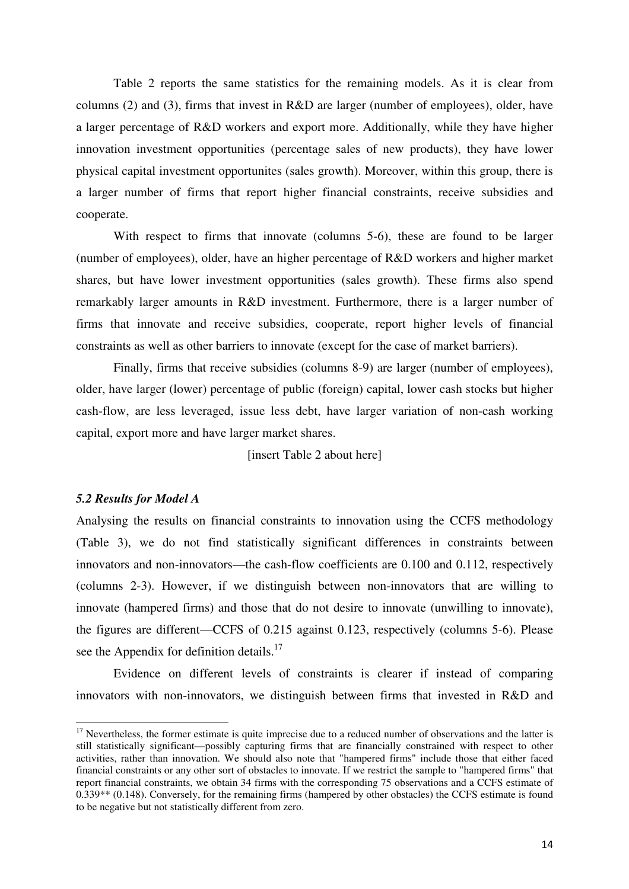Table 2 reports the same statistics for the remaining models. As it is clear from columns (2) and (3), firms that invest in R&D are larger (number of employees), older, have a larger percentage of R&D workers and export more. Additionally, while they have higher innovation investment opportunities (percentage sales of new products), they have lower physical capital investment opportunites (sales growth). Moreover, within this group, there is a larger number of firms that report higher financial constraints, receive subsidies and cooperate.

 With respect to firms that innovate (columns 5-6), these are found to be larger (number of employees), older, have an higher percentage of R&D workers and higher market shares, but have lower investment opportunities (sales growth). These firms also spend remarkably larger amounts in R&D investment. Furthermore, there is a larger number of firms that innovate and receive subsidies, cooperate, report higher levels of financial constraints as well as other barriers to innovate (except for the case of market barriers).

 Finally, firms that receive subsidies (columns 8-9) are larger (number of employees), older, have larger (lower) percentage of public (foreign) capital, lower cash stocks but higher cash-flow, are less leveraged, issue less debt, have larger variation of non-cash working capital, export more and have larger market shares.

[insert Table 2 about here]

### *5.2 Results for Model A*

 $\overline{a}$ 

Analysing the results on financial constraints to innovation using the CCFS methodology (Table 3), we do not find statistically significant differences in constraints between innovators and non-innovators—the cash-flow coefficients are 0.100 and 0.112, respectively (columns 2-3). However, if we distinguish between non-innovators that are willing to innovate (hampered firms) and those that do not desire to innovate (unwilling to innovate), the figures are different—CCFS of 0.215 against 0.123, respectively (columns 5-6). Please see the Appendix for definition details.<sup>17</sup>

 Evidence on different levels of constraints is clearer if instead of comparing innovators with non-innovators, we distinguish between firms that invested in R&D and

 $17$  Nevertheless, the former estimate is quite imprecise due to a reduced number of observations and the latter is still statistically significant—possibly capturing firms that are financially constrained with respect to other activities, rather than innovation. We should also note that "hampered firms" include those that either faced financial constraints or any other sort of obstacles to innovate. If we restrict the sample to "hampered firms" that report financial constraints, we obtain 34 firms with the corresponding 75 observations and a CCFS estimate of 0.339\*\* (0.148). Conversely, for the remaining firms (hampered by other obstacles) the CCFS estimate is found to be negative but not statistically different from zero.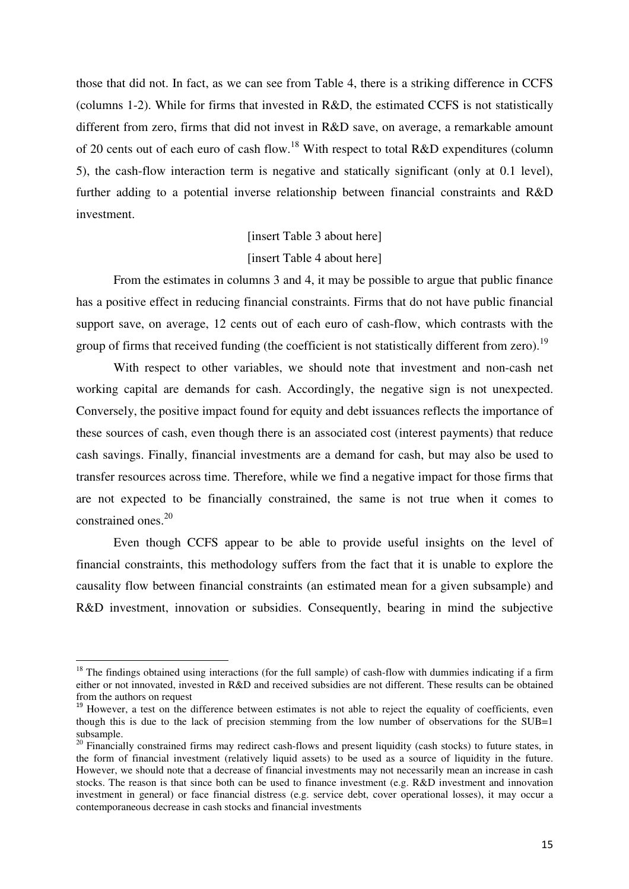those that did not. In fact, as we can see from Table 4, there is a striking difference in CCFS (columns 1-2). While for firms that invested in R&D, the estimated CCFS is not statistically different from zero, firms that did not invest in R&D save, on average, a remarkable amount of 20 cents out of each euro of cash flow.<sup>18</sup> With respect to total R&D expenditures (column 5), the cash-flow interaction term is negative and statically significant (only at 0.1 level), further adding to a potential inverse relationship between financial constraints and R&D investment.

# [insert Table 3 about here] [insert Table 4 about here]

 From the estimates in columns 3 and 4, it may be possible to argue that public finance has a positive effect in reducing financial constraints. Firms that do not have public financial support save, on average, 12 cents out of each euro of cash-flow, which contrasts with the group of firms that received funding (the coefficient is not statistically different from zero).<sup>19</sup>

 With respect to other variables, we should note that investment and non-cash net working capital are demands for cash. Accordingly, the negative sign is not unexpected. Conversely, the positive impact found for equity and debt issuances reflects the importance of these sources of cash, even though there is an associated cost (interest payments) that reduce cash savings. Finally, financial investments are a demand for cash, but may also be used to transfer resources across time. Therefore, while we find a negative impact for those firms that are not expected to be financially constrained, the same is not true when it comes to constrained ones.<sup>20</sup>

 Even though CCFS appear to be able to provide useful insights on the level of financial constraints, this methodology suffers from the fact that it is unable to explore the causality flow between financial constraints (an estimated mean for a given subsample) and R&D investment, innovation or subsidies. Consequently, bearing in mind the subjective

 $\overline{a}$ 

 $18$  The findings obtained using interactions (for the full sample) of cash-flow with dummies indicating if a firm either or not innovated, invested in R&D and received subsidies are not different. These results can be obtained from the authors on request

<sup>&</sup>lt;sup>19</sup> However, a test on the difference between estimates is not able to reject the equality of coefficients, even though this is due to the lack of precision stemming from the low number of observations for the SUB=1 subsample.

<sup>&</sup>lt;sup>20</sup> Financially constrained firms may redirect cash-flows and present liquidity (cash stocks) to future states, in the form of financial investment (relatively liquid assets) to be used as a source of liquidity in the future. However, we should note that a decrease of financial investments may not necessarily mean an increase in cash stocks. The reason is that since both can be used to finance investment (e.g. R&D investment and innovation investment in general) or face financial distress (e.g. service debt, cover operational losses), it may occur a contemporaneous decrease in cash stocks and financial investments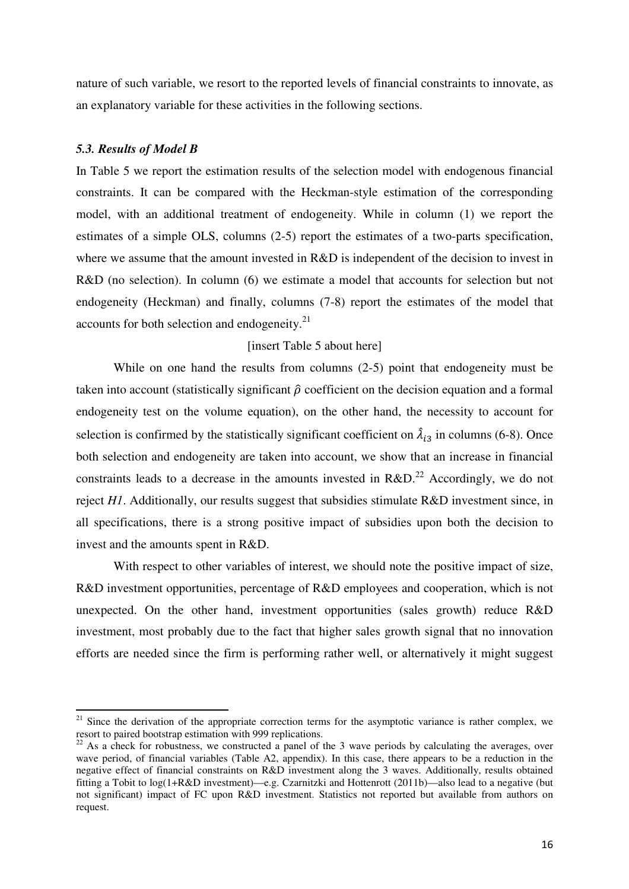nature of such variable, we resort to the reported levels of financial constraints to innovate, as an explanatory variable for these activities in the following sections.

### *5.3. Results of Model B*

l

In Table 5 we report the estimation results of the selection model with endogenous financial constraints. It can be compared with the Heckman-style estimation of the corresponding model, with an additional treatment of endogeneity. While in column (1) we report the estimates of a simple OLS, columns (2-5) report the estimates of a two-parts specification, where we assume that the amount invested in R&D is independent of the decision to invest in R&D (no selection). In column (6) we estimate a model that accounts for selection but not endogeneity (Heckman) and finally, columns (7-8) report the estimates of the model that accounts for both selection and endogeneity.<sup>21</sup>

## [insert Table 5 about here]

 While on one hand the results from columns (2-5) point that endogeneity must be taken into account (statistically significant  $\hat{\rho}$  coefficient on the decision equation and a formal endogeneity test on the volume equation), on the other hand, the necessity to account for selection is confirmed by the statistically significant coefficient on  $\hat{\lambda}_{i3}$  in columns (6-8). Once both selection and endogeneity are taken into account, we show that an increase in financial constraints leads to a decrease in the amounts invested in  $R&D.<sup>22</sup>$  Accordingly, we do not reject *H1*. Additionally, our results suggest that subsidies stimulate R&D investment since, in all specifications, there is a strong positive impact of subsidies upon both the decision to invest and the amounts spent in R&D.

With respect to other variables of interest, we should note the positive impact of size, R&D investment opportunities, percentage of R&D employees and cooperation, which is not unexpected. On the other hand, investment opportunities (sales growth) reduce R&D investment, most probably due to the fact that higher sales growth signal that no innovation efforts are needed since the firm is performing rather well, or alternatively it might suggest

<sup>&</sup>lt;sup>21</sup> Since the derivation of the appropriate correction terms for the asymptotic variance is rather complex, we resort to paired bootstrap estimation with 999 replications.

<sup>&</sup>lt;sup>22</sup> As a check for robustness, we constructed a panel of the 3 wave periods by calculating the averages, over wave period, of financial variables (Table A2, appendix). In this case, there appears to be a reduction in the negative effect of financial constraints on R&D investment along the 3 waves. Additionally, results obtained fitting a Tobit to log(1+R&D investment)—e.g. Czarnitzki and Hottenrott (2011b)—also lead to a negative (but not significant) impact of FC upon R&D investment. Statistics not reported but available from authors on request.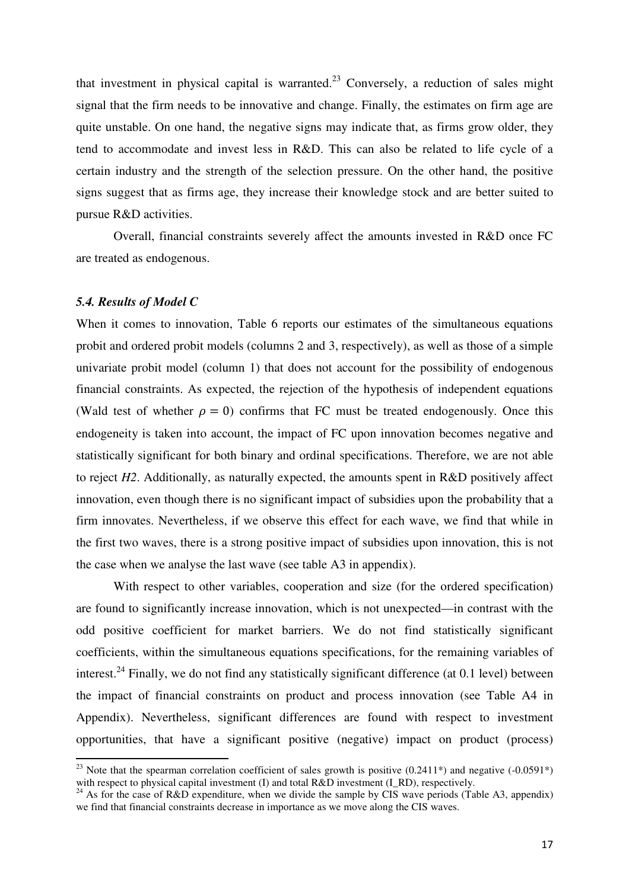that investment in physical capital is warranted.<sup>23</sup> Conversely, a reduction of sales might signal that the firm needs to be innovative and change. Finally, the estimates on firm age are quite unstable. On one hand, the negative signs may indicate that, as firms grow older, they tend to accommodate and invest less in R&D. This can also be related to life cycle of a certain industry and the strength of the selection pressure. On the other hand, the positive signs suggest that as firms age, they increase their knowledge stock and are better suited to pursue R&D activities.

 Overall, financial constraints severely affect the amounts invested in R&D once FC are treated as endogenous.

### *5.4. Results of Model C*

 $\overline{a}$ 

When it comes to innovation, Table 6 reports our estimates of the simultaneous equations probit and ordered probit models (columns 2 and 3, respectively), as well as those of a simple univariate probit model (column 1) that does not account for the possibility of endogenous financial constraints. As expected, the rejection of the hypothesis of independent equations (Wald test of whether  $\rho = 0$ ) confirms that FC must be treated endogenously. Once this endogeneity is taken into account, the impact of FC upon innovation becomes negative and statistically significant for both binary and ordinal specifications. Therefore, we are not able to reject *H2*. Additionally, as naturally expected, the amounts spent in R&D positively affect innovation, even though there is no significant impact of subsidies upon the probability that a firm innovates. Nevertheless, if we observe this effect for each wave, we find that while in the first two waves, there is a strong positive impact of subsidies upon innovation, this is not the case when we analyse the last wave (see table A3 in appendix).

With respect to other variables, cooperation and size (for the ordered specification) are found to significantly increase innovation, which is not unexpected—in contrast with the odd positive coefficient for market barriers. We do not find statistically significant coefficients, within the simultaneous equations specifications, for the remaining variables of interest.<sup>24</sup> Finally, we do not find any statistically significant difference (at 0.1 level) between the impact of financial constraints on product and process innovation (see Table A4 in Appendix). Nevertheless, significant differences are found with respect to investment opportunities, that have a significant positive (negative) impact on product (process)

<sup>&</sup>lt;sup>23</sup> Note that the spearman correlation coefficient of sales growth is positive  $(0.2411*)$  and negative  $(-0.0591*)$ with respect to physical capital investment (I) and total  $R&D$  investment (I\_RD), respectively.

<sup>&</sup>lt;sup>24</sup> As for the case of R&D expenditure, when we divide the sample by CIS wave periods (Table A3, appendix) we find that financial constraints decrease in importance as we move along the CIS waves.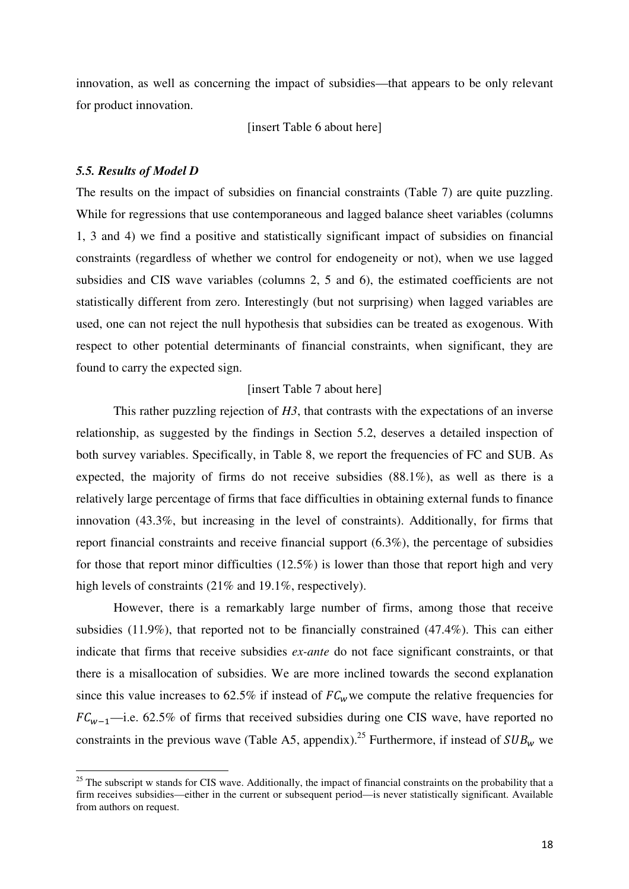innovation, as well as concerning the impact of subsidies—that appears to be only relevant for product innovation.

[insert Table 6 about here]

### *5.5. Results of Model D*

l

The results on the impact of subsidies on financial constraints (Table 7) are quite puzzling. While for regressions that use contemporaneous and lagged balance sheet variables (columns 1, 3 and 4) we find a positive and statistically significant impact of subsidies on financial constraints (regardless of whether we control for endogeneity or not), when we use lagged subsidies and CIS wave variables (columns 2, 5 and 6), the estimated coefficients are not statistically different from zero. Interestingly (but not surprising) when lagged variables are used, one can not reject the null hypothesis that subsidies can be treated as exogenous. With respect to other potential determinants of financial constraints, when significant, they are found to carry the expected sign.

## [insert Table 7 about here]

 This rather puzzling rejection of *H3*, that contrasts with the expectations of an inverse relationship, as suggested by the findings in Section 5.2, deserves a detailed inspection of both survey variables. Specifically, in Table 8, we report the frequencies of FC and SUB. As expected, the majority of firms do not receive subsidies (88.1%), as well as there is a relatively large percentage of firms that face difficulties in obtaining external funds to finance innovation (43.3%, but increasing in the level of constraints). Additionally, for firms that report financial constraints and receive financial support (6.3%), the percentage of subsidies for those that report minor difficulties (12.5%) is lower than those that report high and very high levels of constraints (21% and 19.1%, respectively).

 However, there is a remarkably large number of firms, among those that receive subsidies (11.9%), that reported not to be financially constrained (47.4%). This can either indicate that firms that receive subsidies *ex-ante* do not face significant constraints, or that there is a misallocation of subsidies. We are more inclined towards the second explanation since this value increases to 62.5% if instead of  $FC_w$  we compute the relative frequencies for  $FC_{w-1}$ —i.e. 62.5% of firms that received subsidies during one CIS wave, have reported no constraints in the previous wave (Table A5, appendix).<sup>25</sup> Furthermore, if instead of  $SUB<sub>w</sub>$  we

<sup>&</sup>lt;sup>25</sup> The subscript w stands for CIS wave. Additionally, the impact of financial constraints on the probability that a firm receives subsidies—either in the current or subsequent period—is never statistically significant. Available from authors on request.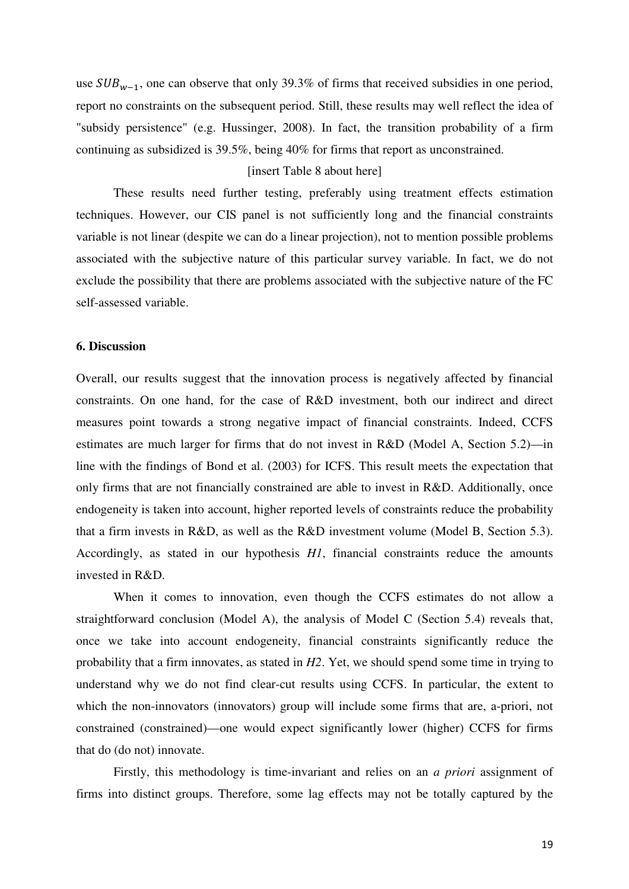use  $SUB_{w-1}$ , one can observe that only 39.3% of firms that received subsidies in one period, report no constraints on the subsequent period. Still, these results may well reflect the idea of "subsidy persistence" (e.g. Hussinger, 2008). In fact, the transition probability of a firm continuing as subsidized is 39.5%, being 40% for firms that report as unconstrained.

## [insert Table 8 about here]

 These results need further testing, preferably using treatment effects estimation techniques. However, our CIS panel is not sufficiently long and the financial constraints variable is not linear (despite we can do a linear projection), not to mention possible problems associated with the subjective nature of this particular survey variable. In fact, we do not exclude the possibility that there are problems associated with the subjective nature of the FC self-assessed variable.

### **6. Discussion**

Overall, our results suggest that the innovation process is negatively affected by financial constraints. On one hand, for the case of R&D investment, both our indirect and direct measures point towards a strong negative impact of financial constraints. Indeed, CCFS estimates are much larger for firms that do not invest in R&D (Model A, Section 5.2)—in line with the findings of Bond et al. (2003) for ICFS. This result meets the expectation that only firms that are not financially constrained are able to invest in R&D. Additionally, once endogeneity is taken into account, higher reported levels of constraints reduce the probability that a firm invests in R&D, as well as the R&D investment volume (Model B, Section 5.3). Accordingly, as stated in our hypothesis *H1*, financial constraints reduce the amounts invested in R&D.

 When it comes to innovation, even though the CCFS estimates do not allow a straightforward conclusion (Model A), the analysis of Model C (Section 5.4) reveals that, once we take into account endogeneity, financial constraints significantly reduce the probability that a firm innovates, as stated in *H2*. Yet, we should spend some time in trying to understand why we do not find clear-cut results using CCFS. In particular, the extent to which the non-innovators (innovators) group will include some firms that are, a-priori, not constrained (constrained)—one would expect significantly lower (higher) CCFS for firms that do (do not) innovate.

 Firstly, this methodology is time-invariant and relies on an *a priori* assignment of firms into distinct groups. Therefore, some lag effects may not be totally captured by the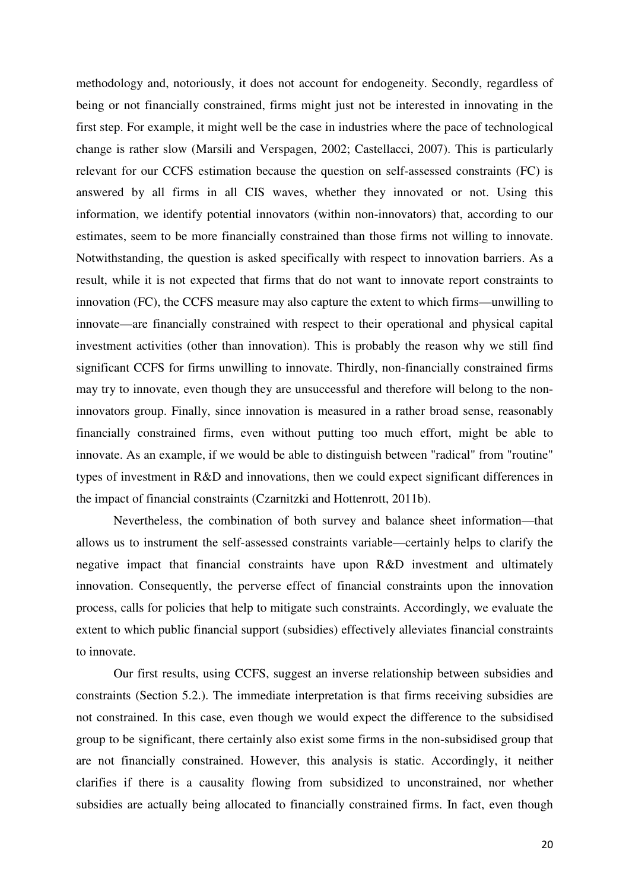methodology and, notoriously, it does not account for endogeneity. Secondly, regardless of being or not financially constrained, firms might just not be interested in innovating in the first step. For example, it might well be the case in industries where the pace of technological change is rather slow (Marsili and Verspagen, 2002; Castellacci, 2007). This is particularly relevant for our CCFS estimation because the question on self-assessed constraints (FC) is answered by all firms in all CIS waves, whether they innovated or not. Using this information, we identify potential innovators (within non-innovators) that, according to our estimates, seem to be more financially constrained than those firms not willing to innovate. Notwithstanding, the question is asked specifically with respect to innovation barriers. As a result, while it is not expected that firms that do not want to innovate report constraints to innovation (FC), the CCFS measure may also capture the extent to which firms—unwilling to innovate—are financially constrained with respect to their operational and physical capital investment activities (other than innovation). This is probably the reason why we still find significant CCFS for firms unwilling to innovate. Thirdly, non-financially constrained firms may try to innovate, even though they are unsuccessful and therefore will belong to the noninnovators group. Finally, since innovation is measured in a rather broad sense, reasonably financially constrained firms, even without putting too much effort, might be able to innovate. As an example, if we would be able to distinguish between "radical" from "routine" types of investment in R&D and innovations, then we could expect significant differences in the impact of financial constraints (Czarnitzki and Hottenrott, 2011b).

 Nevertheless, the combination of both survey and balance sheet information—that allows us to instrument the self-assessed constraints variable—certainly helps to clarify the negative impact that financial constraints have upon R&D investment and ultimately innovation. Consequently, the perverse effect of financial constraints upon the innovation process, calls for policies that help to mitigate such constraints. Accordingly, we evaluate the extent to which public financial support (subsidies) effectively alleviates financial constraints to innovate.

 Our first results, using CCFS, suggest an inverse relationship between subsidies and constraints (Section 5.2.). The immediate interpretation is that firms receiving subsidies are not constrained. In this case, even though we would expect the difference to the subsidised group to be significant, there certainly also exist some firms in the non-subsidised group that are not financially constrained. However, this analysis is static. Accordingly, it neither clarifies if there is a causality flowing from subsidized to unconstrained, nor whether subsidies are actually being allocated to financially constrained firms. In fact, even though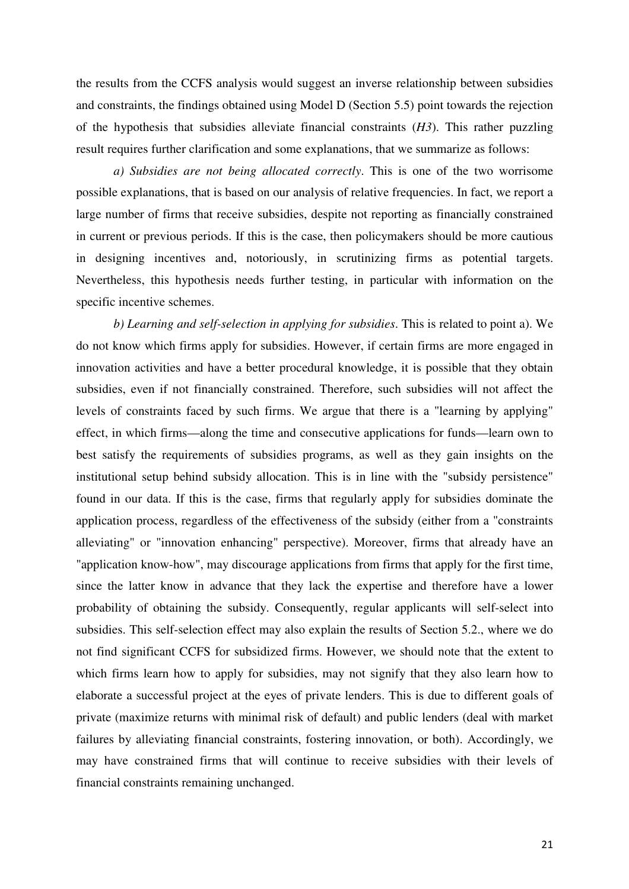the results from the CCFS analysis would suggest an inverse relationship between subsidies and constraints, the findings obtained using Model D (Section 5.5) point towards the rejection of the hypothesis that subsidies alleviate financial constraints (*H3*). This rather puzzling result requires further clarification and some explanations, that we summarize as follows:

 *a) Subsidies are not being allocated correctly*. This is one of the two worrisome possible explanations, that is based on our analysis of relative frequencies. In fact, we report a large number of firms that receive subsidies, despite not reporting as financially constrained in current or previous periods. If this is the case, then policymakers should be more cautious in designing incentives and, notoriously, in scrutinizing firms as potential targets. Nevertheless, this hypothesis needs further testing, in particular with information on the specific incentive schemes.

 *b) Learning and self-selection in applying for subsidies*. This is related to point a). We do not know which firms apply for subsidies. However, if certain firms are more engaged in innovation activities and have a better procedural knowledge, it is possible that they obtain subsidies, even if not financially constrained. Therefore, such subsidies will not affect the levels of constraints faced by such firms. We argue that there is a "learning by applying" effect, in which firms—along the time and consecutive applications for funds—learn own to best satisfy the requirements of subsidies programs, as well as they gain insights on the institutional setup behind subsidy allocation. This is in line with the "subsidy persistence" found in our data. If this is the case, firms that regularly apply for subsidies dominate the application process, regardless of the effectiveness of the subsidy (either from a "constraints alleviating" or "innovation enhancing" perspective). Moreover, firms that already have an "application know-how", may discourage applications from firms that apply for the first time, since the latter know in advance that they lack the expertise and therefore have a lower probability of obtaining the subsidy. Consequently, regular applicants will self-select into subsidies. This self-selection effect may also explain the results of Section 5.2., where we do not find significant CCFS for subsidized firms. However, we should note that the extent to which firms learn how to apply for subsidies, may not signify that they also learn how to elaborate a successful project at the eyes of private lenders. This is due to different goals of private (maximize returns with minimal risk of default) and public lenders (deal with market failures by alleviating financial constraints, fostering innovation, or both). Accordingly, we may have constrained firms that will continue to receive subsidies with their levels of financial constraints remaining unchanged.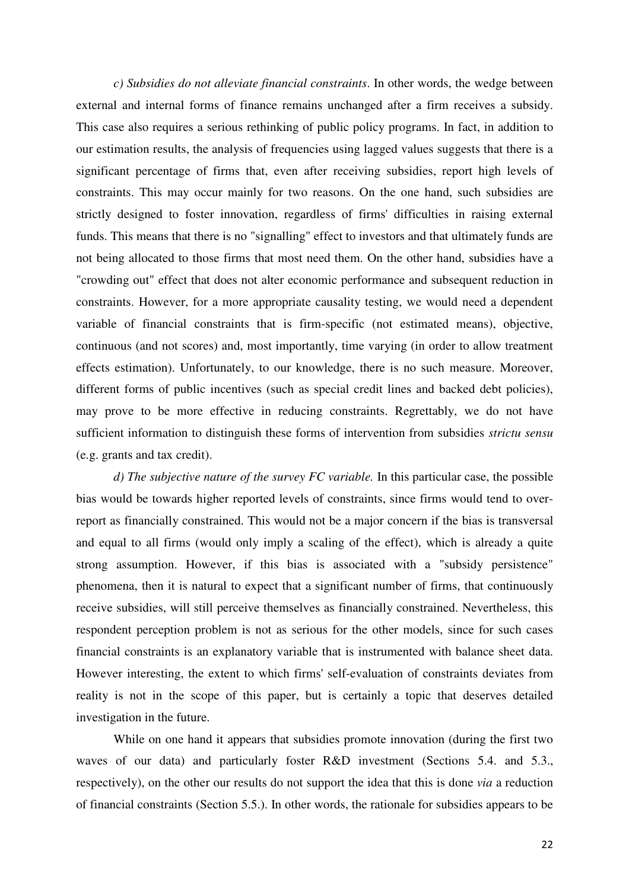*c) Subsidies do not alleviate financial constraints*. In other words, the wedge between external and internal forms of finance remains unchanged after a firm receives a subsidy. This case also requires a serious rethinking of public policy programs. In fact, in addition to our estimation results, the analysis of frequencies using lagged values suggests that there is a significant percentage of firms that, even after receiving subsidies, report high levels of constraints. This may occur mainly for two reasons. On the one hand, such subsidies are strictly designed to foster innovation, regardless of firms' difficulties in raising external funds. This means that there is no "signalling" effect to investors and that ultimately funds are not being allocated to those firms that most need them. On the other hand, subsidies have a "crowding out" effect that does not alter economic performance and subsequent reduction in constraints. However, for a more appropriate causality testing, we would need a dependent variable of financial constraints that is firm-specific (not estimated means), objective, continuous (and not scores) and, most importantly, time varying (in order to allow treatment effects estimation). Unfortunately, to our knowledge, there is no such measure. Moreover, different forms of public incentives (such as special credit lines and backed debt policies), may prove to be more effective in reducing constraints. Regrettably, we do not have sufficient information to distinguish these forms of intervention from subsidies *strictu sensu* (e.g. grants and tax credit).

 *d) The subjective nature of the survey FC variable.* In this particular case, the possible bias would be towards higher reported levels of constraints, since firms would tend to overreport as financially constrained. This would not be a major concern if the bias is transversal and equal to all firms (would only imply a scaling of the effect), which is already a quite strong assumption. However, if this bias is associated with a "subsidy persistence" phenomena, then it is natural to expect that a significant number of firms, that continuously receive subsidies, will still perceive themselves as financially constrained. Nevertheless, this respondent perception problem is not as serious for the other models, since for such cases financial constraints is an explanatory variable that is instrumented with balance sheet data. However interesting, the extent to which firms' self-evaluation of constraints deviates from reality is not in the scope of this paper, but is certainly a topic that deserves detailed investigation in the future.

 While on one hand it appears that subsidies promote innovation (during the first two waves of our data) and particularly foster R&D investment (Sections 5.4. and 5.3., respectively), on the other our results do not support the idea that this is done *via* a reduction of financial constraints (Section 5.5.). In other words, the rationale for subsidies appears to be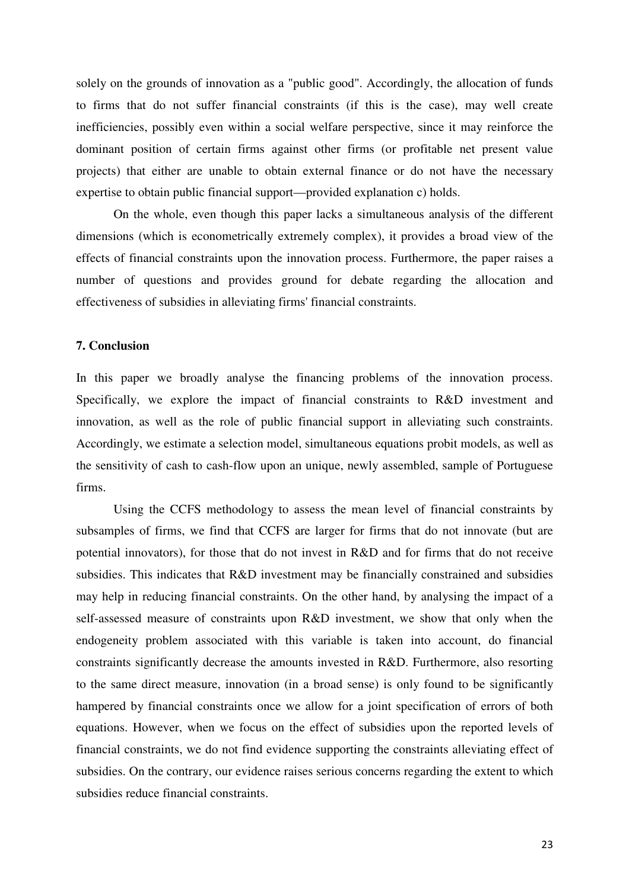solely on the grounds of innovation as a "public good". Accordingly, the allocation of funds to firms that do not suffer financial constraints (if this is the case), may well create inefficiencies, possibly even within a social welfare perspective, since it may reinforce the dominant position of certain firms against other firms (or profitable net present value projects) that either are unable to obtain external finance or do not have the necessary expertise to obtain public financial support—provided explanation c) holds.

 On the whole, even though this paper lacks a simultaneous analysis of the different dimensions (which is econometrically extremely complex), it provides a broad view of the effects of financial constraints upon the innovation process. Furthermore, the paper raises a number of questions and provides ground for debate regarding the allocation and effectiveness of subsidies in alleviating firms' financial constraints.

## **7. Conclusion**

In this paper we broadly analyse the financing problems of the innovation process. Specifically, we explore the impact of financial constraints to R&D investment and innovation, as well as the role of public financial support in alleviating such constraints. Accordingly, we estimate a selection model, simultaneous equations probit models, as well as the sensitivity of cash to cash-flow upon an unique, newly assembled, sample of Portuguese firms.

 Using the CCFS methodology to assess the mean level of financial constraints by subsamples of firms, we find that CCFS are larger for firms that do not innovate (but are potential innovators), for those that do not invest in R&D and for firms that do not receive subsidies. This indicates that R&D investment may be financially constrained and subsidies may help in reducing financial constraints. On the other hand, by analysing the impact of a self-assessed measure of constraints upon R&D investment, we show that only when the endogeneity problem associated with this variable is taken into account, do financial constraints significantly decrease the amounts invested in R&D. Furthermore, also resorting to the same direct measure, innovation (in a broad sense) is only found to be significantly hampered by financial constraints once we allow for a joint specification of errors of both equations. However, when we focus on the effect of subsidies upon the reported levels of financial constraints, we do not find evidence supporting the constraints alleviating effect of subsidies. On the contrary, our evidence raises serious concerns regarding the extent to which subsidies reduce financial constraints.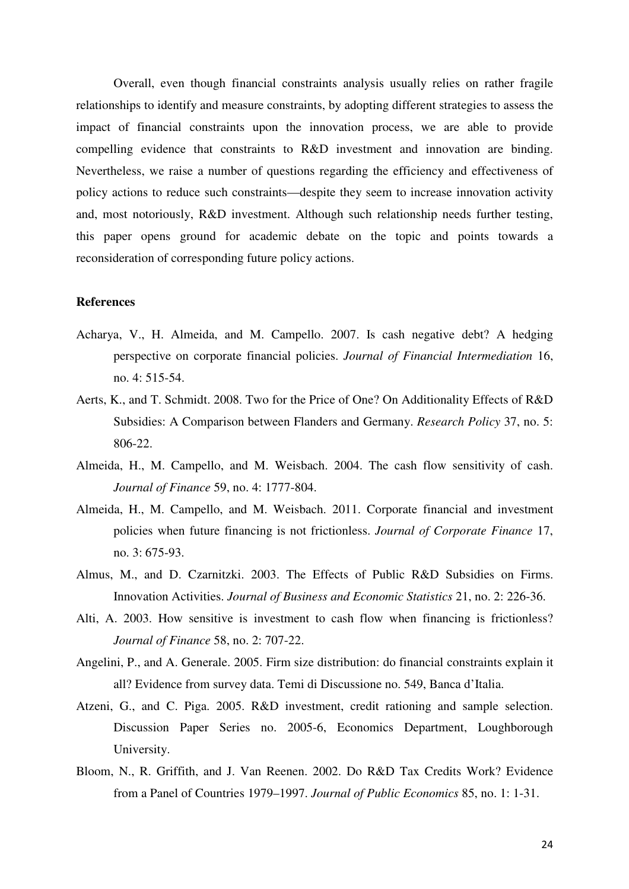Overall, even though financial constraints analysis usually relies on rather fragile relationships to identify and measure constraints, by adopting different strategies to assess the impact of financial constraints upon the innovation process, we are able to provide compelling evidence that constraints to R&D investment and innovation are binding. Nevertheless, we raise a number of questions regarding the efficiency and effectiveness of policy actions to reduce such constraints—despite they seem to increase innovation activity and, most notoriously, R&D investment. Although such relationship needs further testing, this paper opens ground for academic debate on the topic and points towards a reconsideration of corresponding future policy actions.

## **References**

- Acharya, V., H. Almeida, and M. Campello. 2007. Is cash negative debt? A hedging perspective on corporate financial policies. *Journal of Financial Intermediation* 16, no. 4: 515-54.
- Aerts, K., and T. Schmidt. 2008. Two for the Price of One? On Additionality Effects of R&D Subsidies: A Comparison between Flanders and Germany. *Research Policy* 37, no. 5: 806-22.
- Almeida, H., M. Campello, and M. Weisbach. 2004. The cash flow sensitivity of cash. *Journal of Finance* 59, no. 4: 1777-804.
- Almeida, H., M. Campello, and M. Weisbach. 2011. Corporate financial and investment policies when future financing is not frictionless. *Journal of Corporate Finance* 17, no. 3: 675-93.
- Almus, M., and D. Czarnitzki. 2003. The Effects of Public R&D Subsidies on Firms. Innovation Activities. *Journal of Business and Economic Statistics* 21, no. 2: 226-36.
- Alti, A. 2003. How sensitive is investment to cash flow when financing is frictionless? *Journal of Finance* 58, no. 2: 707-22.
- Angelini, P., and A. Generale. 2005. Firm size distribution: do financial constraints explain it all? Evidence from survey data. Temi di Discussione no. 549, Banca d'Italia.
- Atzeni, G., and C. Piga. 2005. R&D investment, credit rationing and sample selection. Discussion Paper Series no. 2005-6, Economics Department, Loughborough University.
- Bloom, N., R. Griffith, and J. Van Reenen. 2002. Do R&D Tax Credits Work? Evidence from a Panel of Countries 1979–1997. *Journal of Public Economics* 85, no. 1: 1-31.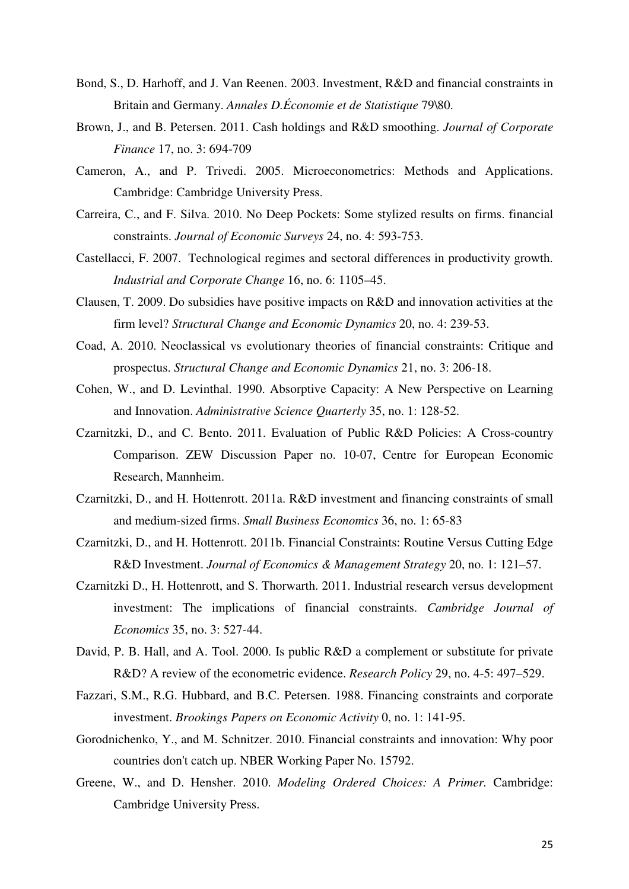- Bond, S., D. Harhoff, and J. Van Reenen. 2003. Investment, R&D and financial constraints in Britain and Germany. *Annales D.Économie et de Statistique* 79\80.
- Brown, J., and B. Petersen. 2011. Cash holdings and R&D smoothing. *Journal of Corporate Finance* 17, no. 3: 694-709
- Cameron, A., and P. Trivedi. 2005. Microeconometrics: Methods and Applications. Cambridge: Cambridge University Press.
- Carreira, C., and F. Silva. 2010. No Deep Pockets: Some stylized results on firms. financial constraints. *Journal of Economic Surveys* 24, no. 4: 593-753.
- Castellacci, F. 2007. Technological regimes and sectoral differences in productivity growth. *Industrial and Corporate Change* 16, no. 6: 1105–45.
- Clausen, T. 2009. Do subsidies have positive impacts on R&D and innovation activities at the firm level? *Structural Change and Economic Dynamics* 20, no. 4: 239-53.
- Coad, A. 2010. Neoclassical vs evolutionary theories of financial constraints: Critique and prospectus. *Structural Change and Economic Dynamics* 21, no. 3: 206-18.
- Cohen, W., and D. Levinthal. 1990. Absorptive Capacity: A New Perspective on Learning and Innovation. *Administrative Science Quarterly* 35, no. 1: 128-52.
- Czarnitzki, D., and C. Bento. 2011. Evaluation of Public R&D Policies: A Cross-country Comparison. ZEW Discussion Paper no. 10-07, Centre for European Economic Research, Mannheim.
- Czarnitzki, D., and H. Hottenrott. 2011a. R&D investment and financing constraints of small and medium-sized firms. *Small Business Economics* 36, no. 1: 65-83
- Czarnitzki, D., and H. Hottenrott. 2011b. Financial Constraints: Routine Versus Cutting Edge R&D Investment. *Journal of Economics & Management Strategy* 20, no. 1: 121–57.
- Czarnitzki D., H. Hottenrott, and S. Thorwarth. 2011. Industrial research versus development investment: The implications of financial constraints. *Cambridge Journal of Economics* 35, no. 3: 527-44.
- David, P. B. Hall, and A. Tool. 2000. Is public R&D a complement or substitute for private R&D? A review of the econometric evidence. *Research Policy* 29, no. 4-5: 497–529.
- Fazzari, S.M., R.G. Hubbard, and B.C. Petersen. 1988. Financing constraints and corporate investment. *Brookings Papers on Economic Activity* 0, no. 1: 141-95.
- Gorodnichenko, Y., and M. Schnitzer. 2010. Financial constraints and innovation: Why poor countries don't catch up. NBER Working Paper No. 15792.
- Greene, W., and D. Hensher. 2010. *Modeling Ordered Choices: A Primer.* Cambridge: Cambridge University Press.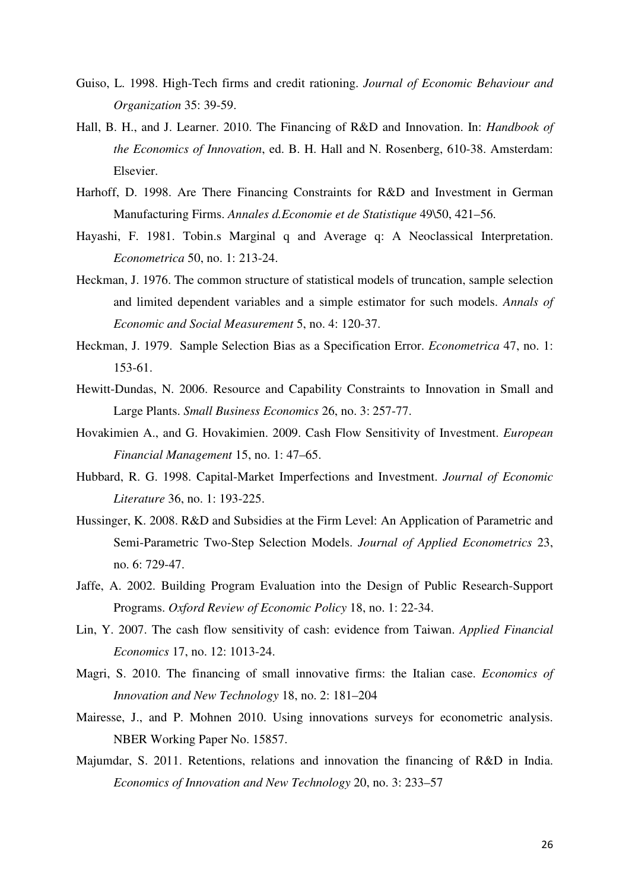- Guiso, L. 1998. High-Tech firms and credit rationing. *Journal of Economic Behaviour and Organization* 35: 39-59.
- Hall, B. H., and J. Learner. 2010. The Financing of R&D and Innovation. In: *Handbook of the Economics of Innovation*, ed. B. H. Hall and N. Rosenberg, 610-38. Amsterdam: Elsevier.
- Harhoff, D. 1998. Are There Financing Constraints for R&D and Investment in German Manufacturing Firms. *Annales d.Economie et de Statistique* 49\50, 421–56.
- Hayashi, F. 1981. Tobin.s Marginal q and Average q: A Neoclassical Interpretation. *Econometrica* 50, no. 1: 213-24.
- Heckman, J. 1976. The common structure of statistical models of truncation, sample selection and limited dependent variables and a simple estimator for such models. *Annals of Economic and Social Measurement* 5, no. 4: 120-37.
- Heckman, J. 1979. Sample Selection Bias as a Specification Error. *Econometrica* 47, no. 1: 153-61.
- Hewitt-Dundas, N. 2006. Resource and Capability Constraints to Innovation in Small and Large Plants. *Small Business Economics* 26, no. 3: 257-77.
- Hovakimien A., and G. Hovakimien. 2009. Cash Flow Sensitivity of Investment. *European Financial Management* 15, no. 1: 47–65.
- Hubbard, R. G. 1998. Capital-Market Imperfections and Investment. *Journal of Economic Literature* 36, no. 1: 193-225.
- Hussinger, K. 2008. R&D and Subsidies at the Firm Level: An Application of Parametric and Semi-Parametric Two-Step Selection Models. *Journal of Applied Econometrics* 23, no. 6: 729-47.
- Jaffe, A. 2002. Building Program Evaluation into the Design of Public Research-Support Programs. *Oxford Review of Economic Policy* 18, no. 1: 22-34.
- Lin, Y. 2007. The cash flow sensitivity of cash: evidence from Taiwan. *Applied Financial Economics* 17, no. 12: 1013-24.
- Magri, S. 2010. The financing of small innovative firms: the Italian case. *Economics of Innovation and New Technology* 18, no. 2: 181–204
- Mairesse, J., and P. Mohnen 2010. Using innovations surveys for econometric analysis. NBER Working Paper No. 15857.
- Majumdar, S. 2011. Retentions, relations and innovation the financing of R&D in India. *Economics of Innovation and New Technology* 20, no. 3: 233–57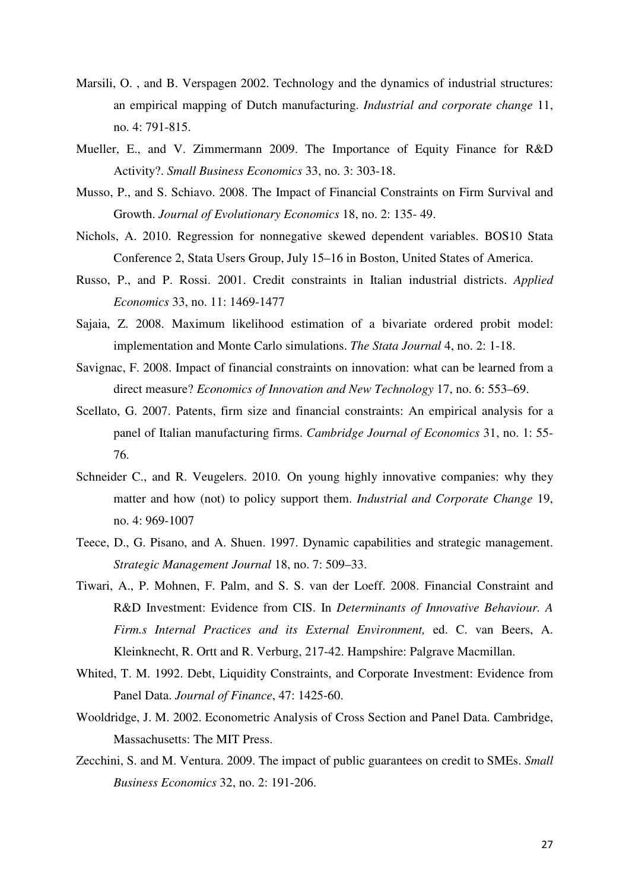- Marsili, O. , and B. Verspagen 2002. Technology and the dynamics of industrial structures: an empirical mapping of Dutch manufacturing. *Industrial and corporate change* 11, no. 4: 791-815.
- Mueller, E., and V. Zimmermann 2009. The Importance of Equity Finance for R&D Activity?. *Small Business Economics* 33, no. 3: 303-18.
- Musso, P., and S. Schiavo. 2008. The Impact of Financial Constraints on Firm Survival and Growth. *Journal of Evolutionary Economics* 18, no. 2: 135- 49.
- Nichols, A. 2010. Regression for nonnegative skewed dependent variables. BOS10 Stata Conference 2, Stata Users Group, July 15–16 in Boston, United States of America.
- Russo, P., and P. Rossi. 2001. Credit constraints in Italian industrial districts. *Applied Economics* 33, no. 11: 1469-1477
- Sajaia, Z. 2008. Maximum likelihood estimation of a bivariate ordered probit model: implementation and Monte Carlo simulations. *The Stata Journal* 4, no. 2: 1-18.
- Savignac, F. 2008. Impact of financial constraints on innovation: what can be learned from a direct measure? *Economics of Innovation and New Technology* 17, no. 6: 553–69.
- Scellato, G. 2007. Patents, firm size and financial constraints: An empirical analysis for a panel of Italian manufacturing firms. *Cambridge Journal of Economics* 31, no. 1: 55- 76.
- Schneider C., and R. Veugelers. 2010. On young highly innovative companies: why they matter and how (not) to policy support them. *Industrial and Corporate Change* 19, no. 4: 969-1007
- Teece, D., G. Pisano, and A. Shuen. 1997. Dynamic capabilities and strategic management. *Strategic Management Journal* 18, no. 7: 509–33.
- Tiwari, A., P. Mohnen, F. Palm, and S. S. van der Loeff. 2008. Financial Constraint and R&D Investment: Evidence from CIS. In *Determinants of Innovative Behaviour. A Firm.s Internal Practices and its External Environment,* ed. C. van Beers, A. Kleinknecht, R. Ortt and R. Verburg, 217-42. Hampshire: Palgrave Macmillan.
- Whited, T. M. 1992. Debt, Liquidity Constraints, and Corporate Investment: Evidence from Panel Data. *Journal of Finance*, 47: 1425-60.
- Wooldridge, J. M. 2002. Econometric Analysis of Cross Section and Panel Data. Cambridge, Massachusetts: The MIT Press.
- Zecchini, S. and M. Ventura. 2009. The impact of public guarantees on credit to SMEs. *Small Business Economics* 32, no. 2: 191-206.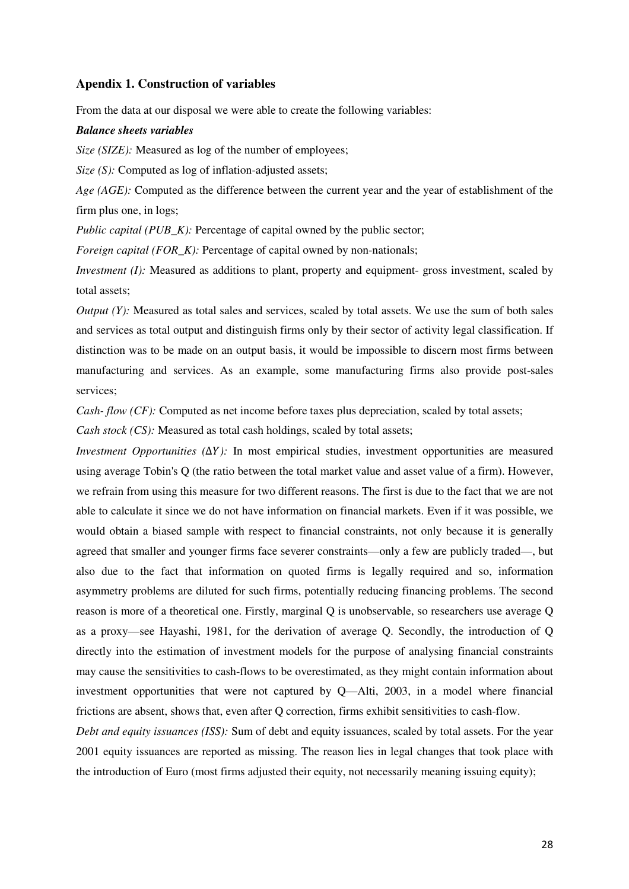### **Apendix 1. Construction of variables**

From the data at our disposal we were able to create the following variables:

#### *Balance sheets variables*

*Size (SIZE):* Measured as log of the number of employees;

*Size (S):* Computed as log of inflation-adjusted assets;

*Age (AGE):* Computed as the difference between the current year and the year of establishment of the firm plus one, in logs;

*Public capital (PUB\_K):* Percentage of capital owned by the public sector;

*Foreign capital (FOR K):* Percentage of capital owned by non-nationals;

*Investment (I):* Measured as additions to plant, property and equipment- gross investment, scaled by total assets;

*Output (Y):* Measured as total sales and services, scaled by total assets. We use the sum of both sales and services as total output and distinguish firms only by their sector of activity legal classification. If distinction was to be made on an output basis, it would be impossible to discern most firms between manufacturing and services. As an example, some manufacturing firms also provide post-sales services;

*Cash- flow (CF):* Computed as net income before taxes plus depreciation, scaled by total assets;

*Cash stock (CS):* Measured as total cash holdings, scaled by total assets;

*Investment Opportunities (ΔY):* In most empirical studies, investment opportunities are measured using average Tobin's Q (the ratio between the total market value and asset value of a firm). However, we refrain from using this measure for two different reasons. The first is due to the fact that we are not able to calculate it since we do not have information on financial markets. Even if it was possible, we would obtain a biased sample with respect to financial constraints, not only because it is generally agreed that smaller and younger firms face severer constraints—only a few are publicly traded—, but also due to the fact that information on quoted firms is legally required and so, information asymmetry problems are diluted for such firms, potentially reducing financing problems. The second reason is more of a theoretical one. Firstly, marginal Q is unobservable, so researchers use average Q as a proxy—see Hayashi, 1981, for the derivation of average Q. Secondly, the introduction of Q directly into the estimation of investment models for the purpose of analysing financial constraints may cause the sensitivities to cash-flows to be overestimated, as they might contain information about investment opportunities that were not captured by Q—Alti, 2003, in a model where financial frictions are absent, shows that, even after Q correction, firms exhibit sensitivities to cash-flow.

*Debt and equity issuances (ISS):* Sum of debt and equity issuances, scaled by total assets. For the year 2001 equity issuances are reported as missing. The reason lies in legal changes that took place with the introduction of Euro (most firms adjusted their equity, not necessarily meaning issuing equity);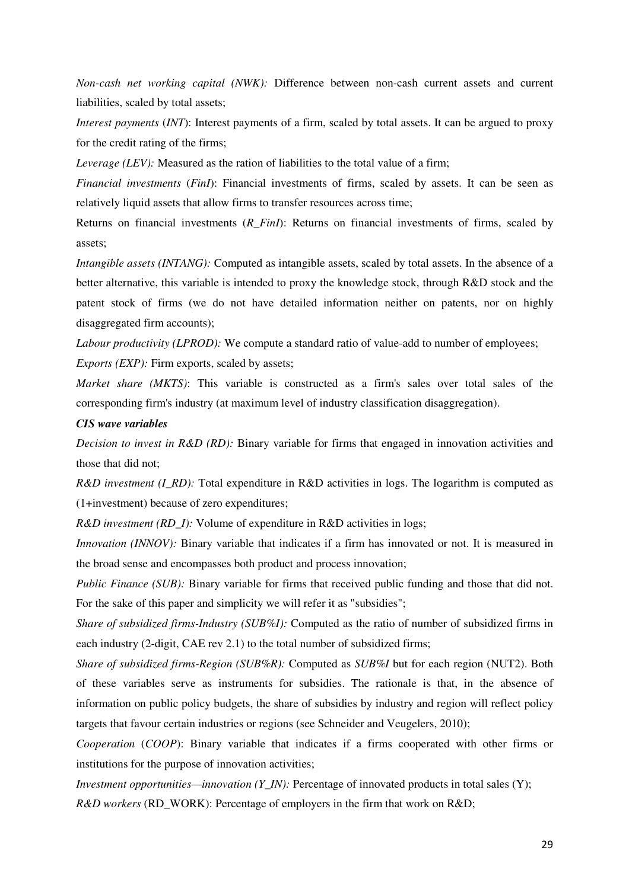*Non-cash net working capital (NWK):* Difference between non-cash current assets and current liabilities, scaled by total assets;

*Interest payments* (*INT*): Interest payments of a firm, scaled by total assets. It can be argued to proxy for the credit rating of the firms;

*Leverage (LEV):* Measured as the ration of liabilities to the total value of a firm;

*Financial investments* (*FinI*): Financial investments of firms, scaled by assets. It can be seen as relatively liquid assets that allow firms to transfer resources across time;

Returns on financial investments (*R\_FinI*): Returns on financial investments of firms, scaled by assets;

*Intangible assets (INTANG):* Computed as intangible assets, scaled by total assets. In the absence of a better alternative, this variable is intended to proxy the knowledge stock, through R&D stock and the patent stock of firms (we do not have detailed information neither on patents, nor on highly disaggregated firm accounts);

*Labour productivity (LPROD):* We compute a standard ratio of value-add to number of employees;

*Exports (EXP):* Firm exports, scaled by assets;

*Market share (MKTS)*: This variable is constructed as a firm's sales over total sales of the corresponding firm's industry (at maximum level of industry classification disaggregation).

#### *CIS wave variables*

*Decision to invest in R&D (RD):* Binary variable for firms that engaged in innovation activities and those that did not;

*R&D investment (I\_RD):* Total expenditure in R&D activities in logs. The logarithm is computed as (1+investment) because of zero expenditures;

*R&D investment (RD\_I):* Volume of expenditure in R&D activities in logs;

*Innovation (INNOV):* Binary variable that indicates if a firm has innovated or not. It is measured in the broad sense and encompasses both product and process innovation;

*Public Finance (SUB):* Binary variable for firms that received public funding and those that did not. For the sake of this paper and simplicity we will refer it as "subsidies";

*Share of subsidized firms-Industry (SUB%I):* Computed as the ratio of number of subsidized firms in each industry (2-digit, CAE rev 2.1) to the total number of subsidized firms;

*Share of subsidized firms-Region (SUB%R):* Computed as *SUB%I* but for each region (NUT2). Both of these variables serve as instruments for subsidies. The rationale is that, in the absence of information on public policy budgets, the share of subsidies by industry and region will reflect policy targets that favour certain industries or regions (see Schneider and Veugelers, 2010);

*Cooperation* (*COOP*): Binary variable that indicates if a firms cooperated with other firms or institutions for the purpose of innovation activities;

*Investment opportunities—innovation (Y\_IN):* Percentage of innovated products in total sales (Y);

*R&D workers* (RD\_WORK): Percentage of employers in the firm that work on R&D;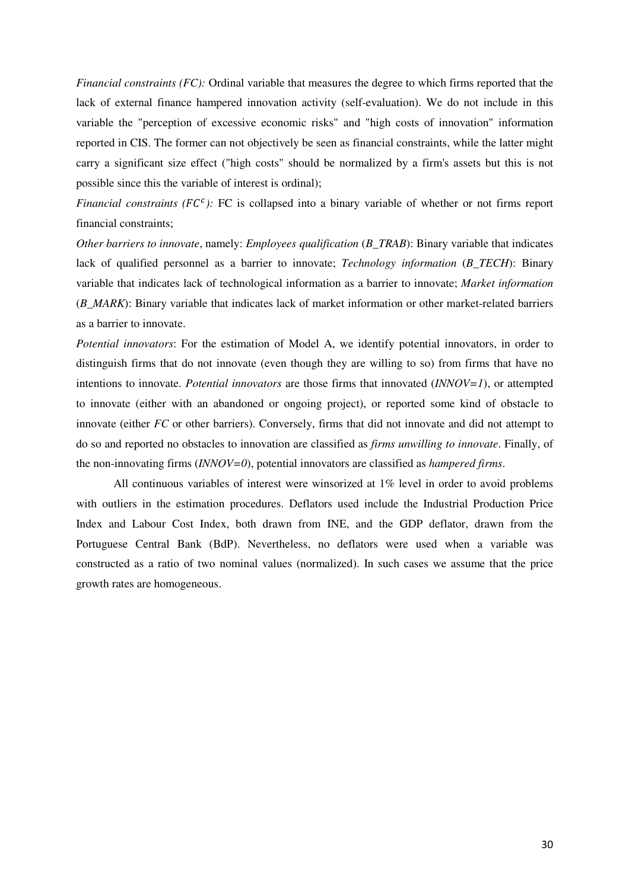*Financial constraints (FC):* Ordinal variable that measures the degree to which firms reported that the lack of external finance hampered innovation activity (self-evaluation). We do not include in this variable the "perception of excessive economic risks" and "high costs of innovation" information reported in CIS. The former can not objectively be seen as financial constraints, while the latter might carry a significant size effect ("high costs" should be normalized by a firm's assets but this is not possible since this the variable of interest is ordinal);

*Financial constraints (FC<sup>c</sup>):* FC is collapsed into a binary variable of whether or not firms report financial constraints;

*Other barriers to innovate*, namely: *Employees qualification* (*B\_TRAB*): Binary variable that indicates lack of qualified personnel as a barrier to innovate; *Technology information* (*B\_TECH*): Binary variable that indicates lack of technological information as a barrier to innovate; *Market information* (*B\_MARK*): Binary variable that indicates lack of market information or other market-related barriers as a barrier to innovate.

*Potential innovators*: For the estimation of Model A, we identify potential innovators, in order to distinguish firms that do not innovate (even though they are willing to so) from firms that have no intentions to innovate. *Potential innovators* are those firms that innovated (*INNOV=1*), or attempted to innovate (either with an abandoned or ongoing project), or reported some kind of obstacle to innovate (either *FC* or other barriers). Conversely, firms that did not innovate and did not attempt to do so and reported no obstacles to innovation are classified as *firms unwilling to innovate*. Finally, of the non-innovating firms (*INNOV=0*), potential innovators are classified as *hampered firms*.

 All continuous variables of interest were winsorized at 1% level in order to avoid problems with outliers in the estimation procedures. Deflators used include the Industrial Production Price Index and Labour Cost Index, both drawn from INE, and the GDP deflator, drawn from the Portuguese Central Bank (BdP). Nevertheless, no deflators were used when a variable was constructed as a ratio of two nominal values (normalized). In such cases we assume that the price growth rates are homogeneous.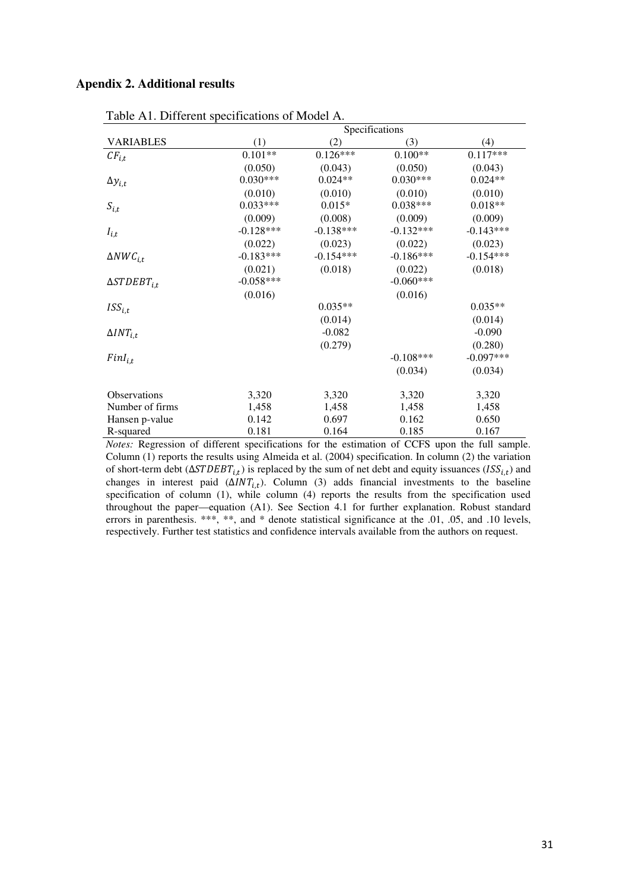### **Apendix 2. Additional results**

| ruste The Burelone specifications of modern |             |             | Specifications |             |
|---------------------------------------------|-------------|-------------|----------------|-------------|
| <b>VARIABLES</b>                            | (1)         | (2)         | (3)            | (4)         |
| $CF_{i,t}$                                  | $0.101**$   | $0.126***$  | $0.100**$      | $0.117***$  |
|                                             | (0.050)     | (0.043)     | (0.050)        | (0.043)     |
| $\Delta y_{i,t}$                            | $0.030***$  | $0.024**$   | $0.030***$     | $0.024**$   |
|                                             | (0.010)     | (0.010)     | (0.010)        | (0.010)     |
| $S_{i,t}$                                   | $0.033***$  | $0.015*$    | $0.038***$     | $0.018**$   |
|                                             | (0.009)     | (0.008)     | (0.009)        | (0.009)     |
| $I_{i,t}$                                   | $-0.128***$ | $-0.138***$ | $-0.132***$    | $-0.143***$ |
|                                             | (0.022)     | (0.023)     | (0.022)        | (0.023)     |
| $\Delta NWC_{i.t}$                          | $-0.183***$ | $-0.154***$ | $-0.186***$    | $-0.154***$ |
|                                             | (0.021)     | (0.018)     | (0.022)        | (0.018)     |
| $\Delta STDEBT_{i.t}$                       | $-0.058***$ |             | $-0.060***$    |             |
|                                             | (0.016)     |             | (0.016)        |             |
| $ISS_{i.t}$                                 |             | $0.035**$   |                | $0.035**$   |
|                                             |             | (0.014)     |                | (0.014)     |
| $\Delta INT_{i.t}$                          |             | $-0.082$    |                | $-0.090$    |
|                                             |             | (0.279)     |                | (0.280)     |
| $FinI_{i,t}$                                |             |             | $-0.108***$    | $-0.097***$ |
|                                             |             |             | (0.034)        | (0.034)     |
|                                             |             |             |                |             |
| Observations                                | 3,320       | 3,320       | 3,320          | 3,320       |
| Number of firms                             | 1,458       | 1,458       | 1,458          | 1,458       |
| Hansen p-value                              | 0.142       | 0.697       | 0.162          | 0.650       |
| R-squared                                   | 0.181       | 0.164       | 0.185          | 0.167       |

Table A1. Different specifications of Model A.

*Notes:* Regression of different specifications for the estimation of CCFS upon the full sample. Column (1) reports the results using Almeida et al. (2004) specification. In column (2) the variation of short-term debt ( $\triangle STDEBT_{i,t}$ ) is replaced by the sum of net debt and equity issuances ( $ISS_{i,t}$ ) and changes in interest paid  $(\Delta INT_{it})$ . Column (3) adds financial investments to the baseline specification of column (1), while column (4) reports the results from the specification used throughout the paper—equation (A1). See Section 4.1 for further explanation. Robust standard errors in parenthesis. \*\*\*, \*\*, and \* denote statistical significance at the .01, .05, and .10 levels, respectively. Further test statistics and confidence intervals available from the authors on request.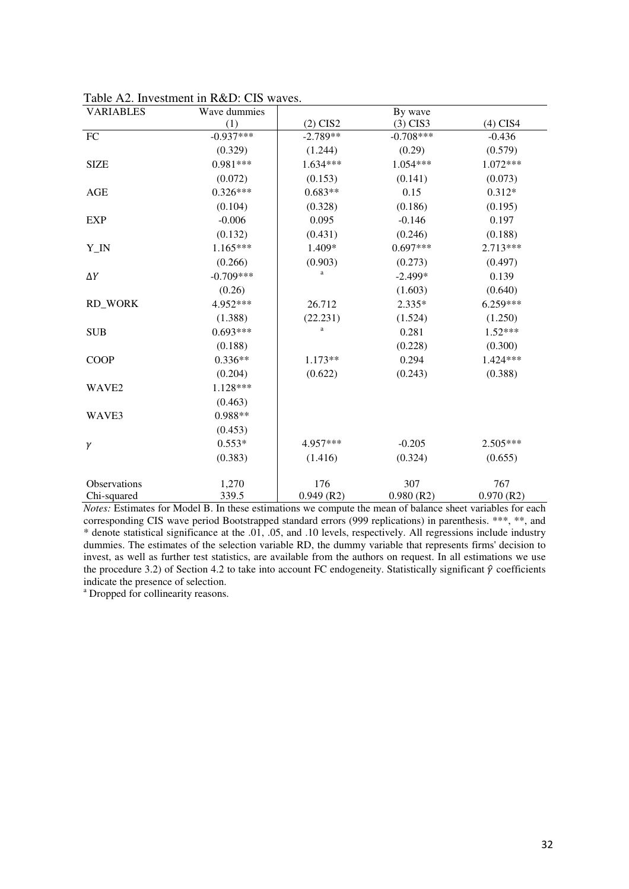| <b>VARIABLES</b>    | Wave dummies |              | By wave     |            |
|---------------------|--------------|--------------|-------------|------------|
|                     | (1)          | $(2)$ CIS2   | $(3)$ CIS3  | $(4)$ CIS4 |
| FC                  | $-0.937***$  | $-2.789**$   | $-0.708***$ | $-0.436$   |
|                     | (0.329)      | (1.244)      | (0.29)      | (0.579)    |
| <b>SIZE</b>         | $0.981***$   | 1.634***     | 1.054***    | 1.072***   |
|                     | (0.072)      | (0.153)      | (0.141)     | (0.073)    |
| AGE                 | $0.326***$   | $0.683**$    | 0.15        | $0.312*$   |
|                     | (0.104)      | (0.328)      | (0.186)     | (0.195)    |
| <b>EXP</b>          | $-0.006$     | 0.095        | $-0.146$    | 0.197      |
|                     | (0.132)      | (0.431)      | (0.246)     | (0.188)    |
| Y_IN                | $1.165***$   | 1.409*       | $0.697***$  | 2.713***   |
|                     | (0.266)      | (0.903)      | (0.273)     | (0.497)    |
| $\Delta Y$          | $-0.709***$  | a            | $-2.499*$   | 0.139      |
|                     | (0.26)       |              | (1.603)     | (0.640)    |
| <b>RD WORK</b>      | 4.952***     | 26.712       | $2.335*$    | 6.259***   |
|                     | (1.388)      | (22.231)     | (1.524)     | (1.250)    |
| <b>SUB</b>          | $0.693***$   | a            | 0.281       | $1.52***$  |
|                     | (0.188)      |              | (0.228)     | (0.300)    |
| <b>COOP</b>         | $0.336**$    | 1.173**      | 0.294       | 1.424***   |
|                     | (0.204)      | (0.622)      | (0.243)     | (0.388)    |
| WAVE <sub>2</sub>   | 1.128***     |              |             |            |
|                     | (0.463)      |              |             |            |
| WAVE3               | 0.988**      |              |             |            |
|                     | (0.453)      |              |             |            |
| γ                   | $0.553*$     | 4.957***     | $-0.205$    | $2.505***$ |
|                     | (0.383)      | (1.416)      | (0.324)     | (0.655)    |
|                     |              |              |             |            |
| <b>Observations</b> | 1,270        | 176          | 307         | 767        |
| Chi-squared         | 339.5        | $0.949$ (R2) | 0.980(R2)   | 0.970(R2)  |

Table A2. Investment in R&D: CIS waves.

*Notes:* Estimates for Model B. In these estimations we compute the mean of balance sheet variables for each corresponding CIS wave period Bootstrapped standard errors (999 replications) in parenthesis. \*\*\*, \*\*, and \* denote statistical significance at the .01, .05, and .10 levels, respectively. All regressions include industry dummies. The estimates of the selection variable RD, the dummy variable that represents firms' decision to invest, as well as further test statistics, are available from the authors on request. In all estimations we use the procedure 3.2) of Section 4.2 to take into account FC endogeneity. Statistically significant  $\hat{\gamma}$  coefficients indicate the presence of selection.

a Dropped for collinearity reasons.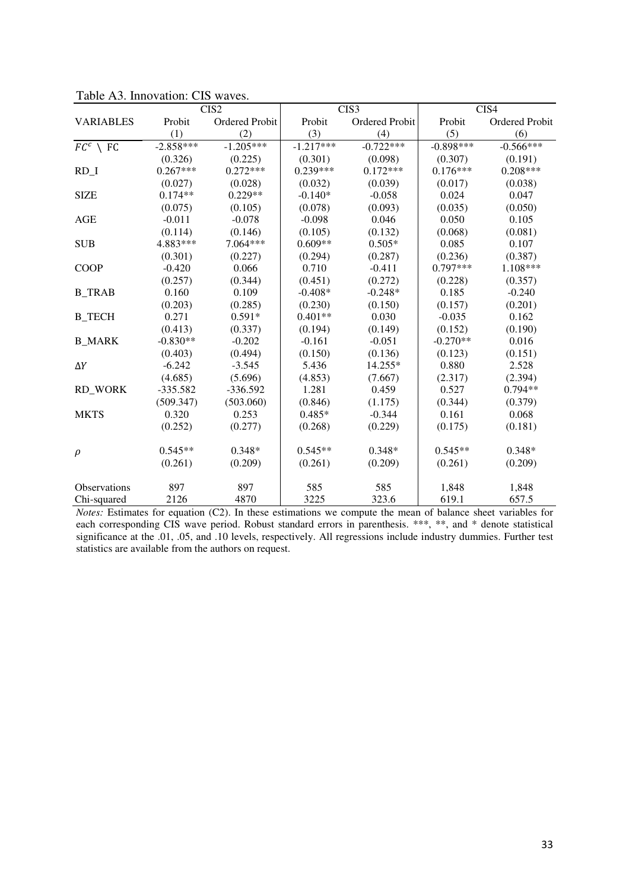|                     |             | CIS <sub>2</sub> |             | CIS3           |             | CIS4           |
|---------------------|-------------|------------------|-------------|----------------|-------------|----------------|
| <b>VARIABLES</b>    | Probit      | Ordered Probit   | Probit      | Ordered Probit | Probit      | Ordered Probit |
|                     | (1)         | (2)              | (3)         | (4)            | (5)         | (6)            |
| $FC^c \setminus FC$ | $-2.858***$ | $-1.205***$      | $-1.217***$ | $-0.722***$    | $-0.898***$ | $-0.566***$    |
|                     | (0.326)     | (0.225)          | (0.301)     | (0.098)        | (0.307)     | (0.191)        |
| $RD_1$              | $0.267***$  | $0.272***$       | $0.239***$  | $0.172***$     | $0.176***$  | $0.208***$     |
|                     | (0.027)     | (0.028)          | (0.032)     | (0.039)        | (0.017)     | (0.038)        |
| <b>SIZE</b>         | $0.174**$   | $0.229**$        | $-0.140*$   | $-0.058$       | 0.024       | 0.047          |
|                     | (0.075)     | (0.105)          | (0.078)     | (0.093)        | (0.035)     | (0.050)        |
| AGE                 | $-0.011$    | $-0.078$         | $-0.098$    | 0.046          | 0.050       | 0.105          |
|                     | (0.114)     | (0.146)          | (0.105)     | (0.132)        | (0.068)     | (0.081)        |
| <b>SUB</b>          | 4.883***    | 7.064***         | $0.609**$   | $0.505*$       | 0.085       | 0.107          |
|                     | (0.301)     | (0.227)          | (0.294)     | (0.287)        | (0.236)     | (0.387)        |
| <b>COOP</b>         | $-0.420$    | 0.066            | 0.710       | $-0.411$       | 0.797***    | 1.108***       |
|                     | (0.257)     | (0.344)          | (0.451)     | (0.272)        | (0.228)     | (0.357)        |
| <b>B</b> TRAB       | 0.160       | 0.109            | $-0.408*$   | $-0.248*$      | 0.185       | $-0.240$       |
|                     | (0.203)     | (0.285)          | (0.230)     | (0.150)        | (0.157)     | (0.201)        |
| <b>B</b> TECH       | 0.271       | $0.591*$         | $0.401**$   | 0.030          | $-0.035$    | 0.162          |
|                     | (0.413)     | (0.337)          | (0.194)     | (0.149)        | (0.152)     | (0.190)        |
| <b>B MARK</b>       | $-0.830**$  | $-0.202$         | $-0.161$    | $-0.051$       | $-0.270**$  | 0.016          |
|                     | (0.403)     | (0.494)          | (0.150)     | (0.136)        | (0.123)     | (0.151)        |
| $\Delta Y$          | $-6.242$    | $-3.545$         | 5.436       | 14.255*        | 0.880       | 2.528          |
|                     | (4.685)     | (5.696)          | (4.853)     | (7.667)        | (2.317)     | (2.394)        |
| <b>RD WORK</b>      | $-335.582$  | $-336.592$       | 1.281       | 0.459          | 0.527       | $0.794**$      |
|                     | (509.347)   | (503.060)        | (0.846)     | (1.175)        | (0.344)     | (0.379)        |
| <b>MKTS</b>         | 0.320       | 0.253            | $0.485*$    | $-0.344$       | 0.161       | 0.068          |
|                     | (0.252)     | (0.277)          | (0.268)     | (0.229)        | (0.175)     | (0.181)        |
| $\rho$              | $0.545**$   | $0.348*$         | $0.545**$   | $0.348*$       | $0.545**$   | $0.348*$       |
|                     | (0.261)     | (0.209)          | (0.261)     | (0.209)        | (0.261)     | (0.209)        |
| <b>Observations</b> | 897         | 897              | 585         | 585            | 1,848       | 1,848          |
| Chi-squared         | 2126        | 4870             | 3225        | 323.6          | 619.1       | 657.5          |

Table A3. Innovation: CIS waves.

*Notes:* Estimates for equation (C2). In these estimations we compute the mean of balance sheet variables for each corresponding CIS wave period. Robust standard errors in parenthesis. \*\*\*, \*\*, and \* denote statistical significance at the .01, .05, and .10 levels, respectively. All regressions include industry dummies. Further test statistics are available from the authors on request.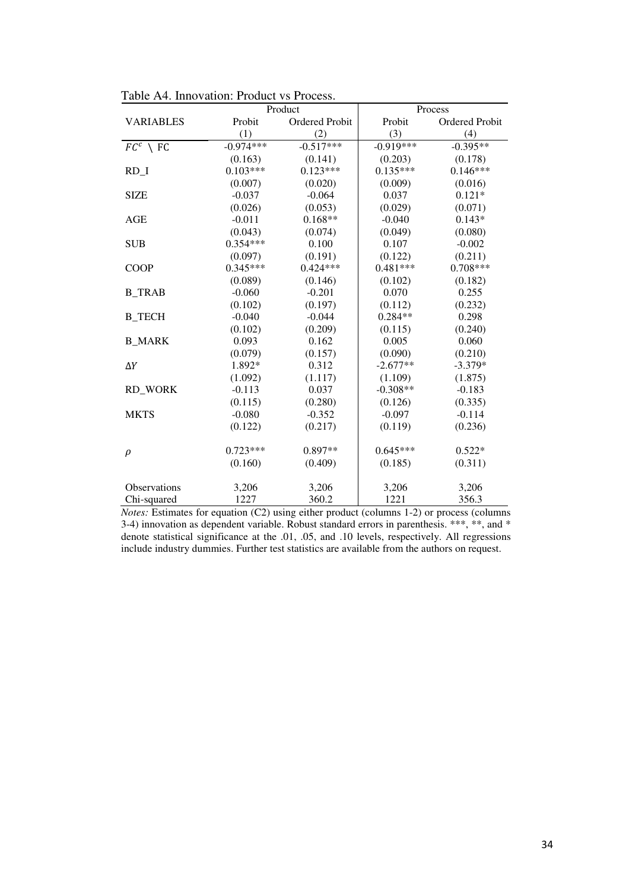|                     |             | Product        |             | Process        |
|---------------------|-------------|----------------|-------------|----------------|
| <b>VARIABLES</b>    | Probit      | Ordered Probit | Probit      | Ordered Probit |
|                     | (1)         | (2)            | (3)         | (4)            |
| $FC^c \setminus FC$ | $-0.974***$ | $-0.517***$    | $-0.919***$ | $-0.395**$     |
|                     | (0.163)     | (0.141)        | (0.203)     | (0.178)        |
| RD I                | $0.103***$  | $0.123***$     | $0.135***$  | $0.146***$     |
|                     | (0.007)     | (0.020)        | (0.009)     | (0.016)        |
| <b>SIZE</b>         | $-0.037$    | $-0.064$       | 0.037       | $0.121*$       |
|                     | (0.026)     | (0.053)        | (0.029)     | (0.071)        |
| AGE                 | $-0.011$    | $0.168**$      | $-0.040$    | $0.143*$       |
|                     | (0.043)     | (0.074)        | (0.049)     | (0.080)        |
| <b>SUB</b>          | $0.354***$  | 0.100          | 0.107       | $-0.002$       |
|                     | (0.097)     | (0.191)        | (0.122)     | (0.211)        |
| <b>COOP</b>         | $0.345***$  | $0.424***$     | $0.481***$  | $0.708***$     |
|                     | (0.089)     | (0.146)        | (0.102)     | (0.182)        |
| <b>B_TRAB</b>       | $-0.060$    | $-0.201$       | 0.070       | 0.255          |
|                     | (0.102)     | (0.197)        | (0.112)     | (0.232)        |
| <b>B_TECH</b>       | $-0.040$    | $-0.044$       | $0.284**$   | 0.298          |
|                     | (0.102)     | (0.209)        | (0.115)     | (0.240)        |
| <b>B MARK</b>       | 0.093       | 0.162          | 0.005       | 0.060          |
|                     | (0.079)     | (0.157)        | (0.090)     | (0.210)        |
| $\Delta Y$          | 1.892*      | 0.312          | $-2.677**$  | $-3.379*$      |
|                     | (1.092)     | (1.117)        | (1.109)     | (1.875)        |
| <b>RD WORK</b>      | $-0.113$    | 0.037          | $-0.308**$  | $-0.183$       |
|                     | (0.115)     | (0.280)        | (0.126)     | (0.335)        |
| <b>MKTS</b>         | $-0.080$    | $-0.352$       | $-0.097$    | $-0.114$       |
|                     | (0.122)     | (0.217)        | (0.119)     | (0.236)        |
|                     |             |                |             |                |
| $\rho$              | $0.723***$  | $0.897**$      | $0.645***$  | $0.522*$       |
|                     | (0.160)     | (0.409)        | (0.185)     | (0.311)        |
|                     |             |                |             |                |
| Observations        | 3,206       | 3,206          | 3,206       | 3,206          |
| Chi-squared         | 1227        | 360.2          | 1221        | 356.3          |

Table A4. Innovation: Product vs Process.

*Notes:* Estimates for equation (C2) using either product (columns 1-2) or process (columns 3-4) innovation as dependent variable. Robust standard errors in parenthesis.  $***$ ,  $**$ , and  $*$ denote statistical significance at the .01, .05, and .10 levels, respectively. All regressions include industry dummies. Further test statistics are available from the authors on request.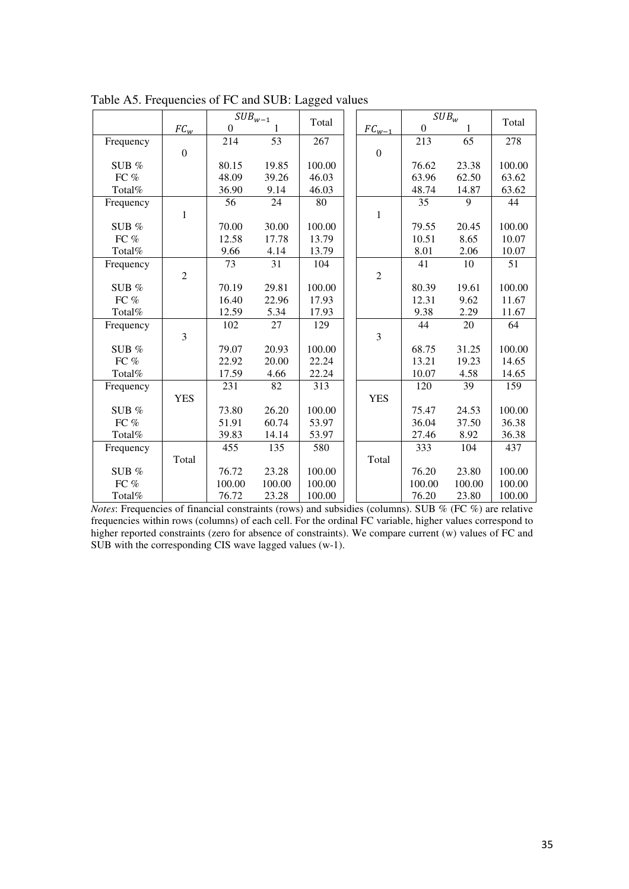|           |                  |                  | $\mathit{SUB}_{w-1}$ |        |                  |                  | SUB <sub>w</sub> |                 |
|-----------|------------------|------------------|----------------------|--------|------------------|------------------|------------------|-----------------|
|           | $FC_w$           | $\boldsymbol{0}$ |                      | Total  | $FC_{w-1}$       | $\boldsymbol{0}$ | 1                | Total           |
| Frequency |                  | 214              | 53                   | 267    |                  | 213              | 65               | 278             |
|           | $\boldsymbol{0}$ |                  |                      |        | $\boldsymbol{0}$ |                  |                  |                 |
| SUB $%$   |                  | 80.15            | 19.85                | 100.00 |                  | 76.62            | 23.38            | 100.00          |
| FC %      |                  | 48.09            | 39.26                | 46.03  |                  | 63.96            | 62.50            | 63.62           |
| Total%    |                  | 36.90            | 9.14                 | 46.03  |                  | 48.74            | 14.87            | 63.62           |
| Frequency |                  | 56               | 24                   | 80     |                  | 35               | 9                | 44              |
|           | $\mathbf{1}$     |                  |                      |        | $\mathbf{1}$     |                  |                  |                 |
| SUB $%$   |                  | 70.00            | 30.00                | 100.00 |                  | 79.55            | 20.45            | 100.00          |
| FC %      |                  | 12.58            | 17.78                | 13.79  |                  | 10.51            | 8.65             | 10.07           |
| Total%    |                  | 9.66             | 4.14                 | 13.79  |                  | 8.01             | 2.06             | 10.07           |
| Frequency |                  | $\overline{73}$  | $\overline{31}$      | 104    |                  | $\overline{41}$  | $\overline{10}$  | $\overline{51}$ |
|           | $\overline{2}$   |                  |                      |        | $\overline{2}$   |                  |                  |                 |
| SUB %     |                  | 70.19            | 29.81                | 100.00 |                  | 80.39            | 19.61            | 100.00          |
| FC %      |                  | 16.40            | 22.96                | 17.93  |                  | 12.31            | 9.62             | 11.67           |
| Total%    |                  | 12.59            | 5.34                 | 17.93  |                  | 9.38             | 2.29             | 11.67           |
| Frequency |                  | 102              | 27                   | 129    |                  | 44               | 20               | 64              |
|           | 3                |                  |                      |        | 3                |                  |                  |                 |
| SUB $%$   |                  | 79.07            | 20.93                | 100.00 |                  | 68.75            | 31.25            | 100.00          |
| FC $%$    |                  | 22.92            | 20.00                | 22.24  |                  | 13.21            | 19.23            | 14.65           |
| Total%    |                  | 17.59            | 4.66                 | 22.24  |                  | 10.07            | 4.58             | 14.65           |
| Frequency |                  | 231              | 82                   | 313    |                  | 120              | 39               | 159             |
|           | <b>YES</b>       |                  |                      |        | <b>YES</b>       |                  |                  |                 |
| SUB %     |                  | 73.80            | 26.20                | 100.00 |                  | 75.47            | 24.53            | 100.00          |
| FC $\%$   |                  | 51.91            | 60.74                | 53.97  |                  | 36.04            | 37.50            | 36.38           |
| Total%    |                  | 39.83            | 14.14                | 53.97  |                  | 27.46            | 8.92             | 36.38           |
| Frequency |                  | 455              | 135                  | 580    |                  | 333              | 104              | 437             |
|           | Total            |                  |                      |        | Total            |                  |                  |                 |
| SUB $%$   |                  | 76.72            | 23.28                | 100.00 |                  | 76.20            | 23.80            | 100.00          |
| FC %      |                  | 100.00           | 100.00               | 100.00 |                  | 100.00           | 100.00           | 100.00          |
| Total%    |                  | 76.72            | 23.28                | 100.00 |                  | 76.20            | 23.80            | 100.00          |

Table A5. Frequencies of FC and SUB: Lagged values

*Notes*: Frequencies of financial constraints (rows) and subsidies (columns). SUB % (FC %) are relative frequencies within rows (columns) of each cell. For the ordinal FC variable, higher values correspond to higher reported constraints (zero for absence of constraints). We compare current (w) values of FC and SUB with the corresponding CIS wave lagged values (w-1).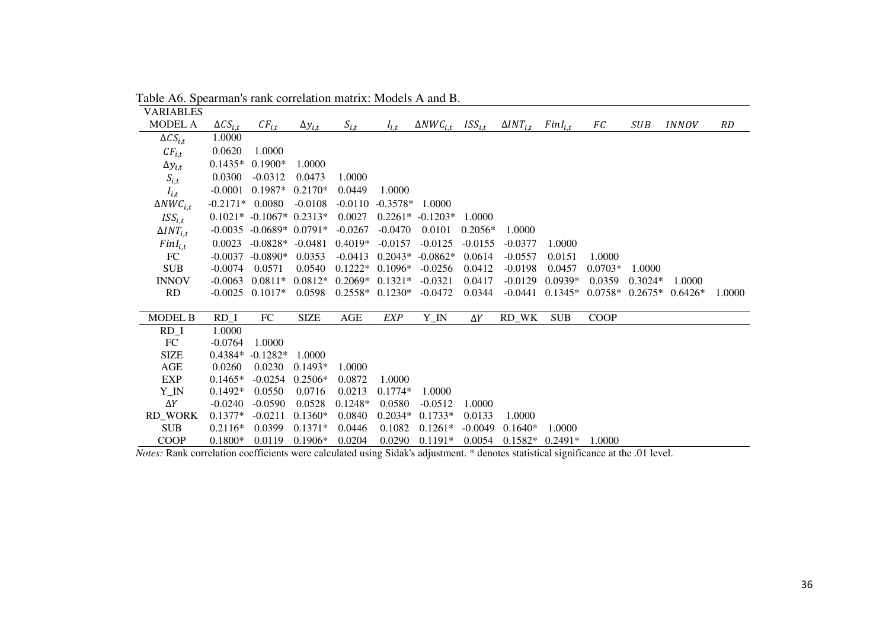| VARIABLES          |                   |                                |                  |                   |                   |                     |             |                     |              |             |            |                     |        |
|--------------------|-------------------|--------------------------------|------------------|-------------------|-------------------|---------------------|-------------|---------------------|--------------|-------------|------------|---------------------|--------|
| MODEL A            | $\Delta CS_{i,t}$ | $CF_{i,\underline{t}}$         | $\Delta y_{i,t}$ | $S_{i,t}$         | $I_{i,t}$         | $\Delta NWC_{i.t.}$ | $ISS_{i,t}$ | $\Delta INT_{i.t.}$ | $FinI_{i,t}$ | FC          | <b>SUB</b> | <i><b>INNOV</b></i> | RD     |
| $\Delta CS_{i.t}$  | 1.0000            |                                |                  |                   |                   |                     |             |                     |              |             |            |                     |        |
| $CF_{i.t.}$        | 0.0620            | 1.0000                         |                  |                   |                   |                     |             |                     |              |             |            |                     |        |
| $\Delta y_{i,t}$   | $0.1435*$         | $0.1900*$                      | 1.0000           |                   |                   |                     |             |                     |              |             |            |                     |        |
| $S_{i,t}$          | 0.0300            | $-0.0312$                      | 0.0473           | 1.0000            |                   |                     |             |                     |              |             |            |                     |        |
| $I_{i,t}$          | $-0.0001$         | $0.1987*$                      | $0.2170*$        | 0.0449            | 1.0000            |                     |             |                     |              |             |            |                     |        |
| $\Delta NWC_{i,t}$ | $-0.2171*$        | 0.0080                         | $-0.0108$        | $-0.0110$         | $-0.3578*$        | 1.0000              |             |                     |              |             |            |                     |        |
| ISS <sub>i.t</sub> |                   | $0.1021* -0.1067* 0.2313*$     |                  | 0.0027            |                   | $0.2261* -0.1203*$  | 1.0000      |                     |              |             |            |                     |        |
| $\Delta INT_{i,t}$ |                   | $-0.0035$ $-0.0689*$ $0.0791*$ |                  | $-0.0267$         | $-0.0470$         | 0.0101              | $0.2056*$   | 1.0000              |              |             |            |                     |        |
| $FinI_{i,t}$       | 0.0023            | $-0.0828* -0.0481$             |                  | $0.4019*$         | $-0.0157$         | $-0.0125$           | $-0.0155$   | $-0.0377$           | 1.0000       |             |            |                     |        |
| FC                 | $-0.0037$         | $-0.0890*$                     | 0.0353           | $-0.0413$         | $0.2043*$         | $-0.0862*$          | 0.0614      | $-0.0557$           | 0.0151       | 1.0000      |            |                     |        |
| <b>SUB</b>         | $-0.0074$         | 0.0571                         | 0.0540           | $0.1222*$         | $0.1096*$         | $-0.0256$           | 0.0412      | $-0.0198$           | 0.0457       | $0.0703*$   | 1.0000     |                     |        |
| <b>INNOV</b>       | $-0.0063$         | $0.0811*$                      | $0.0812*$        | $0.2069*$ 0.1321* |                   | $-0.0321$           | 0.0417      | $-0.0129$           | $0.0939*$    | 0.0359      | $0.3024*$  | 1.0000              |        |
| <b>RD</b>          | $-0.0025$         | $0.1017*$                      | 0.0598           |                   | $0.2558* 0.1230*$ | $-0.0472$           | 0.0344      | $-0.0441$           | $0.1345*$    | $0.0758*$   | $0.2675*$  | $0.6426*$           | 1.0000 |
|                    |                   |                                |                  |                   |                   |                     |             |                     |              |             |            |                     |        |
| <b>MODEL B</b>     | $RD_1$            | FC                             | <b>SIZE</b>      | AGE               | <b>EXP</b>        | Y_IN                | $\Delta Y$  | RD_WK               | <b>SUB</b>   | <b>COOP</b> |            |                     |        |
| $RD_1$             | 1.0000            |                                |                  |                   |                   |                     |             |                     |              |             |            |                     |        |
| FC                 | $-0.0764$         | 1.0000                         |                  |                   |                   |                     |             |                     |              |             |            |                     |        |
| <b>SIZE</b>        | $0.4384*$         | $-0.1282*$                     | 1.0000           |                   |                   |                     |             |                     |              |             |            |                     |        |
| AGE                | 0.0260            | 0.0230                         | $0.1493*$        | 1.0000            |                   |                     |             |                     |              |             |            |                     |        |
| <b>EXP</b>         | $0.1465*$         | $-0.0254$                      | $0.2506*$        | 0.0872            | 1.0000            |                     |             |                     |              |             |            |                     |        |
| $Y_N$              | $0.1492*$         | 0.0550                         | 0.0716           | 0.0213            | $0.1774*$         | 1.0000              |             |                     |              |             |            |                     |        |
| $\Delta Y$         | $-0.0240$         | $-0.0590$                      | 0.0528           | $0.1248*$         | 0.0580            | $-0.0512$           | 1.0000      |                     |              |             |            |                     |        |
| <b>RD_WORK</b>     | $0.1377*$         | $-0.0211$                      | $0.1360*$        | 0.0840            | $0.2034*$         | $0.1733*$           | 0.0133      | 1.0000              |              |             |            |                     |        |
| <b>SUB</b>         | $0.2116*$         | 0.0399                         | $0.1371*$        | 0.0446            | 0.1082            | $0.1261*$           | $-0.0049$   | $0.1640*$           | 1.0000       |             |            |                     |        |
| <b>COOP</b>        | $0.1800*$         | 0.0119                         | $0.1906*$        | 0.0204            | 0.0290            | $0.1191*$           | 0.0054      | $0.1582*$           | $0.2491*$    | 1.0000      |            |                     |        |

Table A6. Spearman's rank correlation matrix: Models A and B.

*Notes:* Rank correlation coefficients were calculated using Sidak's adjustment. \* denotes statistical significance at the .01 level.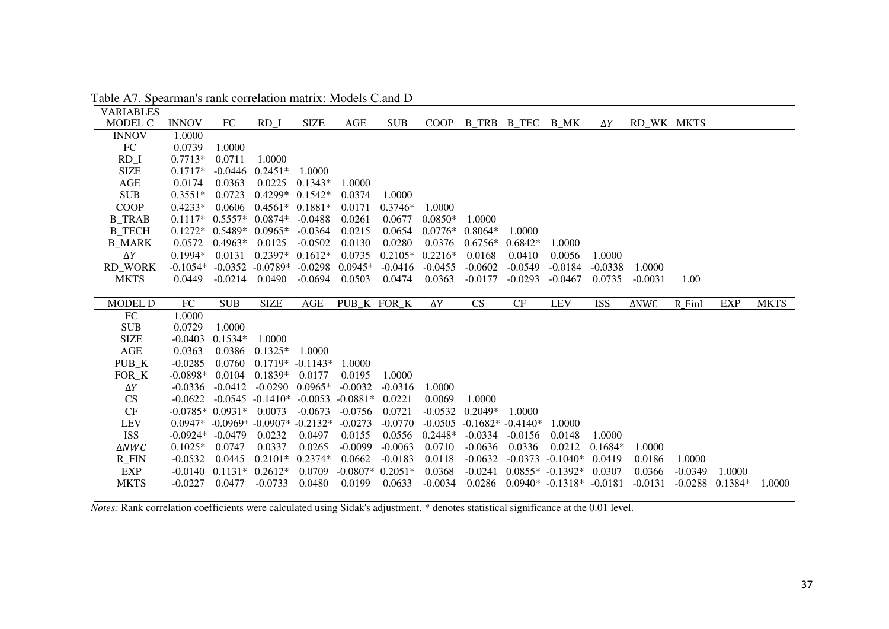| <b>INNOV</b>           | FC                                                                    | RD I                                                                     | <b>SIZE</b>                                                                              | <b>AGE</b>                                                                                                                      | <b>SUB</b>                              | <b>COOP</b>                                |                                                            |                                     |                                                  | $\Delta Y$                                 |                     |                     |                                        |             |
|------------------------|-----------------------------------------------------------------------|--------------------------------------------------------------------------|------------------------------------------------------------------------------------------|---------------------------------------------------------------------------------------------------------------------------------|-----------------------------------------|--------------------------------------------|------------------------------------------------------------|-------------------------------------|--------------------------------------------------|--------------------------------------------|---------------------|---------------------|----------------------------------------|-------------|
| 1.0000                 |                                                                       |                                                                          |                                                                                          |                                                                                                                                 |                                         |                                            |                                                            |                                     |                                                  |                                            |                     |                     |                                        |             |
| 0.0739                 |                                                                       |                                                                          |                                                                                          |                                                                                                                                 |                                         |                                            |                                                            |                                     |                                                  |                                            |                     |                     |                                        |             |
| $0.7713*$              |                                                                       | 1.0000                                                                   |                                                                                          |                                                                                                                                 |                                         |                                            |                                                            |                                     |                                                  |                                            |                     |                     |                                        |             |
|                        |                                                                       |                                                                          | 1.0000                                                                                   |                                                                                                                                 |                                         |                                            |                                                            |                                     |                                                  |                                            |                     |                     |                                        |             |
|                        |                                                                       |                                                                          | $0.1343*$                                                                                | 1.0000                                                                                                                          |                                         |                                            |                                                            |                                     |                                                  |                                            |                     |                     |                                        |             |
|                        |                                                                       |                                                                          |                                                                                          | 0.0374                                                                                                                          | 1.0000                                  |                                            |                                                            |                                     |                                                  |                                            |                     |                     |                                        |             |
| $0.4233*$              |                                                                       |                                                                          |                                                                                          | 0.0171                                                                                                                          | $0.3746*$                               | 1.0000                                     |                                                            |                                     |                                                  |                                            |                     |                     |                                        |             |
| $0.1117*$              |                                                                       |                                                                          |                                                                                          | 0.0261                                                                                                                          | 0.0677                                  |                                            | 1.0000                                                     |                                     |                                                  |                                            |                     |                     |                                        |             |
|                        |                                                                       |                                                                          |                                                                                          |                                                                                                                                 |                                         |                                            |                                                            | 1.0000                              |                                                  |                                            |                     |                     |                                        |             |
| 0.0572                 | $0.4963*$                                                             | 0.0125                                                                   | $-0.0502$                                                                                | 0.0130                                                                                                                          | 0.0280                                  | 0.0376                                     | $0.6756*$                                                  | $0.6842*$                           | 1.0000                                           |                                            |                     |                     |                                        |             |
| $0.1994*$              | 0.0131                                                                |                                                                          |                                                                                          |                                                                                                                                 |                                         |                                            | 0.0168                                                     | 0.0410                              | 0.0056                                           | 1.0000                                     |                     |                     |                                        |             |
|                        |                                                                       |                                                                          |                                                                                          |                                                                                                                                 |                                         |                                            |                                                            |                                     |                                                  |                                            |                     |                     |                                        |             |
|                        |                                                                       |                                                                          |                                                                                          |                                                                                                                                 |                                         |                                            |                                                            |                                     |                                                  |                                            |                     |                     |                                        |             |
|                        |                                                                       |                                                                          |                                                                                          |                                                                                                                                 |                                         |                                            |                                                            |                                     |                                                  |                                            |                     |                     |                                        |             |
|                        |                                                                       |                                                                          |                                                                                          |                                                                                                                                 |                                         |                                            |                                                            |                                     |                                                  |                                            |                     |                     |                                        |             |
| ${\rm FC}$             | <b>SUB</b>                                                            | <b>SIZE</b>                                                              | <b>AGE</b>                                                                               | PUB K FOR K                                                                                                                     |                                         | ΔΥ                                         | <b>CS</b>                                                  | CF                                  | <b>LEV</b>                                       | <b>ISS</b>                                 | <b>ANWC</b>         | $R$ -FinI           | <b>EXP</b>                             | <b>MKTS</b> |
| 1.0000                 |                                                                       |                                                                          |                                                                                          |                                                                                                                                 |                                         |                                            |                                                            |                                     |                                                  |                                            |                     |                     |                                        |             |
| 0.0729                 | 1.0000                                                                |                                                                          |                                                                                          |                                                                                                                                 |                                         |                                            |                                                            |                                     |                                                  |                                            |                     |                     |                                        |             |
| $-0.0403$              | $0.1534*$                                                             | 1.0000                                                                   |                                                                                          |                                                                                                                                 |                                         |                                            |                                                            |                                     |                                                  |                                            |                     |                     |                                        |             |
| 0.0363                 | 0.0386                                                                | $0.1325*$                                                                | 1.0000                                                                                   |                                                                                                                                 |                                         |                                            |                                                            |                                     |                                                  |                                            |                     |                     |                                        |             |
| $-0.0285$              | 0.0760                                                                |                                                                          | $0.1719* -0.1143*$                                                                       | 1.0000                                                                                                                          |                                         |                                            |                                                            |                                     |                                                  |                                            |                     |                     |                                        |             |
| $-0.0898*$             | 0.0104                                                                | $0.1839*$                                                                | 0.0177                                                                                   | 0.0195                                                                                                                          | 1.0000                                  |                                            |                                                            |                                     |                                                  |                                            |                     |                     |                                        |             |
| $-0.0336$              | $-0.0412$                                                             |                                                                          | $-0.0290$ $0.0965*$                                                                      | $-0.0032$                                                                                                                       | $-0.0316$                               | 1.0000                                     |                                                            |                                     |                                                  |                                            |                     |                     |                                        |             |
| $-0.0622$              |                                                                       | $-0.0545$ $-0.1410*$                                                     | $-0.0053$                                                                                | $-0.0881*$                                                                                                                      | 0.0221                                  | 0.0069                                     | 1.0000                                                     |                                     |                                                  |                                            |                     |                     |                                        |             |
| $-0.0785*0.0931*$      |                                                                       | 0.0073                                                                   | $-0.0673$                                                                                | $-0.0756$                                                                                                                       | 0.0721                                  | $-0.0532$                                  | $0.2049*$                                                  | 1.0000                              |                                                  |                                            |                     |                     |                                        |             |
|                        |                                                                       | $0.0947* -0.0969* -0.0907* -0.2132*$                                     |                                                                                          | $-0.0273$                                                                                                                       | $-0.0770$                               | $-0.0505$                                  | $-0.1682* -0.4140*$                                        |                                     | 1.0000                                           |                                            |                     |                     |                                        |             |
| $-0.0924*$             | $-0.0479$                                                             | 0.0232                                                                   | 0.0497                                                                                   | 0.0155                                                                                                                          | 0.0556                                  | $0.2448*$                                  | $-0.0334$                                                  | $-0.0156$                           | 0.0148                                           | 1.0000                                     |                     |                     |                                        |             |
| $0.1025*$              | 0.0747                                                                | 0.0337                                                                   | 0.0265                                                                                   | $-0.0099$                                                                                                                       | $-0.0063$                               | 0.0710                                     | $-0.0636$                                                  | 0.0336                              | 0.0212                                           | $0.1684*$                                  | 1.0000              |                     |                                        |             |
| $-0.0532$              | 0.0445                                                                | $0.2101*$                                                                | $0.2374*$                                                                                | 0.0662                                                                                                                          | $-0.0183$                               | 0.0118                                     | $-0.0632$                                                  | $-0.0373$                           | $-0.1040*$                                       | 0.0419                                     | 0.0186              | 1.0000              |                                        |             |
| $-0.0140$<br>$-0.0227$ | 0.0477                                                                | $0.1131* 0.2612*$<br>$-0.0733$                                           | 0.0709<br>0.0480                                                                         | $-0.0807*$<br>0.0199                                                                                                            | $0.2051*$<br>0.0633                     | 0.0368<br>$-0.0034$                        | $-0.0241$<br>0.0286                                        |                                     | $0.0855* -0.1392*$<br>$0.0940* -0.1318* -0.0181$ | 0.0307                                     | 0.0366<br>$-0.0131$ | $-0.0349$           | 1.0000<br>$-0.0288$ $0.1384*$          | 1.0000      |
| <b>RD_WORK</b>         | $0.1717*$<br>0.0174<br>$0.3551*$<br>$0.1272*$<br>$-0.1054*$<br>0.0449 | 1.0000<br>0.0711<br>$-0.0446$<br>0.0363<br>0.0723<br>0.0606<br>$-0.0214$ | $0.2451*$<br>0.0225<br>$0.5557*0.0874*$<br>$0.5489*$<br>$0.0965*$<br>$-0.0352$<br>0.0490 | $0.4299*$ $0.1542*$<br>$0.4561* 0.1881*$<br>$-0.0488$<br>$-0.0364$<br>$0.2397*$ 0.1612*<br>$-0.0789*$<br>$-0.0298$<br>$-0.0694$ | 0.0215<br>0.0735<br>$0.0945*$<br>0.0503 | 0.0654<br>$0.2105*$<br>$-0.0416$<br>0.0474 | $0.0850*$<br>$0.0776*$<br>$0.2216*$<br>$-0.0455$<br>0.0363 | $0.8064*$<br>$-0.0602$<br>$-0.0177$ | $-0.0549$<br>$-0.0293$                           | B_TRB B_TEC B_MK<br>$-0.0184$<br>$-0.0467$ | $-0.0338$<br>0.0735 | 1.0000<br>$-0.0031$ | <b>VARIABLES</b><br>RD_WK MKTS<br>1.00 |             |

Table A7. Spearman's rank correlation matrix: Models C.and D

*Notes:* Rank correlation coefficients were calculated using Sidak's adjustment. \* denotes statistical significance at the 0.01 level.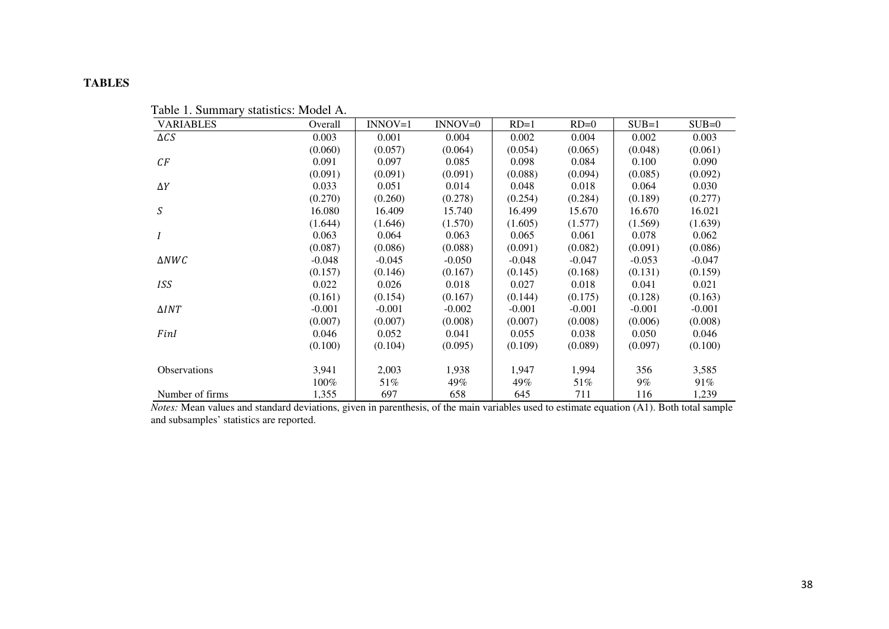## **TABLES**

| <b>VARIABLES</b> | Overall  | $INNOV=1$ | $INNOV=0$ | $RD=1$   | $RD=0$   | $SUB=1$  | $SUB=0$  |
|------------------|----------|-----------|-----------|----------|----------|----------|----------|
| $\Delta CS$      | 0.003    | 0.001     | 0.004     | 0.002    | 0.004    | 0.002    | 0.003    |
|                  | (0.060)  | (0.057)   | (0.064)   | (0.054)  | (0.065)  | (0.048)  | (0.061)  |
| CF               | 0.091    | 0.097     | 0.085     | 0.098    | 0.084    | 0.100    | 0.090    |
|                  | (0.091)  | (0.091)   | (0.091)   | (0.088)  | (0.094)  | (0.085)  | (0.092)  |
| $\Delta Y$       | 0.033    | 0.051     | 0.014     | 0.048    | 0.018    | 0.064    | 0.030    |
|                  | (0.270)  | (0.260)   | (0.278)   | (0.254)  | (0.284)  | (0.189)  | (0.277)  |
| S                | 16.080   | 16.409    | 15.740    | 16.499   | 15.670   | 16.670   | 16.021   |
|                  | (1.644)  | (1.646)   | (1.570)   | (1.605)  | (1.577)  | (1.569)  | (1.639)  |
| I                | 0.063    | 0.064     | 0.063     | 0.065    | 0.061    | 0.078    | 0.062    |
|                  | (0.087)  | (0.086)   | (0.088)   | (0.091)  | (0.082)  | (0.091)  | (0.086)  |
| $\triangle NWC$  | $-0.048$ | $-0.045$  | $-0.050$  | $-0.048$ | $-0.047$ | $-0.053$ | $-0.047$ |
|                  | (0.157)  | (0.146)   | (0.167)   | (0.145)  | (0.168)  | (0.131)  | (0.159)  |
| <b>ISS</b>       | 0.022    | 0.026     | 0.018     | 0.027    | 0.018    | 0.041    | 0.021    |
|                  | (0.161)  | (0.154)   | (0.167)   | (0.144)  | (0.175)  | (0.128)  | (0.163)  |
| $\Delta INT$     | $-0.001$ | $-0.001$  | $-0.002$  | $-0.001$ | $-0.001$ | $-0.001$ | $-0.001$ |
|                  | (0.007)  | (0.007)   | (0.008)   | (0.007)  | (0.008)  | (0.006)  | (0.008)  |
| FinI             | 0.046    | 0.052     | 0.041     | 0.055    | 0.038    | 0.050    | 0.046    |
|                  | (0.100)  | (0.104)   | (0.095)   | (0.109)  | (0.089)  | (0.097)  | (0.100)  |
|                  |          |           |           |          |          |          |          |
| Observations     | 3,941    | 2,003     | 1,938     | 1,947    | 1,994    | 356      | 3,585    |
|                  | 100%     | 51%       | 49%       | 49%      | 51%      | 9%       | 91%      |
| Number of firms  | 1,355    | 697       | 658       | 645      | 711      | 116      | 1,239    |

Table 1. Summary statistics: Model A.

 *Notes:* Mean values and standard deviations, given in parenthesis, of the main variables used to estimate equation (A1). Both total sample and subsamples' statistics are reported.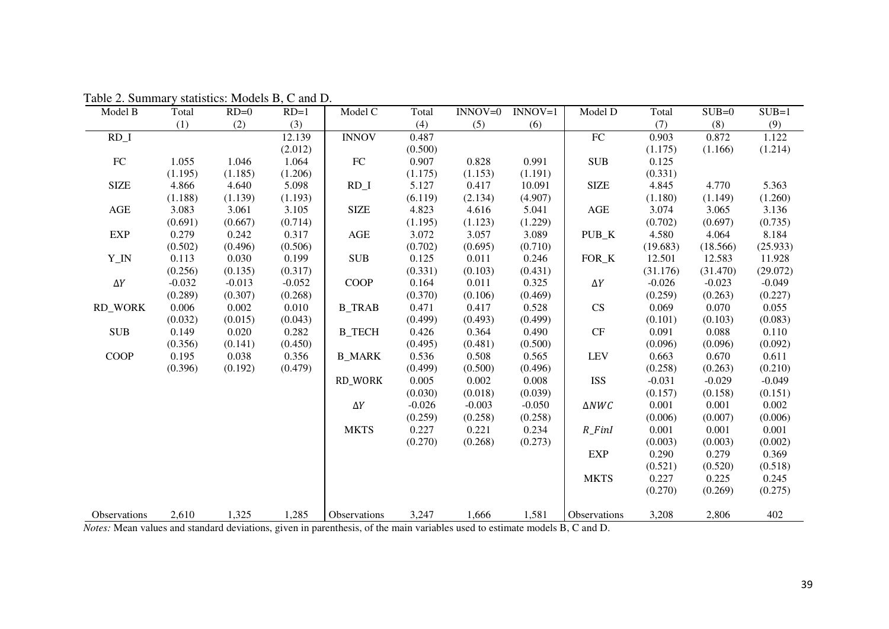| Model B        | Total    | $RD=0$   | $RD=1$   | Model C       | Total    | $INNOV=0$ | $INNOV=1$ | Model D              | Total    | $SUB=0$  | $SUB=1$  |
|----------------|----------|----------|----------|---------------|----------|-----------|-----------|----------------------|----------|----------|----------|
|                | (1)      | (2)      | (3)      |               | (4)      | (5)       | (6)       |                      | (7)      | (8)      | (9)      |
| $RD_1$         |          |          | 12.139   | <b>INNOV</b>  | 0.487    |           |           | ${\rm FC}$           | 0.903    | 0.872    | 1.122    |
|                |          |          | (2.012)  |               | (0.500)  |           |           |                      | (1.175)  | (1.166)  | (1.214)  |
| ${\rm FC}$     | 1.055    | 1.046    | 1.064    | ${\rm FC}$    | 0.907    | 0.828     | 0.991     | <b>SUB</b>           | 0.125    |          |          |
|                | (1.195)  | (1.185)  | (1.206)  |               | (1.175)  | (1.153)   | (1.191)   |                      | (0.331)  |          |          |
| <b>SIZE</b>    | 4.866    | 4.640    | 5.098    | $RD_1$        | 5.127    | 0.417     | 10.091    | <b>SIZE</b>          | 4.845    | 4.770    | 5.363    |
|                | (1.188)  | (1.139)  | (1.193)  |               | (6.119)  | (2.134)   | (4.907)   |                      | (1.180)  | (1.149)  | (1.260)  |
| <b>AGE</b>     | 3.083    | 3.061    | 3.105    | <b>SIZE</b>   | 4.823    | 4.616     | 5.041     | <b>AGE</b>           | 3.074    | 3.065    | 3.136    |
|                | (0.691)  | (0.667)  | (0.714)  |               | (1.195)  | (1.123)   | (1.229)   |                      | (0.702)  | (0.697)  | (0.735)  |
| <b>EXP</b>     | 0.279    | 0.242    | 0.317    | <b>AGE</b>    | 3.072    | 3.057     | 3.089     | PUB_K                | 4.580    | 4.064    | 8.184    |
|                | (0.502)  | (0.496)  | (0.506)  |               | (0.702)  | (0.695)   | (0.710)   |                      | (19.683) | (18.566) | (25.933) |
| Y_IN           | 0.113    | 0.030    | 0.199    | <b>SUB</b>    | 0.125    | 0.011     | 0.246     | FOR_K                | 12.501   | 12.583   | 11.928   |
|                | (0.256)  | (0.135)  | (0.317)  |               | (0.331)  | (0.103)   | (0.431)   |                      | (31.176) | (31.470) | (29.072) |
| $\Delta Y$     | $-0.032$ | $-0.013$ | $-0.052$ | <b>COOP</b>   | 0.164    | 0.011     | 0.325     | $\Delta Y$           | $-0.026$ | $-0.023$ | $-0.049$ |
|                | (0.289)  | (0.307)  | (0.268)  |               | (0.370)  | (0.106)   | (0.469)   |                      | (0.259)  | (0.263)  | (0.227)  |
| <b>RD_WORK</b> | 0.006    | 0.002    | 0.010    | <b>B_TRAB</b> | 0.471    | 0.417     | 0.528     | CS                   | 0.069    | 0.070    | 0.055    |
|                | (0.032)  | (0.015)  | (0.043)  |               | (0.499)  | (0.493)   | (0.499)   |                      | (0.101)  | (0.103)  | (0.083)  |
| <b>SUB</b>     | 0.149    | 0.020    | 0.282    | <b>B_TECH</b> | 0.426    | 0.364     | 0.490     | $\cal{CF}$           | 0.091    | 0.088    | 0.110    |
|                | (0.356)  | (0.141)  | (0.450)  |               | (0.495)  | (0.481)   | (0.500)   |                      | (0.096)  | (0.096)  | (0.092)  |
| <b>COOP</b>    | 0.195    | 0.038    | 0.356    | <b>B_MARK</b> | 0.536    | 0.508     | 0.565     | <b>LEV</b>           | 0.663    | 0.670    | 0.611    |
|                | (0.396)  | (0.192)  | (0.479)  |               | (0.499)  | (0.500)   | (0.496)   |                      | (0.258)  | (0.263)  | (0.210)  |
|                |          |          |          | RD_WORK       | 0.005    | 0.002     | 0.008     | <b>ISS</b>           | $-0.031$ | $-0.029$ | $-0.049$ |
|                |          |          |          |               | (0.030)  | (0.018)   | (0.039)   |                      | (0.157)  | (0.158)  | (0.151)  |
|                |          |          |          | $\Delta Y$    | $-0.026$ | $-0.003$  | $-0.050$  | $\Delta NWC$         | 0.001    | 0.001    | 0.002    |
|                |          |          |          |               | (0.259)  | (0.258)   | (0.258)   |                      | (0.006)  | (0.007)  | (0.006)  |
|                |          |          |          | <b>MKTS</b>   | 0.227    | 0.221     | 0.234     | $R$ <sub>-FinI</sub> | 0.001    | 0.001    | 0.001    |
|                |          |          |          |               | (0.270)  | (0.268)   | (0.273)   |                      | (0.003)  | (0.003)  | (0.002)  |
|                |          |          |          |               |          |           |           | <b>EXP</b>           | 0.290    | 0.279    | 0.369    |
|                |          |          |          |               |          |           |           |                      | (0.521)  | (0.520)  | (0.518)  |
|                |          |          |          |               |          |           |           | <b>MKTS</b>          | 0.227    | 0.225    | 0.245    |
|                |          |          |          |               |          |           |           |                      | (0.270)  | (0.269)  | (0.275)  |
| Observations   | 2,610    | 1,325    | 1,285    | Observations  | 3,247    | 1,666     | 1,581     | Observations         | 3,208    | 2,806    | 402      |
|                |          |          |          |               |          |           |           |                      |          |          |          |

Table 2. Summary statistics: Models B, C and D.

*Notes:* Mean values and standard deviations, given in parenthesis, of the main variables used to estimate models B, C and D.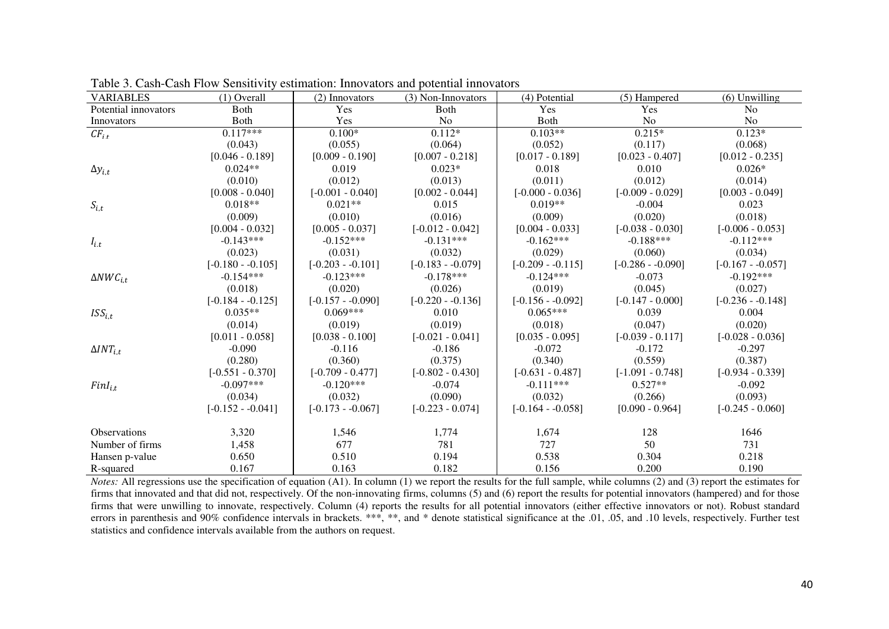| <b>VARIABLES</b>       | $(1)$ Overall      | (2) Innovators     | (3) Non-Innovators | (4) Potential      | (5) Hampered       | $(6)$ Unwilling    |
|------------------------|--------------------|--------------------|--------------------|--------------------|--------------------|--------------------|
| Potential innovators   | <b>Both</b>        | Yes                | <b>B</b> oth       | Yes                | Yes                | N <sub>o</sub>     |
| Innovators             | <b>Both</b>        | Yes                | N <sub>o</sub>     | Both               | N <sub>o</sub>     | No                 |
| $CF_{i,t}$             | $0.117***$         | $0.100*$           | $0.112*$           | $0.103**$          | $0.215*$           | $0.123*$           |
|                        | (0.043)            | (0.055)            | (0.064)            | (0.052)            | (0.117)            | (0.068)            |
|                        | $[0.046 - 0.189]$  | $[0.009 - 0.190]$  | $[0.007 - 0.218]$  | $[0.017 - 0.189]$  | $[0.023 - 0.407]$  | $[0.012 - 0.235]$  |
| $\Delta y_{i.t}$       | $0.024**$          | 0.019              | $0.023*$           | 0.018              | 0.010              | $0.026*$           |
|                        | (0.010)            | (0.012)            | (0.013)            | (0.011)            | (0.012)            | (0.014)            |
|                        | $[0.008 - 0.040]$  | $[-0.001 - 0.040]$ | $[0.002 - 0.044]$  | $[-0.000 - 0.036]$ | $[-0.009 - 0.029]$ | $[0.003 - 0.049]$  |
| $S_{i.t}$              | $0.018**$          | $0.021**$          | 0.015              | $0.019**$          | $-0.004$           | 0.023              |
|                        | (0.009)            | (0.010)            | (0.016)            | (0.009)            | (0.020)            | (0.018)            |
|                        | $[0.004 - 0.032]$  | $[0.005 - 0.037]$  | $[-0.012 - 0.042]$ | $[0.004 - 0.033]$  | $[-0.038 - 0.030]$ | $[-0.006 - 0.053]$ |
| $I_{i.t}$              | $-0.143***$        | $-0.152***$        | $-0.131***$        | $-0.162***$        | $-0.188***$        | $-0.112***$        |
|                        | (0.023)            | (0.031)            | (0.032)            | (0.029)            | (0.060)            | (0.034)            |
|                        | $[-0.180 - 0.105]$ | $[-0.203 - 0.101]$ | $[-0.183 - 0.079]$ | $[-0.209 - 0.115]$ | $[-0.286 - 0.090]$ | $[-0.167 - 0.057]$ |
| $\triangle NWC_{i.t.}$ | $-0.154***$        | $-0.123***$        | $-0.178***$        | $-0.124***$        | $-0.073$           | $-0.192***$        |
|                        | (0.018)            | (0.020)            | (0.026)            | (0.019)            | (0.045)            | (0.027)            |
|                        | $[-0.184 - 0.125]$ | $[-0.157 - 0.090]$ | $[-0.220 - 0.136]$ | $[-0.156 - 0.092]$ | $[-0.147 - 0.000]$ | $[-0.236 - 0.148]$ |
| $ISS_{i.t}$            | $0.035**$          | $0.069***$         | 0.010              | $0.065***$         | 0.039              | 0.004              |
|                        | (0.014)            | (0.019)            | (0.019)            | (0.018)            | (0.047)            | (0.020)            |
|                        | $[0.011 - 0.058]$  | $[0.038 - 0.100]$  | $[-0.021 - 0.041]$ | $[0.035 - 0.095]$  | $[-0.039 - 0.117]$ | $[-0.028 - 0.036]$ |
| $\Delta INT_{i.t}$     | $-0.090$           | $-0.116$           | $-0.186$           | $-0.072$           | $-0.172$           | $-0.297$           |
|                        | (0.280)            | (0.360)            | (0.375)            | (0.340)            | (0.559)            | (0.387)            |
|                        | $[-0.551 - 0.370]$ | $[-0.709 - 0.477]$ | $[-0.802 - 0.430]$ | $[-0.631 - 0.487]$ | $[-1.091 - 0.748]$ | $[-0.934 - 0.339]$ |
| $FinI_{i,t}$           | $-0.097***$        | $-0.120***$        | $-0.074$           | $-0.111***$        | $0.527**$          | $-0.092$           |
|                        | (0.034)            | (0.032)            | (0.090)            | (0.032)            | (0.266)            | (0.093)            |
|                        | $[-0.152 - 0.041]$ | $[-0.173 - 0.067]$ | $[-0.223 - 0.074]$ | $[-0.164 - 0.058]$ | $[0.090 - 0.964]$  | $[-0.245 - 0.060]$ |
| <b>Observations</b>    | 3,320              | 1,546              | 1,774              | 1,674              | 128                | 1646               |
| Number of firms        | 1,458              | 677                | 781                | 727                | 50                 | 731                |
| Hansen p-value         | 0.650              | 0.510              | 0.194              | 0.538              | 0.304              | 0.218              |
| R-squared              | 0.167              | 0.163              | 0.182              | 0.156              | 0.200              | 0.190              |

Table 3. Cash-Cash Flow Sensitivity estimation: Innovators and potential innovators

 *Notes:* All regressions use the specification of equation (A1). In column (1) we report the results for the full sample, while columns (2) and (3) report the estimates for firms that innovated and that did not, respectively. Of the non-innovating firms, columns (5) and (6) report the results for potential innovators (hampered) and for those firms that were unwilling to innovate, respectively. Column (4) reports the results for all potential innovators (either effective innovators or not). Robust standard errors in parenthesis and 90% confidence intervals in brackets. \*\*\*, \*\*, and \* denote statistical significance at the .01, .05, and .10 levels, respectively. Further test statistics and confidence intervals available from the authors on request.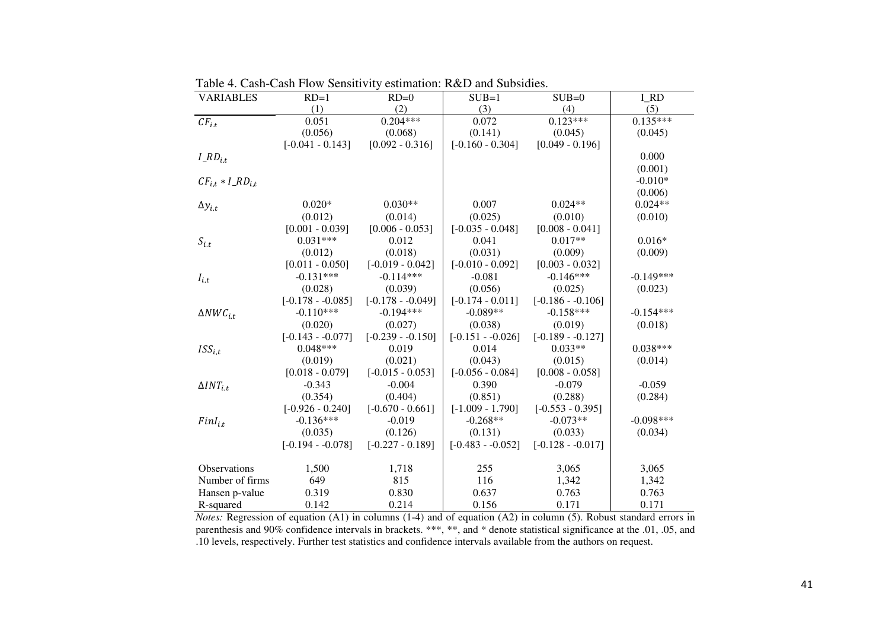| <b>VARIABLES</b>         | $RD=1$             | $RD=0$             | $SUB=1$            | $SUB=0$            | I RD        |
|--------------------------|--------------------|--------------------|--------------------|--------------------|-------------|
|                          | (1)                | (2)                | (3)                | (4)                | (5)         |
| $CF_{i,t}$               | 0.051              | $0.204***$         | 0.072              | $0.123***$         | $0.135***$  |
|                          | (0.056)            | (0.068)            | (0.141)            | (0.045)            | (0.045)     |
|                          | $[-0.041 - 0.143]$ | $[0.092 - 0.316]$  | $[-0.160 - 0.304]$ | $[0.049 - 0.196]$  |             |
| $I\_RD_{i.t}$            |                    |                    |                    |                    | 0.000       |
|                          |                    |                    |                    |                    | (0.001)     |
| $CF_{i,t} * I_R D_{i,t}$ |                    |                    |                    |                    | $-0.010*$   |
|                          |                    |                    |                    |                    | (0.006)     |
| $\Delta y_{i.t}$         | $0.020*$           | $0.030**$          | 0.007              | $0.024**$          | $0.024**$   |
|                          | (0.012)            | (0.014)            | (0.025)            | (0.010)            | (0.010)     |
|                          | $[0.001 - 0.039]$  | $[0.006 - 0.053]$  | $[-0.035 - 0.048]$ | $[0.008 - 0.041]$  |             |
| $S_{i.t}$                | $0.031***$         | 0.012              | 0.041              | $0.017**$          | $0.016*$    |
|                          | (0.012)            | (0.018)            | (0.031)            | (0.009)            | (0.009)     |
|                          | $[0.011 - 0.050]$  | $[-0.019 - 0.042]$ | $[-0.010 - 0.092]$ | $[0.003 - 0.032]$  |             |
| $I_{i.t}$                | $-0.131***$        | $-0.114***$        | $-0.081$           | $-0.146***$        | $-0.149***$ |
|                          | (0.028)            | (0.039)            | (0.056)            | (0.025)            | (0.023)     |
|                          | $[-0.178 - 0.085]$ | $[-0.178 - 0.049]$ | $[-0.174 - 0.011]$ | $[-0.186 - 0.106]$ |             |
| $\triangle NWC_{i,t}$    | $-0.110***$        | $-0.194***$        | $-0.089**$         | $-0.158***$        | $-0.154***$ |
|                          | (0.020)            | (0.027)            | (0.038)            | (0.019)            | (0.018)     |
|                          | $[-0.143 - 0.077]$ | $[-0.239 - 0.150]$ | $[-0.151 - 0.026]$ | $[-0.189 - 0.127]$ |             |
| ISS <sub>it</sub>        | $0.048***$         | 0.019              | 0.014              | $0.033**$          | $0.038***$  |
|                          | (0.019)            | (0.021)            | (0.043)            | (0.015)            | (0.014)     |
|                          | $[0.018 - 0.079]$  | $[-0.015 - 0.053]$ | $[-0.056 - 0.084]$ | $[0.008 - 0.058]$  |             |
| $\Delta INT_{i.t}$       | $-0.343$           | $-0.004$           | 0.390              | $-0.079$           | $-0.059$    |
|                          | (0.354)            | (0.404)            | (0.851)            | (0.288)            | (0.284)     |
|                          | $[-0.926 - 0.240]$ | $[-0.670 - 0.661]$ | $[-1.009 - 1.790]$ | $[-0.553 - 0.395]$ |             |
| $FinI_{i.t}$             | $-0.136***$        | $-0.019$           | $-0.268**$         | $-0.073**$         | $-0.098***$ |
|                          | (0.035)            | (0.126)            | (0.131)            | (0.033)            | (0.034)     |
|                          | $[-0.194 - 0.078]$ | $[-0.227 - 0.189]$ | $[-0.483 - 0.052]$ | $[-0.128 - 0.017]$ |             |
|                          |                    |                    |                    |                    |             |
| <b>Observations</b>      | 1,500              | 1,718              | 255                | 3,065              | 3,065       |
| Number of firms          | 649                | 815                | 116                | 1,342              | 1,342       |
| Hansen p-value           | 0.319              | 0.830              | 0.637              | 0.763              | 0.763       |
| R-squared                | 0.142              | 0.214              | 0.156              | 0.171              | 0.171       |

Table 4. Cash-Cash Flow Sensitivity estimation: R&D and Subsidies.

*Notes:* Regression of equation (A1) in columns (1-4) and of equation (A2) in column (5). Robust standard errors in parenthesis and 90% confidence intervals in brackets. \*\*\*, \*\*, and \* denote statistical significance at th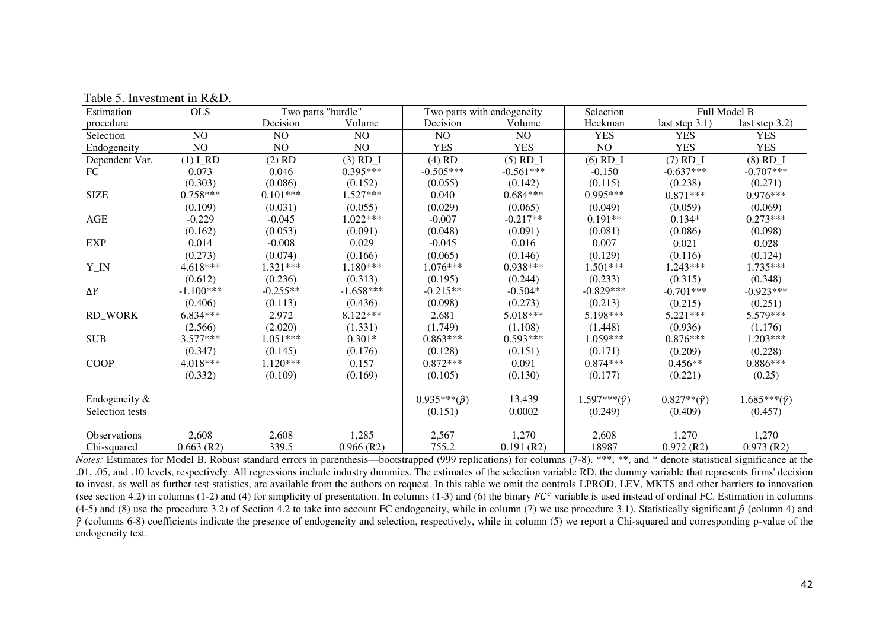| Estimation      | <b>OLS</b>   |            | Two parts "hurdle" | Two parts with endogeneity |              | Selection                           | Full Model B              |                          |
|-----------------|--------------|------------|--------------------|----------------------------|--------------|-------------------------------------|---------------------------|--------------------------|
| procedure       |              | Decision   | Volume             | Decision                   | Volume       | Heckman                             | last step $3.1$ )         | last step $3.2$ )        |
| Selection       | NO.          | NO         | NO                 | NO.                        | NO           | <b>YES</b>                          | <b>YES</b>                | <b>YES</b>               |
| Endogeneity     | $\rm NO$     | NO         | NO                 | <b>YES</b>                 | <b>YES</b>   | NO                                  | <b>YES</b>                | <b>YES</b>               |
| Dependent Var.  | $(1)$ $I_RD$ | $(2)$ RD   | $(3)$ RD_I         | $(4)$ RD                   | $(5)$ RD_I   | $(6)$ RD $\overline{\phantom{0}}$ I | $(7)$ RD_I                | $(8)$ RD_I               |
| $\overline{FC}$ | 0.073        | 0.046      | $0.395***$         | $-0.505***$                | $-0.561***$  | $-0.150$                            | $-0.637***$               | $-0.707***$              |
|                 | (0.303)      | (0.086)    | (0.152)            | (0.055)                    | (0.142)      | (0.115)                             | (0.238)                   | (0.271)                  |
| <b>SIZE</b>     | $0.758***$   | $0.101***$ | 1.527***           | 0.040                      | $0.684***$   | $0.995***$                          | $0.871***$                | $0.976***$               |
|                 | (0.109)      | (0.031)    | (0.055)            | (0.029)                    | (0.065)      | (0.049)                             | (0.059)                   | (0.069)                  |
| AGE             | $-0.229$     | $-0.045$   | $1.022***$         | $-0.007$                   | $-0.217**$   | $0.191**$                           | $0.134*$                  | $0.273***$               |
|                 | (0.162)      | (0.053)    | (0.091)            | (0.048)                    | (0.091)      | (0.081)                             | (0.086)                   | (0.098)                  |
| <b>EXP</b>      | 0.014        | $-0.008$   | 0.029              | $-0.045$                   | 0.016        | 0.007                               | 0.021                     | 0.028                    |
|                 | (0.273)      | (0.074)    | (0.166)            | (0.065)                    | (0.146)      | (0.129)                             | (0.116)                   | (0.124)                  |
| ${\bf Y\_IN}$   | $4.618***$   | 1.321***   | $1.180***$         | 1.076***                   | $0.938***$   | $1.501***$                          | $1.243***$                | 1.735***                 |
|                 | (0.612)      | (0.236)    | (0.313)            | (0.195)                    | (0.244)      | (0.233)                             | (0.315)                   | (0.348)                  |
| $\Delta Y$      | $-1.100***$  | $-0.255**$ | $-1.658***$        | $-0.215**$                 | $-0.504*$    | $-0.829***$                         | $-0.701***$               | $-0.923***$              |
|                 | (0.406)      | (0.113)    | (0.436)            | (0.098)                    | (0.273)      | (0.213)                             | (0.215)                   | (0.251)                  |
| <b>RD_WORK</b>  | $6.834***$   | 2.972      | 8.122***           | 2.681                      | 5.018***     | 5.198***                            | $5.221***$                | 5.579***                 |
|                 | (2.566)      | (2.020)    | (1.331)            | (1.749)                    | (1.108)      | (1.448)                             | (0.936)                   | (1.176)                  |
| <b>SUB</b>      | $3.577***$   | $1.051***$ | $0.301*$           | $0.863***$                 | $0.593***$   | $1.059***$                          | $0.876***$                | 1.203***                 |
|                 | (0.347)      | (0.145)    | (0.176)            | (0.128)                    | (0.151)      | (0.171)                             | (0.209)                   | (0.228)                  |
| <b>COOP</b>     | 4.018***     | $1.120***$ | 0.157              | $0.872***$                 | 0.091        | $0.874***$                          | $0.456**$                 | $0.886***$               |
|                 | (0.332)      | (0.109)    | (0.169)            | (0.105)                    | (0.130)      | (0.177)                             | (0.221)                   | (0.25)                   |
| Endogeneity &   |              |            |                    | $0.935***(\hat{\rho})$     | 13.439       | $1.597***(\hat{\gamma})$            | $0.827**({\hat{\gamma}})$ | $1.685***(\hat{\gamma})$ |
| Selection tests |              |            |                    | (0.151)                    | 0.0002       | (0.249)                             | (0.409)                   | (0.457)                  |
| Observations    | 2,608        | 2,608      | 1,285              | 2,567                      | 1,270        | 2,608                               | 1,270                     | 1,270                    |
| Chi-squared     | $0.663$ (R2) | 339.5      | $0.966$ (R2)       | 755.2                      | $0.191$ (R2) | 18987                               | $0.972$ (R2)              | $0.973$ (R2)             |

Table 5. Investment in R&D.

*Notes:* Estimates for Model B. Robust standard errors in parenthesis—bootstrapped (999 replications) for columns (7-8). \*\*\*, \*\*, and \* denote statistical significance at the .01, .05, and .10 levels, respectively. All regressions include industry dummies. The estimates of the selection variable RD, the dummy variable that represents firms' decision to invest, as well as further test statistics, are available from the authors on request. In this table we omit the controls LPROD, LEV, MKTS and other barriers to innovation (see section 4.2) in columns (1-2) and (4) for simplicity of presentation. In columns (1-3) and (6) the binary  $FC<sup>c</sup>$  variable is used instead of ordinal FC. Estimation in columns (4-5) and (8) use the procedure 3.2) of Section 4.2 to take into account FC endogeneity, while in column (7) we use procedure 3.1). Statistically significant  $\hat{p}$  (column 4) and  $\hat{p}$  (columns 6-8) coefficients indicate the presence of endogeneity and selection, respectively, while in column (5) we report a Chi-squared and corresponding p-value of the endogeneity test.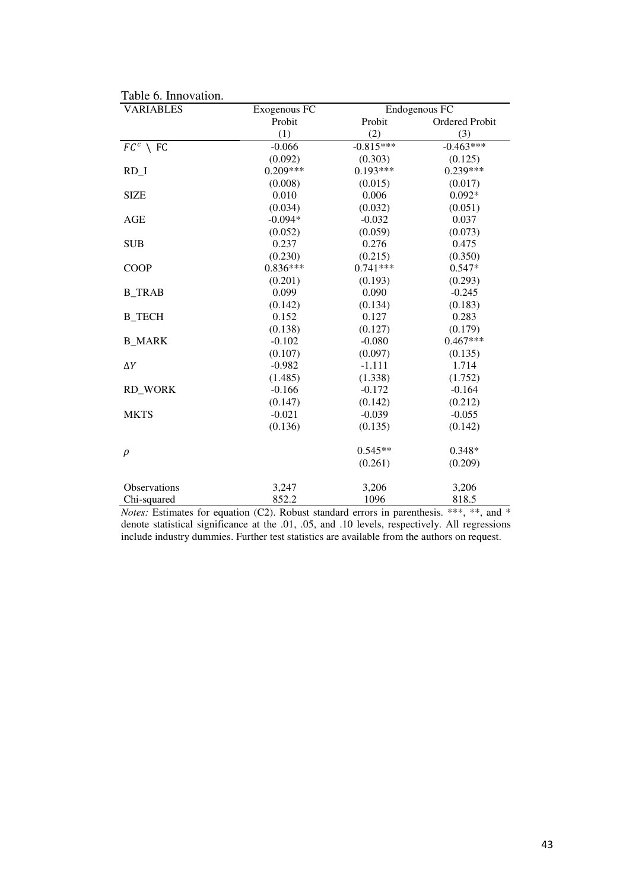| <b>VARIABLES</b>    | Exogenous FC |             | Endogenous FC  |
|---------------------|--------------|-------------|----------------|
|                     | Probit       | Probit      | Ordered Probit |
|                     | (1)          | (2)         | (3)            |
| $FC^c \setminus FC$ | $-0.066$     | $-0.815***$ | $-0.463***$    |
|                     | (0.092)      | (0.303)     | (0.125)        |
| $RD_1$              | $0.209***$   | $0.193***$  | $0.239***$     |
|                     | (0.008)      | (0.015)     | (0.017)        |
| <b>SIZE</b>         | 0.010        | 0.006       | $0.092*$       |
|                     | (0.034)      | (0.032)     | (0.051)        |
| AGE                 | $-0.094*$    | $-0.032$    | 0.037          |
|                     | (0.052)      | (0.059)     | (0.073)        |
| <b>SUB</b>          | 0.237        | 0.276       | 0.475          |
|                     | (0.230)      | (0.215)     | (0.350)        |
| <b>COOP</b>         | $0.836***$   | $0.741***$  | $0.547*$       |
|                     | (0.201)      | (0.193)     | (0.293)        |
| <b>B_TRAB</b>       | 0.099        | 0.090       | $-0.245$       |
|                     | (0.142)      | (0.134)     | (0.183)        |
| <b>B_TECH</b>       | 0.152        | 0.127       | 0.283          |
|                     | (0.138)      | (0.127)     | (0.179)        |
| <b>B MARK</b>       | $-0.102$     | $-0.080$    | $0.467***$     |
|                     | (0.107)      | (0.097)     | (0.135)        |
| $\Delta Y$          | $-0.982$     | $-1.111$    | 1.714          |
|                     | (1.485)      | (1.338)     | (1.752)        |
| <b>RD_WORK</b>      | $-0.166$     | $-0.172$    | $-0.164$       |
|                     | (0.147)      | (0.142)     | (0.212)        |
| <b>MKTS</b>         | $-0.021$     | $-0.039$    | $-0.055$       |
|                     | (0.136)      | (0.135)     | (0.142)        |
|                     |              | $0.545**$   | $0.348*$       |
| $\rho$              |              |             |                |
|                     |              | (0.261)     | (0.209)        |
| Observations        | 3,247        | 3,206       | 3,206          |
| Chi-squared         | 852.2        | 1096        | 818.5          |

Table 6. Innovation.

*Notes:* Estimates for equation (C2). Robust standard errors in parenthesis. \*\*\*, \*\*, and \* denote statistical significance at the .01, .05, and .10 levels, respectively. All regressions include industry dummies. Further test statistics are available from the authors on request.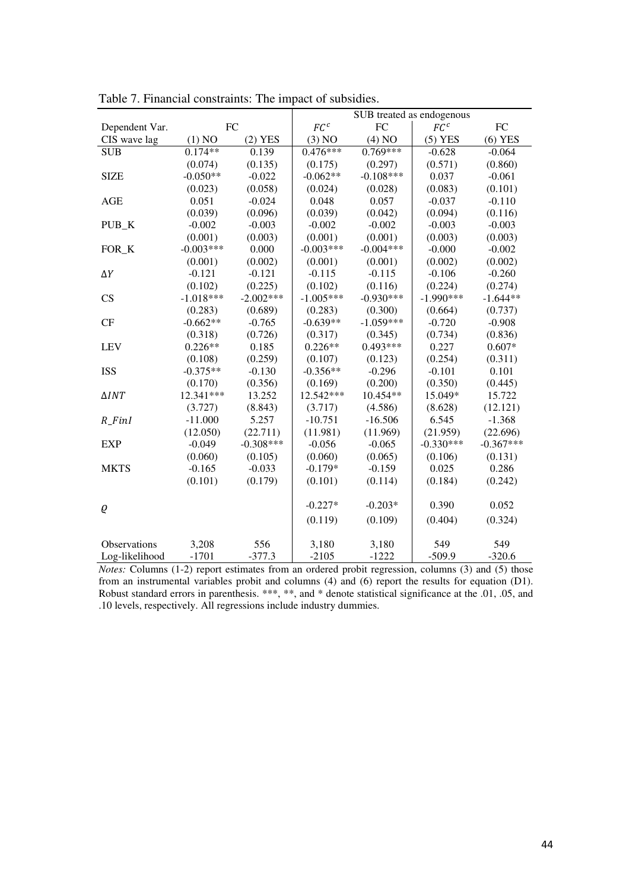|                      |             |             | х               | SUB treated as endogenous |                 |             |
|----------------------|-------------|-------------|-----------------|---------------------------|-----------------|-------------|
| Dependent Var.       | <b>FC</b>   |             | FC <sup>c</sup> | FC                        | FC <sup>c</sup> | FC          |
| CIS wave lag         | (1) NO      | $(2)$ YES   | (3) NO          | (4) NO                    | $(5)$ YES       | $(6)$ YES   |
| <b>SUB</b>           | $0.174**$   | 0.139       | $0.476***$      | $0.769***$                | $-0.628$        | $-0.064$    |
|                      | (0.074)     | (0.135)     | (0.175)         | (0.297)                   | (0.571)         | (0.860)     |
| <b>SIZE</b>          | $-0.050**$  | $-0.022$    | $-0.062**$      | $-0.108***$               | 0.037           | $-0.061$    |
|                      | (0.023)     | (0.058)     | (0.024)         | (0.028)                   | (0.083)         | (0.101)     |
| <b>AGE</b>           | 0.051       | $-0.024$    | 0.048           | 0.057                     | $-0.037$        | $-0.110$    |
|                      | (0.039)     | (0.096)     | (0.039)         | (0.042)                   | (0.094)         | (0.116)     |
| PUB K                | $-0.002$    | $-0.003$    | $-0.002$        | $-0.002$                  | $-0.003$        | $-0.003$    |
|                      | (0.001)     | (0.003)     | (0.001)         | (0.001)                   | (0.003)         | (0.003)     |
| FOR K                | $-0.003***$ | 0.000       | $-0.003***$     | $-0.004***$               | $-0.000$        | $-0.002$    |
|                      | (0.001)     | (0.002)     | (0.001)         | (0.001)                   | (0.002)         | (0.002)     |
| $\Delta Y$           | $-0.121$    | $-0.121$    | $-0.115$        | $-0.115$                  | $-0.106$        | $-0.260$    |
|                      | (0.102)     | (0.225)     | (0.102)         | (0.116)                   | (0.224)         | (0.274)     |
| CS                   | $-1.018***$ | $-2.002***$ | $-1.005***$     | $-0.930***$               | $-1.990***$     | $-1.644**$  |
|                      | (0.283)     | (0.689)     | (0.283)         | (0.300)                   | (0.664)         | (0.737)     |
| CF                   | $-0.662**$  | $-0.765$    | $-0.639**$      | $-1.059***$               | $-0.720$        | $-0.908$    |
|                      | (0.318)     | (0.726)     | (0.317)         | (0.345)                   | (0.734)         | (0.836)     |
| <b>LEV</b>           | $0.226**$   | 0.185       | $0.226**$       | $0.493***$                | 0.227           | $0.607*$    |
|                      | (0.108)     | (0.259)     | (0.107)         | (0.123)                   | (0.254)         | (0.311)     |
| <b>ISS</b>           | $-0.375**$  | $-0.130$    | $-0.356**$      | $-0.296$                  | $-0.101$        | 0.101       |
|                      | (0.170)     | (0.356)     | (0.169)         | (0.200)                   | (0.350)         | (0.445)     |
| $\triangle INT$      | 12.341***   | 13.252      | 12.542***       | 10.454**                  | 15.049*         | 15.722      |
|                      | (3.727)     | (8.843)     | (3.717)         | (4.586)                   | (8.628)         | (12.121)    |
| $R$ <sub>-FinI</sub> | $-11.000$   | 5.257       | $-10.751$       | $-16.506$                 | 6.545           | $-1.368$    |
|                      | (12.050)    | (22.711)    | (11.981)        | (11.969)                  | (21.959)        | (22.696)    |
| <b>EXP</b>           | $-0.049$    | $-0.308***$ | $-0.056$        | $-0.065$                  | $-0.330***$     | $-0.367***$ |
|                      | (0.060)     | (0.105)     | (0.060)         | (0.065)                   | (0.106)         | (0.131)     |
| <b>MKTS</b>          | $-0.165$    | $-0.033$    | $-0.179*$       | $-0.159$                  | 0.025           | 0.286       |
|                      | (0.101)     | (0.179)     | (0.101)         | (0.114)                   | (0.184)         | (0.242)     |
|                      |             |             |                 |                           |                 |             |
| Q                    |             |             | $-0.227*$       | $-0.203*$                 | 0.390           | 0.052       |
|                      |             |             | (0.119)         | (0.109)                   | (0.404)         | (0.324)     |
| Observations         | 3,208       | 556         | 3,180           | 3,180                     | 549             | 549         |
| Log-likelihood       | $-1701$     | $-377.3$    | $-2105$         | $-1222$                   | $-509.9$        | $-320.6$    |

Table 7. Financial constraints: The impact of subsidies.

*Notes:* Columns (1-2) report estimates from an ordered probit regression, columns (3) and (5) those from an instrumental variables probit and columns (4) and (6) report the results for equation (D1). Robust standard errors in parenthesis. \*\*\*, \*\*, and \* denote statistical significance at the .01, .05, and .10 levels, respectively. All regressions include industry dummies.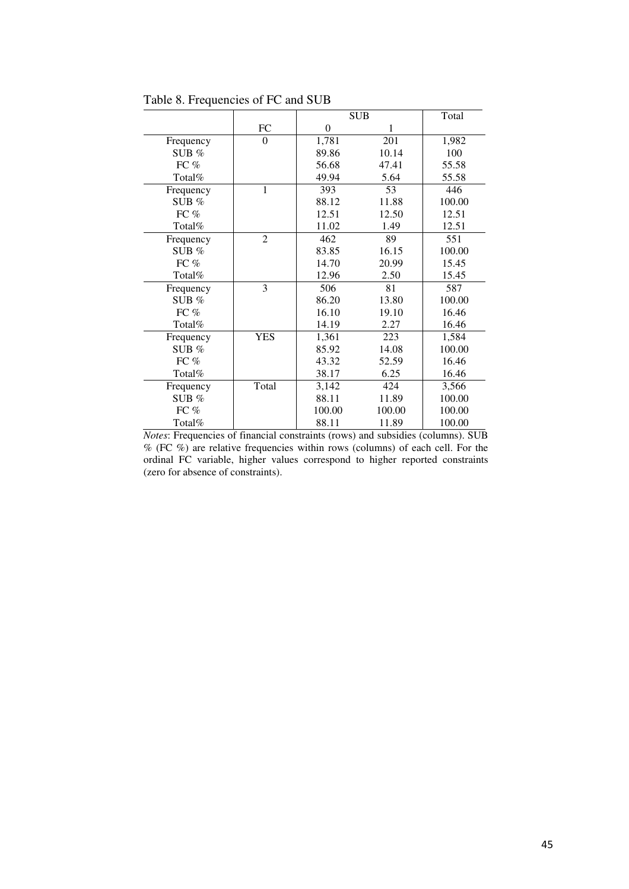|           |                |                | <b>SUB</b> | Total  |
|-----------|----------------|----------------|------------|--------|
|           | FC             | $\overline{0}$ | 1          |        |
| Frequency | $\Omega$       | 1,781          | 201        | 1,982  |
| SUB $%$   |                | 89.86          | 10.14      | 100    |
| FC $%$    |                | 56.68          | 47.41      | 55.58  |
| Total%    |                | 49.94          | 5.64       | 55.58  |
| Frequency | $\mathbf{1}$   | 393            | 53         | 446    |
| SUB $%$   |                | 88.12          | 11.88      | 100.00 |
| FC %      |                | 12.51          | 12.50      | 12.51  |
| Total%    |                | 11.02          | 1.49       | 12.51  |
| Frequency | $\overline{2}$ | 462            | 89         | 551    |
| SUB $%$   |                | 83.85          | 16.15      | 100.00 |
| FC $%$    |                | 14.70          | 20.99      | 15.45  |
| Total%    |                | 12.96          | 2.50       | 15.45  |
| Frequency | 3              | 506            | 81         | 587    |
| SUB $%$   |                | 86.20          | 13.80      | 100.00 |
| FC $%$    |                | 16.10          | 19.10      | 16.46  |
| Total%    |                | 14.19          | 2.27       | 16.46  |
| Frequency | <b>YES</b>     | 1,361          | 223        | 1,584  |
| SUB $%$   |                | 85.92          | 14.08      | 100.00 |
| FC $%$    |                | 43.32          | 52.59      | 16.46  |
| Total%    |                | 38.17          | 6.25       | 16.46  |
| Frequency | Total          | 3,142          | 424        | 3,566  |
| SUB $%$   |                | 88.11          | 11.89      | 100.00 |
| FC %      |                | 100.00         | 100.00     | 100.00 |
| Total%    |                | 88.11          | 11.89      | 100.00 |

Table 8. Frequencies of FC and SUB

*Notes*: Frequencies of financial constraints (rows) and subsidies (columns). SUB % (FC %) are relative frequencies within rows (columns) of each cell. For the ordinal FC variable, higher values correspond to higher reported constraints (zero for absence of constraints).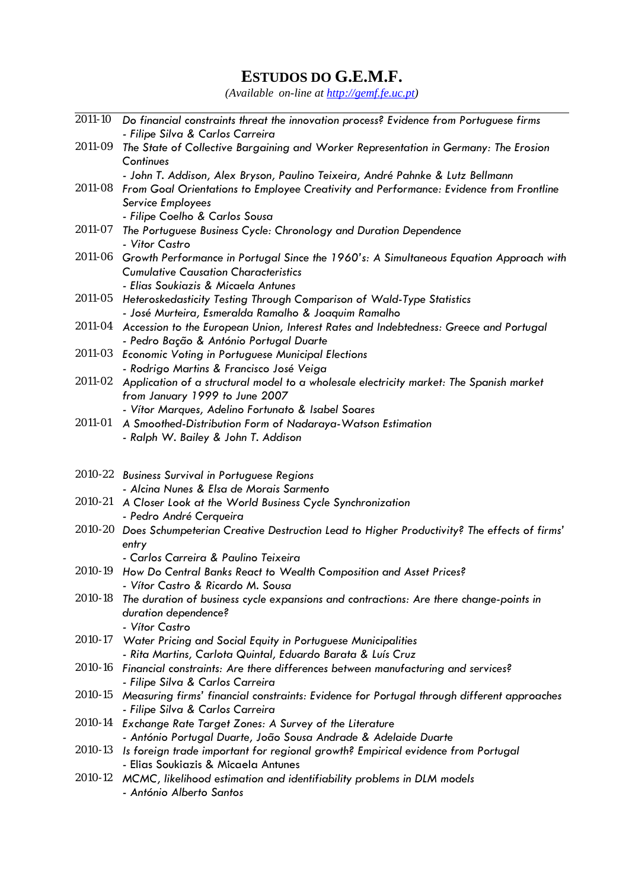# **ESTUDOS DO G.E.M.F.**

*(Available on-line at http://gemf.fe.uc.pt)* 

|         | 2011-10 Do financial constraints threat the innovation process? Evidence from Portuguese firms                                                        |
|---------|-------------------------------------------------------------------------------------------------------------------------------------------------------|
|         | - Filipe Silva & Carlos Carreira                                                                                                                      |
| 2011-09 | The State of Collective Bargaining and Worker Representation in Germany: The Erosion                                                                  |
|         | Continues                                                                                                                                             |
|         | - John T. Addison, Alex Bryson, Paulino Teixeira, André Pahnke & Lutz Bellmann                                                                        |
|         | 2011-08 From Goal Orientations to Employee Creativity and Performance: Evidence from Frontline                                                        |
|         | Service Employees                                                                                                                                     |
|         | - Filipe Coelho & Carlos Sousa                                                                                                                        |
| 2011-07 | The Portuguese Business Cycle: Chronology and Duration Dependence<br>- Vitor Castro                                                                   |
| 2011-06 | Growth Performance in Portugal Since the 1960's: A Simultaneous Equation Approach with                                                                |
|         | <b>Cumulative Causation Characteristics</b>                                                                                                           |
|         | - Elias Soukiazis & Micaela Antunes                                                                                                                   |
|         | 2011-05 Heteroskedasticity Testing Through Comparison of Wald-Type Statistics                                                                         |
|         | - José Murteira, Esmeralda Ramalho & Joaquim Ramalho<br>2011-04 Accession to the European Union, Interest Rates and Indebtedness: Greece and Portugal |
|         | - Pedro Bação & António Portugal Duarte                                                                                                               |
|         | 2011-03 Economic Voting in Portuguese Municipal Elections                                                                                             |
|         | - Rodrigo Martins & Francisco José Veiga                                                                                                              |
|         | 2011-02 Application of a structural model to a wholesale electricity market: The Spanish market                                                       |
|         | from January 1999 to June 2007                                                                                                                        |
|         | - Vítor Marques, Adelino Fortunato & Isabel Soares                                                                                                    |
| 2011-01 | A Smoothed-Distribution Form of Nadaraya-Watson Estimation                                                                                            |
|         | - Ralph W. Bailey & John T. Addison                                                                                                                   |
|         |                                                                                                                                                       |
|         |                                                                                                                                                       |
|         | 2010-22 Business Survival in Portuguese Regions                                                                                                       |
|         | - Alcina Nunes & Elsa de Morais Sarmento                                                                                                              |
|         | 2010-21 A Closer Look at the World Business Cycle Synchronization                                                                                     |
|         | - Pedro André Cerqueira                                                                                                                               |
|         | 2010-20 Does Schumpeterian Creative Destruction Lead to Higher Productivity? The effects of firms'                                                    |
|         | entry<br>- Carlos Carreira & Paulino Teixeira                                                                                                         |
| 2010-19 | How Do Central Banks React to Wealth Composition and Asset Prices?                                                                                    |
|         | - Vítor Castro & Ricardo M. Sousa                                                                                                                     |
|         | 2010-18 The duration of business cycle expansions and contractions: Are there change-points in                                                        |
|         | duration dependence?                                                                                                                                  |
|         | - Vítor Castro                                                                                                                                        |
|         | 2010-17 Water Pricing and Social Equity in Portuguese Municipalities                                                                                  |
|         | - Rita Martins, Carlota Quintal, Eduardo Barata & Luís Cruz                                                                                           |
| 2010-16 | Financial constraints: Are there differences between manufacturing and services?                                                                      |
| 2010-15 | - Filipe Silva & Carlos Carreira                                                                                                                      |
|         | Measuring firms' financial constraints: Evidence for Portugal through different approaches<br>- Filipe Silva & Carlos Carreira                        |
|         | 2010-14 Exchange Rate Target Zones: A Survey of the Literature                                                                                        |
|         | - António Portugal Duarte, João Sousa Andrade & Adelaide Duarte                                                                                       |
| 2010-13 | Is foreign trade important for regional growth? Empirical evidence from Portugal                                                                      |
|         | - Elias Soukiazis & Micaela Antunes                                                                                                                   |
|         | 2010-12 MCMC, likelihood estimation and identifiability problems in DLM models<br>- António Alberto Santos                                            |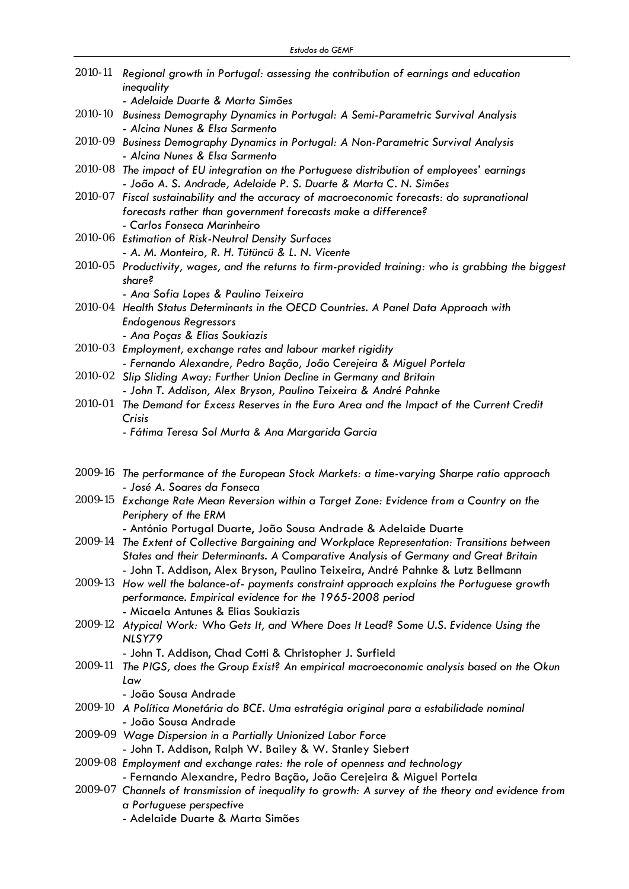|         | 2010-11 Regional growth in Portugal: assessing the contribution of earnings and education<br>inequality                                                                                     |
|---------|---------------------------------------------------------------------------------------------------------------------------------------------------------------------------------------------|
|         | - Adelaide Duarte & Marta Simões                                                                                                                                                            |
| 2010-10 | Business Demography Dynamics in Portugal: A Semi-Parametric Survival Analysis<br>- Alcina Nunes & Elsa Sarmento                                                                             |
|         | 2010-09 Business Demography Dynamics in Portugal: A Non-Parametric Survival Analysis<br>- Alcina Nunes & Elsa Sarmento                                                                      |
|         | 2010-08 The impact of EU integration on the Portuguese distribution of employees' earnings<br>- João A. S. Andrade, Adelaide P. S. Duarte & Marta C. N. Simões                              |
|         | 2010-07 Fiscal sustainability and the accuracy of macroeconomic forecasts: do supranational<br>forecasts rather than government forecasts make a difference?<br>- Carlos Fonseca Marinheiro |
|         | 2010-06 Estimation of Risk-Neutral Density Surfaces                                                                                                                                         |
|         | - A. M. Monteiro, R. H. Tütüncü & L. N. Vicente                                                                                                                                             |
|         | 2010-05 Productivity, wages, and the returns to firm-provided training: who is grabbing the biggest<br>share?                                                                               |
|         | - Ana Sofia Lopes & Paulino Teixeira                                                                                                                                                        |
|         | 2010-04 Health Status Determinants in the OECD Countries. A Panel Data Approach with<br><b>Endogenous Regressors</b>                                                                        |
|         | - Ana Poças & Elias Soukiazis<br>2010-03 Employment, exchange rates and labour market rigidity                                                                                              |
|         | - Fernando Alexandre, Pedro Bação, João Cerejeira & Miguel Portela                                                                                                                          |
| 2010-02 | Slip Sliding Away: Further Union Decline in Germany and Britain                                                                                                                             |
|         | - John T. Addison, Alex Bryson, Paulino Teixeira & André Pahnke                                                                                                                             |
| 2010-01 | The Demand for Excess Reserves in the Euro Area and the Impact of the Current Credit                                                                                                        |
|         | Crisis                                                                                                                                                                                      |
|         | - Fátima Teresa Sol Murta & Ana Margarida Garcia                                                                                                                                            |
|         |                                                                                                                                                                                             |
|         | 2009-16 The performance of the European Stock Markets: a time-varying Sharpe ratio approach<br>- José A. Soares da Fonseca                                                                  |
|         | 2009-15 Exchange Rate Mean Reversion within a Target Zone: Evidence from a Country on the                                                                                                   |
|         | Periphery of the ERM                                                                                                                                                                        |
|         | - António Portugal Duarte, João Sousa Andrade & Adelaide Duarte                                                                                                                             |
| 2009-14 | The Extent of Collective Bargaining and Workplace Representation: Transitions between                                                                                                       |
|         | States and their Determinants. A Comparative Analysis of Germany and Great Britain                                                                                                          |
|         | - John T. Addison, Alex Bryson, Paulino Teixeira, André Pahnke & Lutz Bellmann                                                                                                              |
|         | 2009-13 How well the balance-of- payments constraint approach explains the Portuguese growth                                                                                                |
|         | performance. Empirical evidence for the 1965-2008 period                                                                                                                                    |
|         | - Micaela Antunes & Elias Soukiazis                                                                                                                                                         |
|         | 2009-12 Atypical Work: Who Gets It, and Where Does It Lead? Some U.S. Evidence Using the<br>NLSY79                                                                                          |
|         | - John T. Addison, Chad Cotti & Christopher J. Surfield                                                                                                                                     |
| 2009-11 | The PIGS, does the Group Exist? An empirical macroeconomic analysis based on the Okun<br>Law                                                                                                |
|         | - João Sousa Andrade                                                                                                                                                                        |
|         | 2009-10 A Política Monetária do BCE. Uma estratégia original para a estabilidade nominal<br>- João Sousa Andrade                                                                            |
|         | 2009-09 Wage Dispersion in a Partially Unionized Labor Force                                                                                                                                |
|         | - John T. Addison, Ralph W. Bailey & W. Stanley Siebert                                                                                                                                     |
|         | 2009-08 Employment and exchange rates: the role of openness and technology                                                                                                                  |
|         | - Fernando Alexandre, Pedro Bação, João Cerejeira & Miguel Portela                                                                                                                          |
|         | 2009-07 Channels of transmission of inequality to growth: A survey of the theory and evidence from                                                                                          |
|         | a Portuguese perspective<br>- Adelaide Duarte & Marta Simões                                                                                                                                |